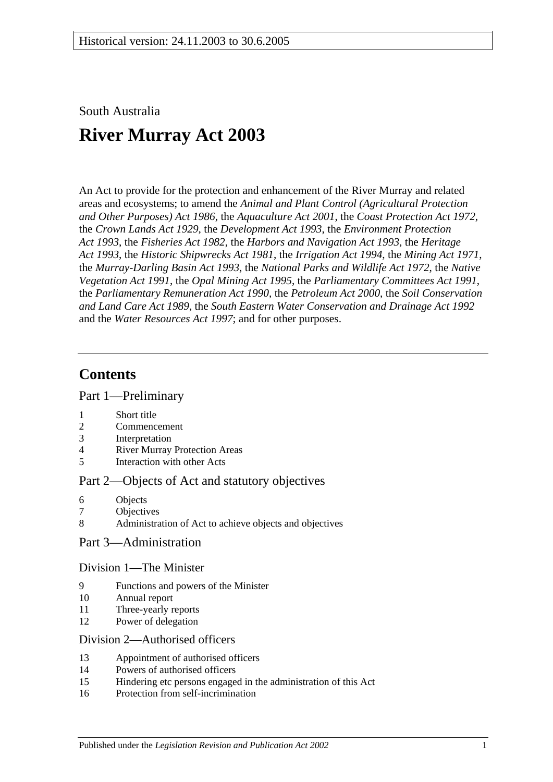South Australia

# **River Murray Act 2003**

An Act to provide for the protection and enhancement of the River Murray and related areas and ecosystems; to amend the *[Animal and Plant Control \(Agricultural Protection](http://www.legislation.sa.gov.au/index.aspx?action=legref&type=act&legtitle=Animal%20and%20Plant%20Control%20(Agricultural%20Protection%20and%20Other%20Purposes)%20Act%201986)  [and Other Purposes\) Act](http://www.legislation.sa.gov.au/index.aspx?action=legref&type=act&legtitle=Animal%20and%20Plant%20Control%20(Agricultural%20Protection%20and%20Other%20Purposes)%20Act%201986) 1986*, the *[Aquaculture Act](http://www.legislation.sa.gov.au/index.aspx?action=legref&type=act&legtitle=Aquaculture%20Act%202001) 2001*, the *[Coast Protection Act](http://www.legislation.sa.gov.au/index.aspx?action=legref&type=act&legtitle=Coast%20Protection%20Act%201972) 1972*, the *[Crown Lands Act](http://www.legislation.sa.gov.au/index.aspx?action=legref&type=act&legtitle=Crown%20Lands%20Act%201929) 1929*, the *[Development Act](http://www.legislation.sa.gov.au/index.aspx?action=legref&type=act&legtitle=Development%20Act%201993) 1993*, the *[Environment Protection](http://www.legislation.sa.gov.au/index.aspx?action=legref&type=act&legtitle=Environment%20Protection%20Act%201993)  Act [1993](http://www.legislation.sa.gov.au/index.aspx?action=legref&type=act&legtitle=Environment%20Protection%20Act%201993)*, the *[Fisheries Act](http://www.legislation.sa.gov.au/index.aspx?action=legref&type=act&legtitle=Fisheries%20Act%201982) 1982*, the *[Harbors and Navigation Act](http://www.legislation.sa.gov.au/index.aspx?action=legref&type=act&legtitle=Harbors%20and%20Navigation%20Act%201993) 1993*, the *[Heritage](http://www.legislation.sa.gov.au/index.aspx?action=legref&type=act&legtitle=Heritage%20Act%201993)  Act [1993](http://www.legislation.sa.gov.au/index.aspx?action=legref&type=act&legtitle=Heritage%20Act%201993)*, the *[Historic Shipwrecks Act](http://www.legislation.sa.gov.au/index.aspx?action=legref&type=act&legtitle=Historic%20Shipwrecks%20Act%201981) 1981*, the *[Irrigation Act](http://www.legislation.sa.gov.au/index.aspx?action=legref&type=act&legtitle=Irrigation%20Act%201994) 1994*, the *[Mining Act](http://www.legislation.sa.gov.au/index.aspx?action=legref&type=act&legtitle=Mining%20Act%201971) 1971*, the *[Murray-Darling Basin Act](http://www.legislation.sa.gov.au/index.aspx?action=legref&type=act&legtitle=Murray-Darling%20Basin%20Act%201993) 1993*, the *[National Parks and Wildlife Act](http://www.legislation.sa.gov.au/index.aspx?action=legref&type=act&legtitle=National%20Parks%20and%20Wildlife%20Act%201972) 1972*, the *[Native](http://www.legislation.sa.gov.au/index.aspx?action=legref&type=act&legtitle=Native%20Vegetation%20Act%201991)  [Vegetation Act](http://www.legislation.sa.gov.au/index.aspx?action=legref&type=act&legtitle=Native%20Vegetation%20Act%201991) 1991*, the *[Opal Mining Act](http://www.legislation.sa.gov.au/index.aspx?action=legref&type=act&legtitle=Opal%20Mining%20Act%201995) 1995*, the *[Parliamentary Committees Act](http://www.legislation.sa.gov.au/index.aspx?action=legref&type=act&legtitle=Parliamentary%20Committees%20Act%201991) 1991*, the *[Parliamentary Remuneration Act](http://www.legislation.sa.gov.au/index.aspx?action=legref&type=act&legtitle=Parliamentary%20Remuneration%20Act%201990) 1990*, the *[Petroleum Act](http://www.legislation.sa.gov.au/index.aspx?action=legref&type=act&legtitle=Petroleum%20Act%202000) 2000*, the *[Soil Conservation](http://www.legislation.sa.gov.au/index.aspx?action=legref&type=act&legtitle=Soil%20Conservation%20and%20Land%20Care%20Act%201989)  [and Land Care Act](http://www.legislation.sa.gov.au/index.aspx?action=legref&type=act&legtitle=Soil%20Conservation%20and%20Land%20Care%20Act%201989) 1989*, the *[South Eastern Water Conservation and Drainage Act](http://www.legislation.sa.gov.au/index.aspx?action=legref&type=act&legtitle=South%20Eastern%20Water%20Conservation%20and%20Drainage%20Act%201992) 1992* and the *[Water Resources Act](http://www.legislation.sa.gov.au/index.aspx?action=legref&type=act&legtitle=Water%20Resources%20Act%201997) 1997*; and for other purposes.

## **Contents**

[Part 1—Preliminary](#page-2-0)

- 1 [Short title](#page-2-1)
- 2 [Commencement](#page-2-2)
- 3 [Interpretation](#page-2-3)
- 4 [River Murray Protection Areas](#page-6-0)
- 5 [Interaction with other Acts](#page-6-1)

#### [Part 2—Objects of Act and statutory objectives](#page-7-0)

- 6 [Objects](#page-7-1)
- 7 [Objectives](#page-8-0)
- 8 [Administration of Act to achieve objects and objectives](#page-9-0)

### [Part 3—Administration](#page-9-1)

#### [Division 1—The Minister](#page-9-2)

- 9 [Functions and powers of the Minister](#page-9-3)
- 10 [Annual report](#page-11-0)
- 11 [Three-yearly reports](#page-12-0)
- 12 [Power of delegation](#page-12-1)

#### [Division 2—Authorised officers](#page-12-2)

- 13 [Appointment of authorised officers](#page-12-3)
- 14 [Powers of authorised officers](#page-13-0)
- 15 [Hindering etc persons engaged in the administration of this Act](#page-15-0)
- 16 [Protection from self-incrimination](#page-15-1)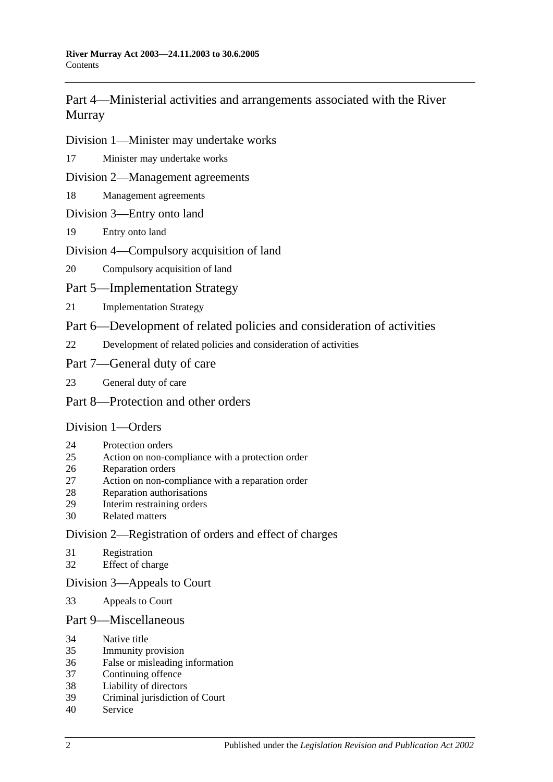[Part 4—Ministerial activities and arrangements associated with the River](#page-15-2)  [Murray](#page-15-2)

[Division 1—Minister may undertake works](#page-15-3)

[Minister may undertake works](#page-15-4)

[Division 2—Management agreements](#page-16-0)

- [Management agreements](#page-16-1)
- [Division 3—Entry onto land](#page-18-0)
- [Entry onto land](#page-18-1)

#### [Division 4—Compulsory acquisition of land](#page-18-2)

[Compulsory acquisition of land](#page-18-3)

[Part 5—Implementation Strategy](#page-19-0)

[Implementation Strategy](#page-19-1)

[Part 6—Development of related policies and consideration of activities](#page-20-0)

[Development of related policies and consideration of activities](#page-20-1)

#### [Part 7—General duty of care](#page-24-0)

[General duty of care](#page-24-1)

#### [Part 8—Protection and other orders](#page-25-0)

#### [Division 1—Orders](#page-25-1)

- [Protection orders](#page-25-2)
- [Action on non-compliance with a protection order](#page-27-0)
- [Reparation orders](#page-28-0)
- [Action on non-compliance with a reparation order](#page-29-0)
- [Reparation authorisations](#page-30-0)
- [Interim restraining orders](#page-31-0)
- [Related matters](#page-31-1)

#### [Division 2—Registration of orders and effect of charges](#page-32-0)

- [Registration](#page-32-1)
- [Effect of charge](#page-33-0)

#### [Division 3—Appeals to Court](#page-33-1)

[Appeals to Court](#page-33-2)

#### [Part 9—Miscellaneous](#page-34-0)

- [Native title](#page-34-1)
- [Immunity provision](#page-34-2)
- [False or misleading information](#page-35-0)
- [Continuing offence](#page-35-1)
- [Liability of directors](#page-35-2)
- [Criminal jurisdiction of Court](#page-35-3)
- [Service](#page-35-4)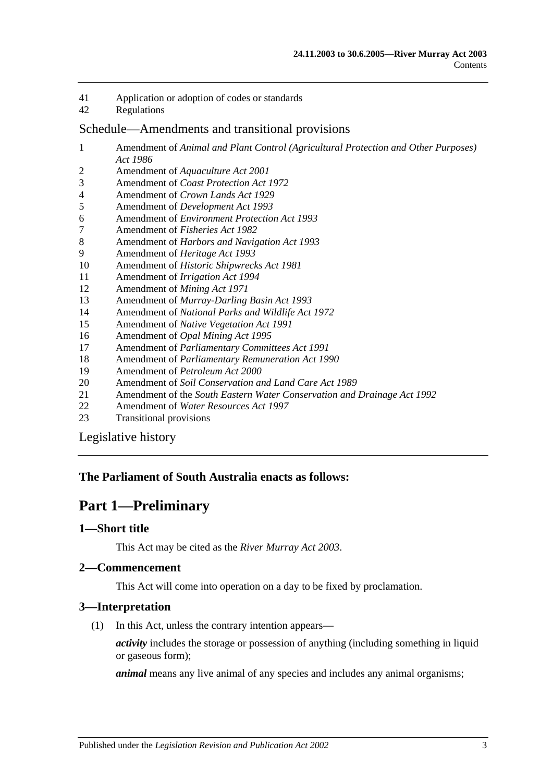- 41 [Application or adoption of codes or standards](#page-36-0)
- 42 [Regulations](#page-36-1)

#### [Schedule—Amendments and transitional provisions](#page-38-0)

- 1 Amendment of *[Animal and Plant Control \(Agricultural Protection and Other Purposes\)](#page-38-1)  Act [1986](#page-38-1)*
- 2 Amendment of *[Aquaculture Act](#page-40-0) 2001*
- 3 Amendment of *[Coast Protection Act](#page-40-1) 1972*
- 4 Amendment of *[Crown Lands Act](#page-41-0) 1929*
- 5 Amendment of *[Development Act](#page-42-0) 1993*
- 6 Amendment of *[Environment Protection Act](#page-45-0) 1993*
- 7 [Amendment of](#page-46-0) *Fisheries Act 1982*
- 8 Amendment of *[Harbors and Navigation Act](#page-47-0) 1993*
- 9 [Amendment of](#page-47-1) *Heritage Act 1993*
- 10 Amendment of *[Historic Shipwrecks Act](#page-48-0) 1981*
- 11 [Amendment of](#page-49-0) *Irrigation Act 1994*
- 12 [Amendment of](#page-50-0) *Mining Act 1971*
- 13 Amendment of *[Murray-Darling Basin Act](#page-55-0) 1993*
- 14 Amendment of *[National Parks and Wildlife Act](#page-55-1) 1972*
- 15 Amendment of *[Native Vegetation Act](#page-57-0) 1991*
- 16 Amendment of *[Opal Mining Act](#page-59-0) 1995*
- 17 Amendment of *[Parliamentary Committees Act](#page-59-1) 1991*
- 18 Amendment of *[Parliamentary Remuneration Act](#page-61-0) 1990*
- 19 [Amendment of](#page-61-1) *Petroleum Act 2000*
- 20 Amendment of *[Soil Conservation and Land Care Act](#page-62-0) 1989*
- 21 Amendment of the *[South Eastern Water Conservation and Drainage Act](#page-64-0) 1992*
- 22 Amendment of *[Water Resources Act](#page-65-0) 1997*
- 23 [Transitional provisions](#page-78-0)

[Legislative history](#page-80-0)

#### <span id="page-2-0"></span>**The Parliament of South Australia enacts as follows:**

## **Part 1—Preliminary**

#### <span id="page-2-1"></span>**1—Short title**

This Act may be cited as the *River Murray Act 2003*.

### <span id="page-2-2"></span>**2—Commencement**

This Act will come into operation on a day to be fixed by proclamation.

#### <span id="page-2-3"></span>**3—Interpretation**

(1) In this Act, unless the contrary intention appears—

*activity* includes the storage or possession of anything (including something in liquid or gaseous form);

*animal* means any live animal of any species and includes any animal organisms;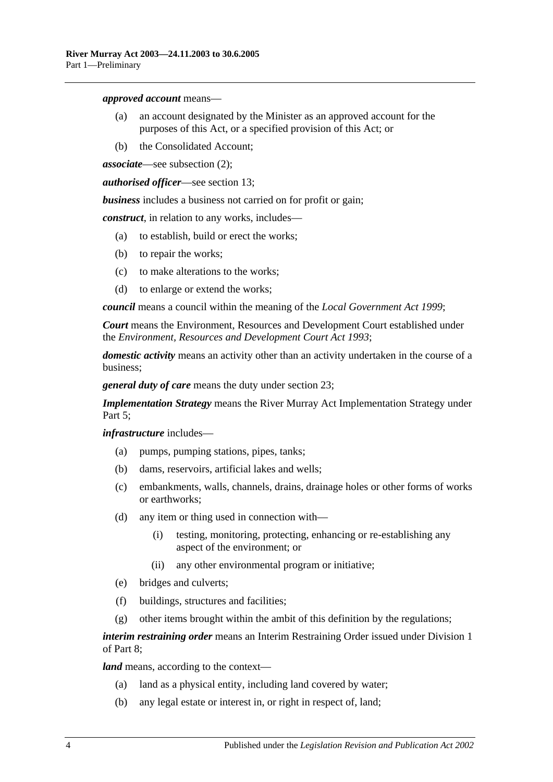#### *approved account* means—

- (a) an account designated by the Minister as an approved account for the purposes of this Act, or a specified provision of this Act; or
- (b) the Consolidated Account;

*associate*—see [subsection](#page-5-0) (2);

*authorised officer*—see [section](#page-12-3) 13;

*business* includes a business not carried on for profit or gain;

*construct*, in relation to any works, includes—

- (a) to establish, build or erect the works;
- (b) to repair the works;
- (c) to make alterations to the works;
- (d) to enlarge or extend the works;

*council* means a council within the meaning of the *[Local Government Act](http://www.legislation.sa.gov.au/index.aspx?action=legref&type=act&legtitle=Local%20Government%20Act%201999) 1999*;

*Court* means the Environment, Resources and Development Court established under the *[Environment, Resources and Development Court Act](http://www.legislation.sa.gov.au/index.aspx?action=legref&type=act&legtitle=Environment%20Resources%20and%20Development%20Court%20Act%201993) 1993*;

*domestic activity* means an activity other than an activity undertaken in the course of a business;

*general duty of care* means the duty under [section](#page-24-1) 23;

*Implementation Strategy* means the River Murray Act Implementation Strategy under [Part 5;](#page-19-0)

*infrastructure* includes—

- (a) pumps, pumping stations, pipes, tanks;
- (b) dams, reservoirs, artificial lakes and wells;
- (c) embankments, walls, channels, drains, drainage holes or other forms of works or earthworks;
- (d) any item or thing used in connection with—
	- (i) testing, monitoring, protecting, enhancing or re-establishing any aspect of the environment; or
	- (ii) any other environmental program or initiative;
- (e) bridges and culverts;
- (f) buildings, structures and facilities;
- (g) other items brought within the ambit of this definition by the regulations;

*interim restraining order* means an Interim Restraining Order issued under [Division 1](#page-25-1) of [Part 8;](#page-25-0)

*land* means, according to the context—

- (a) land as a physical entity, including land covered by water;
- (b) any legal estate or interest in, or right in respect of, land;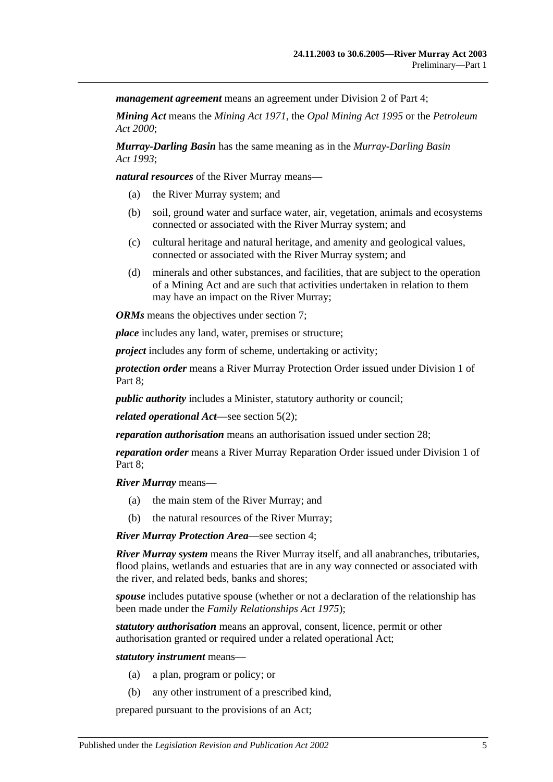*management agreement* means an agreement under [Division 2](#page-16-0) of [Part 4;](#page-15-2)

*Mining Act* means the *[Mining Act](http://www.legislation.sa.gov.au/index.aspx?action=legref&type=act&legtitle=Mining%20Act%201971) 1971*, the *[Opal Mining Act](http://www.legislation.sa.gov.au/index.aspx?action=legref&type=act&legtitle=Opal%20Mining%20Act%201995) 1995* or the *[Petroleum](http://www.legislation.sa.gov.au/index.aspx?action=legref&type=act&legtitle=Petroleum%20Act%202000)  Act [2000](http://www.legislation.sa.gov.au/index.aspx?action=legref&type=act&legtitle=Petroleum%20Act%202000)*;

*Murray-Darling Basin* has the same meaning as in the *[Murray-Darling Basin](http://www.legislation.sa.gov.au/index.aspx?action=legref&type=act&legtitle=Murray-Darling%20Basin%20Act%201993)  Act [1993](http://www.legislation.sa.gov.au/index.aspx?action=legref&type=act&legtitle=Murray-Darling%20Basin%20Act%201993)*;

*natural resources* of the River Murray means—

- (a) the River Murray system; and
- (b) soil, ground water and surface water, air, vegetation, animals and ecosystems connected or associated with the River Murray system; and
- (c) cultural heritage and natural heritage, and amenity and geological values, connected or associated with the River Murray system; and
- (d) minerals and other substances, and facilities, that are subject to the operation of a Mining Act and are such that activities undertaken in relation to them may have an impact on the River Murray;

*ORMs* means the objectives under [section](#page-8-0) 7:

*place* includes any land, water, premises or structure;

*project* includes any form of scheme, undertaking or activity;

*protection order* means a River Murray Protection Order issued under [Division 1](#page-25-1) of Part 8:

*public authority* includes a Minister, statutory authority or council;

*related operational Act*—see [section](#page-6-2) 5(2);

*reparation authorisation* means an authorisation issued under [section](#page-30-0) 28;

*reparation order* means a River Murray Reparation Order issued under [Division 1](#page-25-1) of [Part 8;](#page-25-0)

*River Murray* means—

- (a) the main stem of the River Murray; and
- (b) the natural resources of the River Murray;

*River Murray Protection Area*—see [section](#page-6-0) 4;

*River Murray system* means the River Murray itself, and all anabranches, tributaries, flood plains, wetlands and estuaries that are in any way connected or associated with the river, and related beds, banks and shores;

*spouse* includes putative spouse (whether or not a declaration of the relationship has been made under the *[Family Relationships Act](http://www.legislation.sa.gov.au/index.aspx?action=legref&type=act&legtitle=Family%20Relationships%20Act%201975) 1975*);

*statutory authorisation* means an approval, consent, licence, permit or other authorisation granted or required under a related operational Act;

*statutory instrument* means—

- (a) a plan, program or policy; or
- (b) any other instrument of a prescribed kind,

prepared pursuant to the provisions of an Act;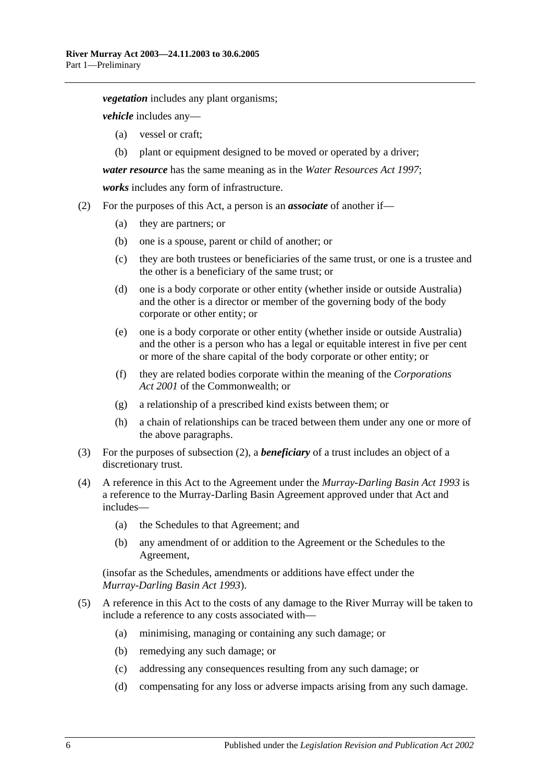*vegetation* includes any plant organisms;

*vehicle* includes any—

- (a) vessel or craft;
- (b) plant or equipment designed to be moved or operated by a driver;

*water resource* has the same meaning as in the *[Water Resources Act](http://www.legislation.sa.gov.au/index.aspx?action=legref&type=act&legtitle=Water%20Resources%20Act%201997) 1997*;

*works* includes any form of infrastructure.

- <span id="page-5-0"></span>(2) For the purposes of this Act, a person is an *associate* of another if—
	- (a) they are partners; or
	- (b) one is a spouse, parent or child of another; or
	- (c) they are both trustees or beneficiaries of the same trust, or one is a trustee and the other is a beneficiary of the same trust; or
	- (d) one is a body corporate or other entity (whether inside or outside Australia) and the other is a director or member of the governing body of the body corporate or other entity; or
	- (e) one is a body corporate or other entity (whether inside or outside Australia) and the other is a person who has a legal or equitable interest in five per cent or more of the share capital of the body corporate or other entity; or
	- (f) they are related bodies corporate within the meaning of the *Corporations Act 2001* of the Commonwealth; or
	- (g) a relationship of a prescribed kind exists between them; or
	- (h) a chain of relationships can be traced between them under any one or more of the above paragraphs.
- (3) For the purposes of [subsection](#page-5-0) (2), a *beneficiary* of a trust includes an object of a discretionary trust.
- (4) A reference in this Act to the Agreement under the *[Murray-Darling Basin Act](http://www.legislation.sa.gov.au/index.aspx?action=legref&type=act&legtitle=Murray-Darling%20Basin%20Act%201993) 1993* is a reference to the Murray-Darling Basin Agreement approved under that Act and includes—
	- (a) the Schedules to that Agreement; and
	- (b) any amendment of or addition to the Agreement or the Schedules to the Agreement,

(insofar as the Schedules, amendments or additions have effect under the *[Murray-Darling Basin Act](http://www.legislation.sa.gov.au/index.aspx?action=legref&type=act&legtitle=Murray-Darling%20Basin%20Act%201993) 1993*).

- (5) A reference in this Act to the costs of any damage to the River Murray will be taken to include a reference to any costs associated with—
	- (a) minimising, managing or containing any such damage; or
	- (b) remedying any such damage; or
	- (c) addressing any consequences resulting from any such damage; or
	- (d) compensating for any loss or adverse impacts arising from any such damage.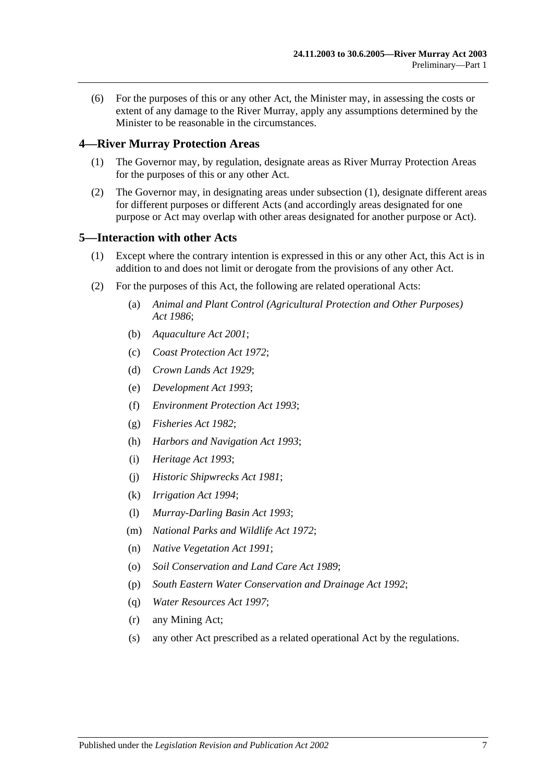(6) For the purposes of this or any other Act, the Minister may, in assessing the costs or extent of any damage to the River Murray, apply any assumptions determined by the Minister to be reasonable in the circumstances.

#### <span id="page-6-3"></span><span id="page-6-0"></span>**4—River Murray Protection Areas**

- (1) The Governor may, by regulation, designate areas as River Murray Protection Areas for the purposes of this or any other Act.
- (2) The Governor may, in designating areas under [subsection](#page-6-3) (1), designate different areas for different purposes or different Acts (and accordingly areas designated for one purpose or Act may overlap with other areas designated for another purpose or Act).

#### <span id="page-6-1"></span>**5—Interaction with other Acts**

- (1) Except where the contrary intention is expressed in this or any other Act, this Act is in addition to and does not limit or derogate from the provisions of any other Act.
- <span id="page-6-2"></span>(2) For the purposes of this Act, the following are related operational Acts:
	- (a) *[Animal and Plant Control \(Agricultural Protection and Other Purposes\)](http://www.legislation.sa.gov.au/index.aspx?action=legref&type=act&legtitle=Animal%20and%20Plant%20Control%20(Agricultural%20Protection%20and%20Other%20Purposes)%20Act%201986)  Act [1986](http://www.legislation.sa.gov.au/index.aspx?action=legref&type=act&legtitle=Animal%20and%20Plant%20Control%20(Agricultural%20Protection%20and%20Other%20Purposes)%20Act%201986)*;
	- (b) *[Aquaculture Act](http://www.legislation.sa.gov.au/index.aspx?action=legref&type=act&legtitle=Aquaculture%20Act%202001) 2001*;
	- (c) *[Coast Protection Act](http://www.legislation.sa.gov.au/index.aspx?action=legref&type=act&legtitle=Coast%20Protection%20Act%201972) 1972*;
	- (d) *[Crown Lands Act](http://www.legislation.sa.gov.au/index.aspx?action=legref&type=act&legtitle=Crown%20Lands%20Act%201929) 1929*;
	- (e) *[Development Act](http://www.legislation.sa.gov.au/index.aspx?action=legref&type=act&legtitle=Development%20Act%201993) 1993*;
	- (f) *[Environment Protection Act](http://www.legislation.sa.gov.au/index.aspx?action=legref&type=act&legtitle=Environment%20Protection%20Act%201993) 1993*;
	- (g) *[Fisheries Act](http://www.legislation.sa.gov.au/index.aspx?action=legref&type=act&legtitle=Fisheries%20Act%201982) 1982*;
	- (h) *[Harbors and Navigation Act](http://www.legislation.sa.gov.au/index.aspx?action=legref&type=act&legtitle=Harbors%20and%20Navigation%20Act%201993) 1993*;
	- (i) *[Heritage Act](http://www.legislation.sa.gov.au/index.aspx?action=legref&type=act&legtitle=Heritage%20Act%201993) 1993*;
	- (j) *[Historic Shipwrecks Act](http://www.legislation.sa.gov.au/index.aspx?action=legref&type=act&legtitle=Historic%20Shipwrecks%20Act%201981) 1981*;
	- (k) *[Irrigation Act](http://www.legislation.sa.gov.au/index.aspx?action=legref&type=act&legtitle=Irrigation%20Act%201994) 1994*;
	- (l) *[Murray-Darling Basin Act](http://www.legislation.sa.gov.au/index.aspx?action=legref&type=act&legtitle=Murray-Darling%20Basin%20Act%201993) 1993*;
	- (m) *[National Parks and Wildlife Act](http://www.legislation.sa.gov.au/index.aspx?action=legref&type=act&legtitle=National%20Parks%20and%20Wildlife%20Act%201972) 1972*;
	- (n) *[Native Vegetation Act](http://www.legislation.sa.gov.au/index.aspx?action=legref&type=act&legtitle=Native%20Vegetation%20Act%201991) 1991*;
	- (o) *[Soil Conservation and Land Care Act](http://www.legislation.sa.gov.au/index.aspx?action=legref&type=act&legtitle=Soil%20Conservation%20and%20Land%20Care%20Act%201989) 1989*;
	- (p) *[South Eastern Water Conservation and Drainage Act](http://www.legislation.sa.gov.au/index.aspx?action=legref&type=act&legtitle=South%20Eastern%20Water%20Conservation%20and%20Drainage%20Act%201992) 1992*;
	- (q) *[Water Resources Act](http://www.legislation.sa.gov.au/index.aspx?action=legref&type=act&legtitle=Water%20Resources%20Act%201997) 1997*;
	- (r) any Mining Act;
	- (s) any other Act prescribed as a related operational Act by the regulations.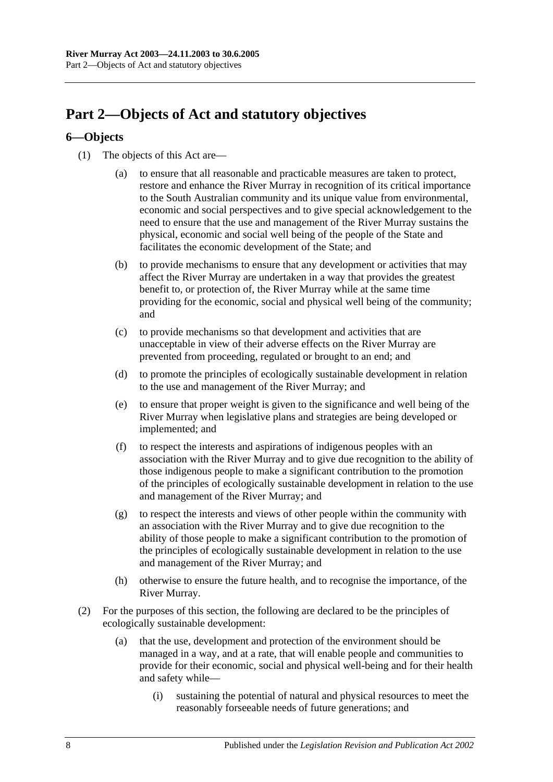## <span id="page-7-0"></span>**Part 2—Objects of Act and statutory objectives**

### <span id="page-7-1"></span>**6—Objects**

- (1) The objects of this Act are—
	- (a) to ensure that all reasonable and practicable measures are taken to protect, restore and enhance the River Murray in recognition of its critical importance to the South Australian community and its unique value from environmental, economic and social perspectives and to give special acknowledgement to the need to ensure that the use and management of the River Murray sustains the physical, economic and social well being of the people of the State and facilitates the economic development of the State; and
	- (b) to provide mechanisms to ensure that any development or activities that may affect the River Murray are undertaken in a way that provides the greatest benefit to, or protection of, the River Murray while at the same time providing for the economic, social and physical well being of the community; and
	- (c) to provide mechanisms so that development and activities that are unacceptable in view of their adverse effects on the River Murray are prevented from proceeding, regulated or brought to an end; and
	- (d) to promote the principles of ecologically sustainable development in relation to the use and management of the River Murray; and
	- (e) to ensure that proper weight is given to the significance and well being of the River Murray when legislative plans and strategies are being developed or implemented; and
	- (f) to respect the interests and aspirations of indigenous peoples with an association with the River Murray and to give due recognition to the ability of those indigenous people to make a significant contribution to the promotion of the principles of ecologically sustainable development in relation to the use and management of the River Murray; and
	- (g) to respect the interests and views of other people within the community with an association with the River Murray and to give due recognition to the ability of those people to make a significant contribution to the promotion of the principles of ecologically sustainable development in relation to the use and management of the River Murray; and
	- (h) otherwise to ensure the future health, and to recognise the importance, of the River Murray.
- (2) For the purposes of this section, the following are declared to be the principles of ecologically sustainable development:
	- (a) that the use, development and protection of the environment should be managed in a way, and at a rate, that will enable people and communities to provide for their economic, social and physical well-being and for their health and safety while—
		- (i) sustaining the potential of natural and physical resources to meet the reasonably forseeable needs of future generations; and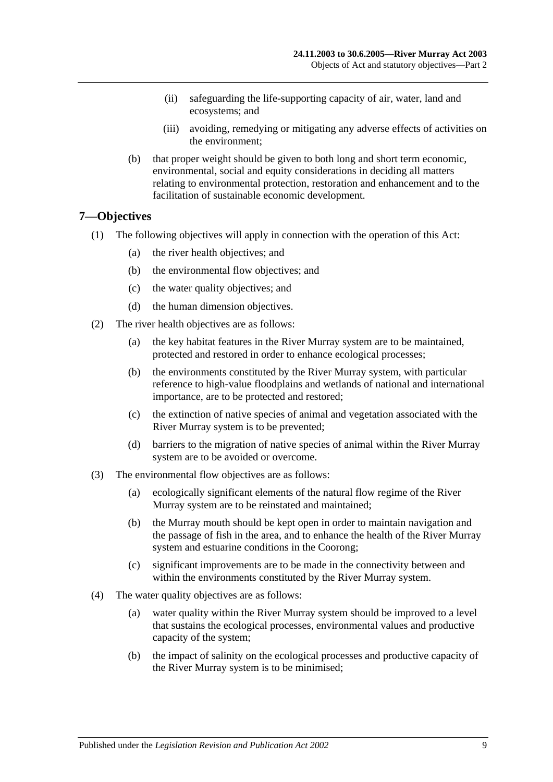- (ii) safeguarding the life-supporting capacity of air, water, land and ecosystems; and
- (iii) avoiding, remedying or mitigating any adverse effects of activities on the environment;
- (b) that proper weight should be given to both long and short term economic, environmental, social and equity considerations in deciding all matters relating to environmental protection, restoration and enhancement and to the facilitation of sustainable economic development.

#### <span id="page-8-0"></span>**7—Objectives**

- (1) The following objectives will apply in connection with the operation of this Act:
	- (a) the river health objectives; and
	- (b) the environmental flow objectives; and
	- (c) the water quality objectives; and
	- (d) the human dimension objectives.
- (2) The river health objectives are as follows:
	- (a) the key habitat features in the River Murray system are to be maintained, protected and restored in order to enhance ecological processes;
	- (b) the environments constituted by the River Murray system, with particular reference to high-value floodplains and wetlands of national and international importance, are to be protected and restored;
	- (c) the extinction of native species of animal and vegetation associated with the River Murray system is to be prevented;
	- (d) barriers to the migration of native species of animal within the River Murray system are to be avoided or overcome.
- (3) The environmental flow objectives are as follows:
	- (a) ecologically significant elements of the natural flow regime of the River Murray system are to be reinstated and maintained;
	- (b) the Murray mouth should be kept open in order to maintain navigation and the passage of fish in the area, and to enhance the health of the River Murray system and estuarine conditions in the Coorong;
	- (c) significant improvements are to be made in the connectivity between and within the environments constituted by the River Murray system.
- (4) The water quality objectives are as follows:
	- (a) water quality within the River Murray system should be improved to a level that sustains the ecological processes, environmental values and productive capacity of the system;
	- (b) the impact of salinity on the ecological processes and productive capacity of the River Murray system is to be minimised;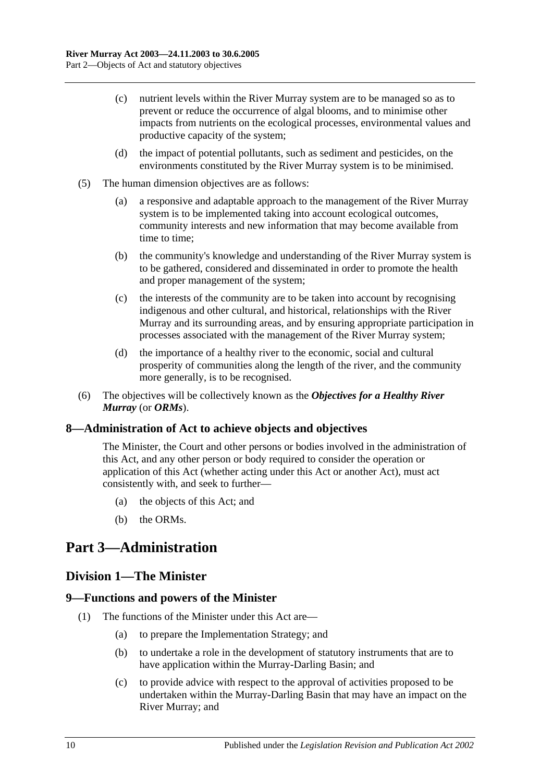- (c) nutrient levels within the River Murray system are to be managed so as to prevent or reduce the occurrence of algal blooms, and to minimise other impacts from nutrients on the ecological processes, environmental values and productive capacity of the system;
- (d) the impact of potential pollutants, such as sediment and pesticides, on the environments constituted by the River Murray system is to be minimised.
- (5) The human dimension objectives are as follows:
	- (a) a responsive and adaptable approach to the management of the River Murray system is to be implemented taking into account ecological outcomes, community interests and new information that may become available from time to time;
	- (b) the community's knowledge and understanding of the River Murray system is to be gathered, considered and disseminated in order to promote the health and proper management of the system;
	- (c) the interests of the community are to be taken into account by recognising indigenous and other cultural, and historical, relationships with the River Murray and its surrounding areas, and by ensuring appropriate participation in processes associated with the management of the River Murray system;
	- (d) the importance of a healthy river to the economic, social and cultural prosperity of communities along the length of the river, and the community more generally, is to be recognised.
- (6) The objectives will be collectively known as the *Objectives for a Healthy River Murray* (or *ORMs*).

#### <span id="page-9-0"></span>**8—Administration of Act to achieve objects and objectives**

The Minister, the Court and other persons or bodies involved in the administration of this Act, and any other person or body required to consider the operation or application of this Act (whether acting under this Act or another Act), must act consistently with, and seek to further—

- (a) the objects of this Act; and
- (b) the ORMs.

## <span id="page-9-2"></span><span id="page-9-1"></span>**Part 3—Administration**

#### **Division 1—The Minister**

#### <span id="page-9-3"></span>**9—Functions and powers of the Minister**

- (1) The functions of the Minister under this Act are—
	- (a) to prepare the Implementation Strategy; and
	- (b) to undertake a role in the development of statutory instruments that are to have application within the Murray-Darling Basin; and
	- (c) to provide advice with respect to the approval of activities proposed to be undertaken within the Murray-Darling Basin that may have an impact on the River Murray; and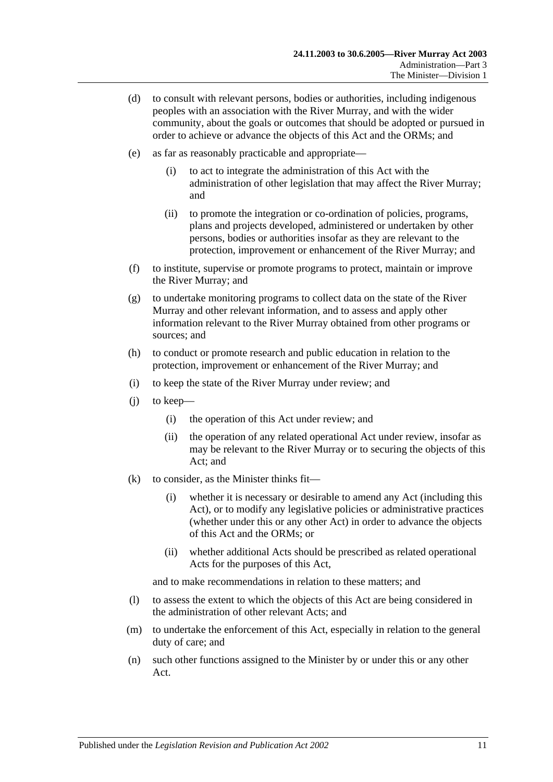- <span id="page-10-0"></span>(d) to consult with relevant persons, bodies or authorities, including indigenous peoples with an association with the River Murray, and with the wider community, about the goals or outcomes that should be adopted or pursued in order to achieve or advance the objects of this Act and the ORMs; and
- (e) as far as reasonably practicable and appropriate—
	- (i) to act to integrate the administration of this Act with the administration of other legislation that may affect the River Murray; and
	- (ii) to promote the integration or co-ordination of policies, programs, plans and projects developed, administered or undertaken by other persons, bodies or authorities insofar as they are relevant to the protection, improvement or enhancement of the River Murray; and
- (f) to institute, supervise or promote programs to protect, maintain or improve the River Murray; and
- (g) to undertake monitoring programs to collect data on the state of the River Murray and other relevant information, and to assess and apply other information relevant to the River Murray obtained from other programs or sources; and
- (h) to conduct or promote research and public education in relation to the protection, improvement or enhancement of the River Murray; and
- (i) to keep the state of the River Murray under review; and
- (j) to keep—
	- (i) the operation of this Act under review; and
	- (ii) the operation of any related operational Act under review, insofar as may be relevant to the River Murray or to securing the objects of this Act; and
- (k) to consider, as the Minister thinks fit—
	- (i) whether it is necessary or desirable to amend any Act (including this Act), or to modify any legislative policies or administrative practices (whether under this or any other Act) in order to advance the objects of this Act and the ORMs; or
	- (ii) whether additional Acts should be prescribed as related operational Acts for the purposes of this Act,

and to make recommendations in relation to these matters; and

- (l) to assess the extent to which the objects of this Act are being considered in the administration of other relevant Acts; and
- (m) to undertake the enforcement of this Act, especially in relation to the general duty of care; and
- (n) such other functions assigned to the Minister by or under this or any other Act.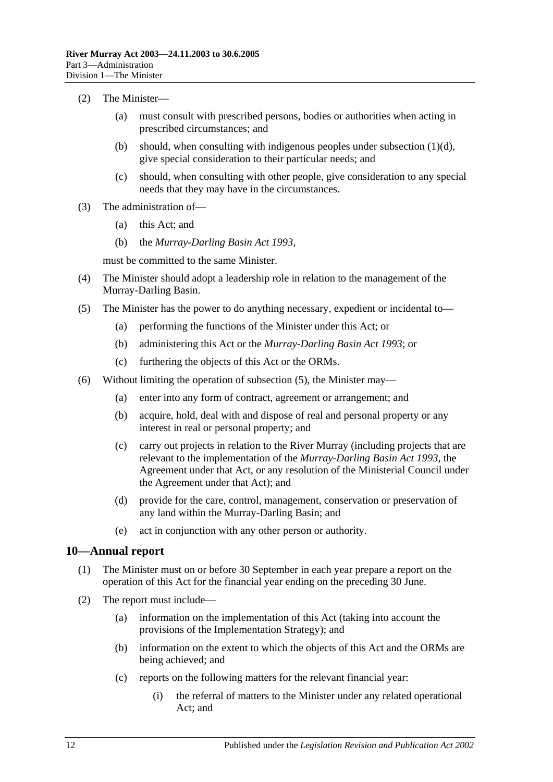#### (2) The Minister—

- (a) must consult with prescribed persons, bodies or authorities when acting in prescribed circumstances; and
- (b) should, when consulting with indigenous peoples under [subsection](#page-10-0)  $(1)(d)$ , give special consideration to their particular needs; and
- (c) should, when consulting with other people, give consideration to any special needs that they may have in the circumstances.
- (3) The administration of—
	- (a) this Act; and
	- (b) the *[Murray-Darling Basin Act](http://www.legislation.sa.gov.au/index.aspx?action=legref&type=act&legtitle=Murray-Darling%20Basin%20Act%201993) 1993*,

must be committed to the same Minister.

- (4) The Minister should adopt a leadership role in relation to the management of the Murray-Darling Basin.
- <span id="page-11-1"></span>(5) The Minister has the power to do anything necessary, expedient or incidental to—
	- (a) performing the functions of the Minister under this Act; or
	- (b) administering this Act or the *[Murray-Darling Basin Act](http://www.legislation.sa.gov.au/index.aspx?action=legref&type=act&legtitle=Murray-Darling%20Basin%20Act%201993) 1993*; or
	- (c) furthering the objects of this Act or the ORMs.
- (6) Without limiting the operation of [subsection](#page-11-1) (5), the Minister may—
	- (a) enter into any form of contract, agreement or arrangement; and
	- (b) acquire, hold, deal with and dispose of real and personal property or any interest in real or personal property; and
	- (c) carry out projects in relation to the River Murray (including projects that are relevant to the implementation of the *[Murray-Darling Basin Act](http://www.legislation.sa.gov.au/index.aspx?action=legref&type=act&legtitle=Murray-Darling%20Basin%20Act%201993) 1993*, the Agreement under that Act, or any resolution of the Ministerial Council under the Agreement under that Act); and
	- (d) provide for the care, control, management, conservation or preservation of any land within the Murray-Darling Basin; and
	- (e) act in conjunction with any other person or authority.

#### <span id="page-11-0"></span>**10—Annual report**

- (1) The Minister must on or before 30 September in each year prepare a report on the operation of this Act for the financial year ending on the preceding 30 June.
- (2) The report must include—
	- (a) information on the implementation of this Act (taking into account the provisions of the Implementation Strategy); and
	- (b) information on the extent to which the objects of this Act and the ORMs are being achieved; and
	- (c) reports on the following matters for the relevant financial year:
		- (i) the referral of matters to the Minister under any related operational Act; and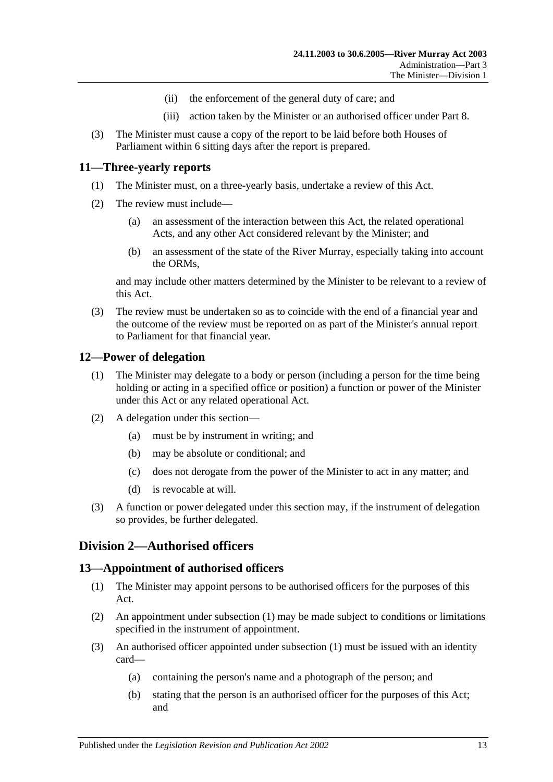- (ii) the enforcement of the general duty of care; and
- (iii) action taken by the Minister or an authorised officer under [Part 8.](#page-25-0)
- (3) The Minister must cause a copy of the report to be laid before both Houses of Parliament within 6 sitting days after the report is prepared.

#### <span id="page-12-0"></span>**11—Three-yearly reports**

- (1) The Minister must, on a three-yearly basis, undertake a review of this Act.
- (2) The review must include—
	- (a) an assessment of the interaction between this Act, the related operational Acts, and any other Act considered relevant by the Minister; and
	- (b) an assessment of the state of the River Murray, especially taking into account the ORMs,

and may include other matters determined by the Minister to be relevant to a review of this Act.

(3) The review must be undertaken so as to coincide with the end of a financial year and the outcome of the review must be reported on as part of the Minister's annual report to Parliament for that financial year.

#### <span id="page-12-1"></span>**12—Power of delegation**

- (1) The Minister may delegate to a body or person (including a person for the time being holding or acting in a specified office or position) a function or power of the Minister under this Act or any related operational Act.
- (2) A delegation under this section—
	- (a) must be by instrument in writing; and
	- (b) may be absolute or conditional; and
	- (c) does not derogate from the power of the Minister to act in any matter; and
	- (d) is revocable at will.
- (3) A function or power delegated under this section may, if the instrument of delegation so provides, be further delegated.

### <span id="page-12-2"></span>**Division 2—Authorised officers**

#### <span id="page-12-4"></span><span id="page-12-3"></span>**13—Appointment of authorised officers**

- (1) The Minister may appoint persons to be authorised officers for the purposes of this Act.
- (2) An appointment under [subsection](#page-12-4) (1) may be made subject to conditions or limitations specified in the instrument of appointment.
- (3) An authorised officer appointed under [subsection](#page-12-4) (1) must be issued with an identity card—
	- (a) containing the person's name and a photograph of the person; and
	- (b) stating that the person is an authorised officer for the purposes of this Act; and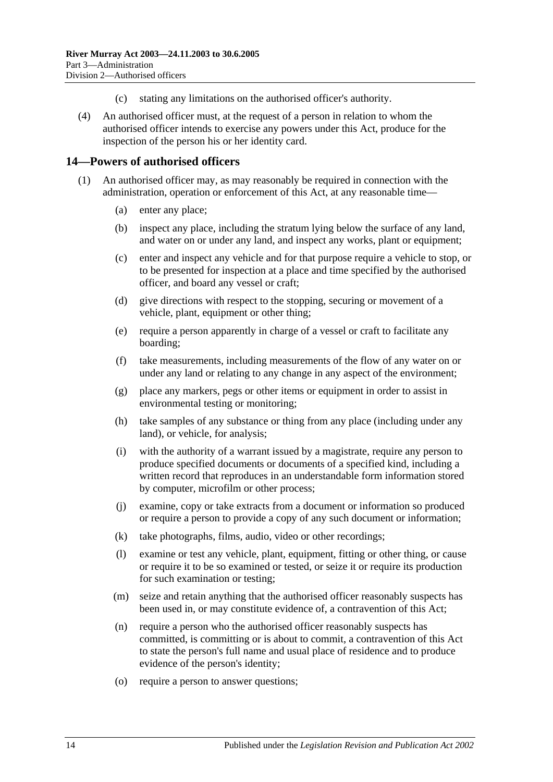- (c) stating any limitations on the authorised officer's authority.
- (4) An authorised officer must, at the request of a person in relation to whom the authorised officer intends to exercise any powers under this Act, produce for the inspection of the person his or her identity card.

#### <span id="page-13-1"></span><span id="page-13-0"></span>**14—Powers of authorised officers**

- <span id="page-13-2"></span>(1) An authorised officer may, as may reasonably be required in connection with the administration, operation or enforcement of this Act, at any reasonable time—
	- (a) enter any place;
	- (b) inspect any place, including the stratum lying below the surface of any land, and water on or under any land, and inspect any works, plant or equipment;
	- (c) enter and inspect any vehicle and for that purpose require a vehicle to stop, or to be presented for inspection at a place and time specified by the authorised officer, and board any vessel or craft;
	- (d) give directions with respect to the stopping, securing or movement of a vehicle, plant, equipment or other thing;
	- (e) require a person apparently in charge of a vessel or craft to facilitate any boarding;
	- (f) take measurements, including measurements of the flow of any water on or under any land or relating to any change in any aspect of the environment;
	- (g) place any markers, pegs or other items or equipment in order to assist in environmental testing or monitoring;
	- (h) take samples of any substance or thing from any place (including under any land), or vehicle, for analysis;
	- (i) with the authority of a warrant issued by a magistrate, require any person to produce specified documents or documents of a specified kind, including a written record that reproduces in an understandable form information stored by computer, microfilm or other process;
	- (j) examine, copy or take extracts from a document or information so produced or require a person to provide a copy of any such document or information;
	- (k) take photographs, films, audio, video or other recordings;
	- (l) examine or test any vehicle, plant, equipment, fitting or other thing, or cause or require it to be so examined or tested, or seize it or require its production for such examination or testing;
	- (m) seize and retain anything that the authorised officer reasonably suspects has been used in, or may constitute evidence of, a contravention of this Act;
	- (n) require a person who the authorised officer reasonably suspects has committed, is committing or is about to commit, a contravention of this Act to state the person's full name and usual place of residence and to produce evidence of the person's identity;
	- (o) require a person to answer questions;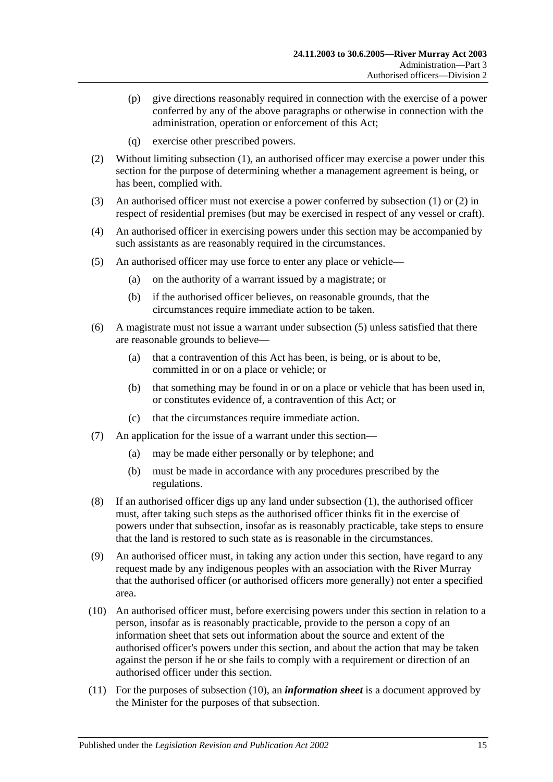- (p) give directions reasonably required in connection with the exercise of a power conferred by any of the above paragraphs or otherwise in connection with the administration, operation or enforcement of this Act;
- (q) exercise other prescribed powers.
- <span id="page-14-0"></span>(2) Without limiting [subsection](#page-13-1) (1), an authorised officer may exercise a power under this section for the purpose of determining whether a management agreement is being, or has been, complied with.
- (3) An authorised officer must not exercise a power conferred by [subsection](#page-13-1) (1) or [\(2\)](#page-14-0) in respect of residential premises (but may be exercised in respect of any vessel or craft).
- (4) An authorised officer in exercising powers under this section may be accompanied by such assistants as are reasonably required in the circumstances.
- <span id="page-14-1"></span>(5) An authorised officer may use force to enter any place or vehicle—
	- (a) on the authority of a warrant issued by a magistrate; or
	- (b) if the authorised officer believes, on reasonable grounds, that the circumstances require immediate action to be taken.
- (6) A magistrate must not issue a warrant under [subsection](#page-14-1) (5) unless satisfied that there are reasonable grounds to believe—
	- (a) that a contravention of this Act has been, is being, or is about to be, committed in or on a place or vehicle; or
	- (b) that something may be found in or on a place or vehicle that has been used in, or constitutes evidence of, a contravention of this Act; or
	- (c) that the circumstances require immediate action.
- (7) An application for the issue of a warrant under this section—
	- (a) may be made either personally or by telephone; and
	- (b) must be made in accordance with any procedures prescribed by the regulations.
- (8) If an authorised officer digs up any land under [subsection](#page-13-1) (1), the authorised officer must, after taking such steps as the authorised officer thinks fit in the exercise of powers under that subsection, insofar as is reasonably practicable, take steps to ensure that the land is restored to such state as is reasonable in the circumstances.
- (9) An authorised officer must, in taking any action under this section, have regard to any request made by any indigenous peoples with an association with the River Murray that the authorised officer (or authorised officers more generally) not enter a specified area.
- <span id="page-14-2"></span>(10) An authorised officer must, before exercising powers under this section in relation to a person, insofar as is reasonably practicable, provide to the person a copy of an information sheet that sets out information about the source and extent of the authorised officer's powers under this section, and about the action that may be taken against the person if he or she fails to comply with a requirement or direction of an authorised officer under this section.
- (11) For the purposes of [subsection](#page-14-2) (10), an *information sheet* is a document approved by the Minister for the purposes of that subsection.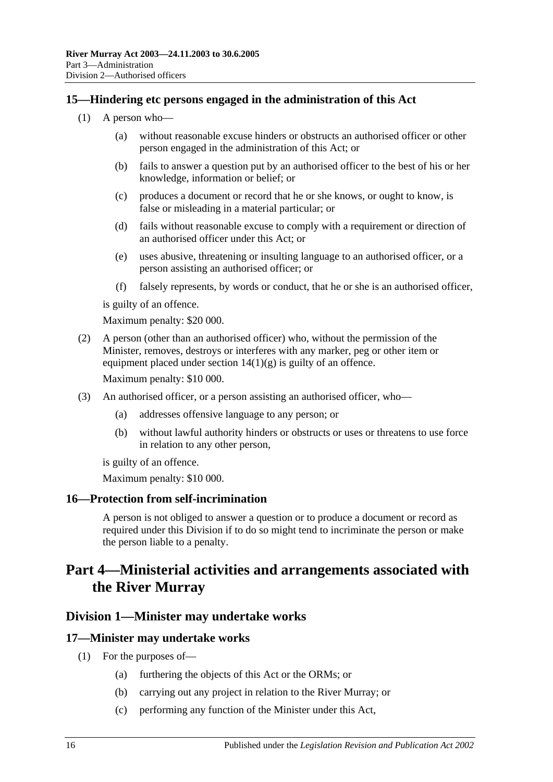#### <span id="page-15-0"></span>**15—Hindering etc persons engaged in the administration of this Act**

- (1) A person who—
	- (a) without reasonable excuse hinders or obstructs an authorised officer or other person engaged in the administration of this Act; or
	- (b) fails to answer a question put by an authorised officer to the best of his or her knowledge, information or belief; or
	- (c) produces a document or record that he or she knows, or ought to know, is false or misleading in a material particular; or
	- (d) fails without reasonable excuse to comply with a requirement or direction of an authorised officer under this Act; or
	- (e) uses abusive, threatening or insulting language to an authorised officer, or a person assisting an authorised officer; or
	- (f) falsely represents, by words or conduct, that he or she is an authorised officer,

is guilty of an offence.

Maximum penalty: \$20 000.

(2) A person (other than an authorised officer) who, without the permission of the Minister, removes, destroys or interferes with any marker, peg or other item or equipment placed under section  $14(1)(g)$  is guilty of an offence.

Maximum penalty: \$10 000.

- (3) An authorised officer, or a person assisting an authorised officer, who—
	- (a) addresses offensive language to any person; or
	- (b) without lawful authority hinders or obstructs or uses or threatens to use force in relation to any other person,

is guilty of an offence.

Maximum penalty: \$10 000.

#### <span id="page-15-1"></span>**16—Protection from self-incrimination**

A person is not obliged to answer a question or to produce a document or record as required under this Division if to do so might tend to incriminate the person or make the person liable to a penalty.

## <span id="page-15-2"></span>**Part 4—Ministerial activities and arrangements associated with the River Murray**

#### <span id="page-15-3"></span>**Division 1—Minister may undertake works**

#### <span id="page-15-5"></span><span id="page-15-4"></span>**17—Minister may undertake works**

- (1) For the purposes of—
	- (a) furthering the objects of this Act or the ORMs; or
	- (b) carrying out any project in relation to the River Murray; or
	- (c) performing any function of the Minister under this Act,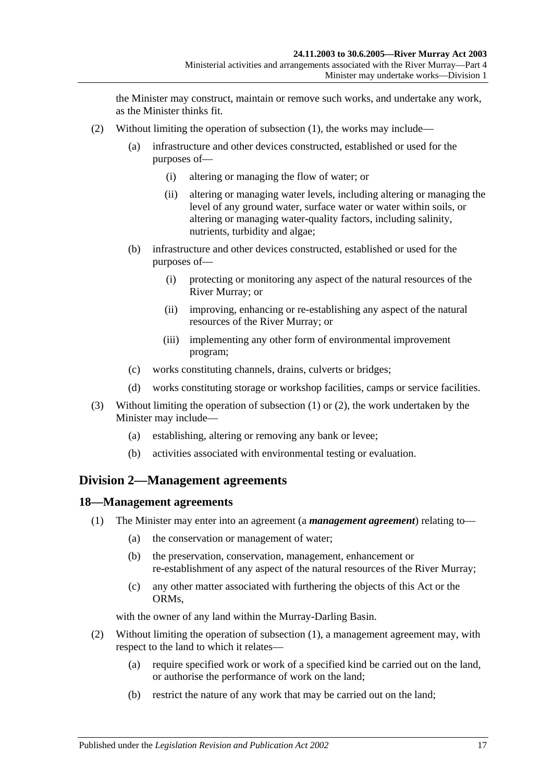the Minister may construct, maintain or remove such works, and undertake any work, as the Minister thinks fit.

- <span id="page-16-2"></span>(2) Without limiting the operation of [subsection](#page-15-5) (1), the works may include—
	- (a) infrastructure and other devices constructed, established or used for the purposes of—
		- (i) altering or managing the flow of water; or
		- (ii) altering or managing water levels, including altering or managing the level of any ground water, surface water or water within soils, or altering or managing water-quality factors, including salinity, nutrients, turbidity and algae;
	- (b) infrastructure and other devices constructed, established or used for the purposes of—
		- (i) protecting or monitoring any aspect of the natural resources of the River Murray; or
		- (ii) improving, enhancing or re-establishing any aspect of the natural resources of the River Murray; or
		- (iii) implementing any other form of environmental improvement program;
	- (c) works constituting channels, drains, culverts or bridges;
	- (d) works constituting storage or workshop facilities, camps or service facilities.
- (3) Without limiting the operation of [subsection](#page-15-5) (1) or [\(2\),](#page-16-2) the work undertaken by the Minister may include—
	- (a) establishing, altering or removing any bank or levee;
	- (b) activities associated with environmental testing or evaluation.

#### <span id="page-16-0"></span>**Division 2—Management agreements**

#### <span id="page-16-3"></span><span id="page-16-1"></span>**18—Management agreements**

- (1) The Minister may enter into an agreement (a *management agreement*) relating to—
	- (a) the conservation or management of water;
	- (b) the preservation, conservation, management, enhancement or re-establishment of any aspect of the natural resources of the River Murray;
	- (c) any other matter associated with furthering the objects of this Act or the ORMs,

with the owner of any land within the Murray-Darling Basin.

- (2) Without limiting the operation of [subsection](#page-16-3) (1), a management agreement may, with respect to the land to which it relates—
	- (a) require specified work or work of a specified kind be carried out on the land, or authorise the performance of work on the land;
	- (b) restrict the nature of any work that may be carried out on the land;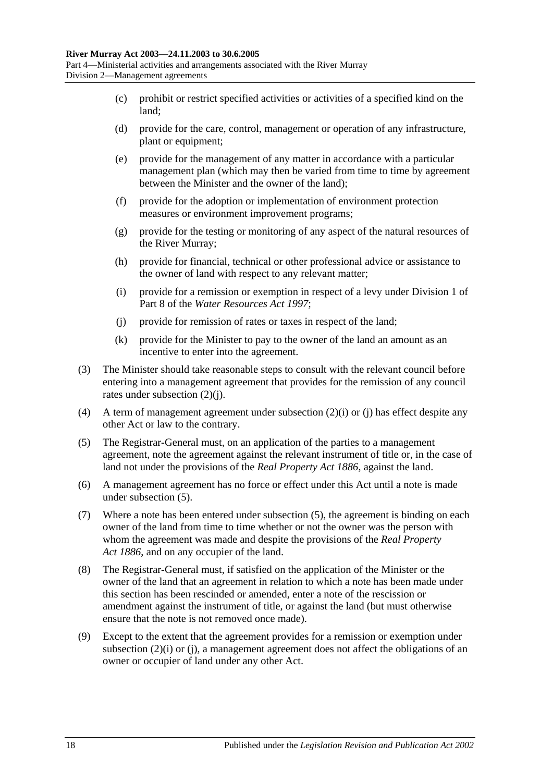- (c) prohibit or restrict specified activities or activities of a specified kind on the land;
- (d) provide for the care, control, management or operation of any infrastructure, plant or equipment;
- (e) provide for the management of any matter in accordance with a particular management plan (which may then be varied from time to time by agreement between the Minister and the owner of the land);
- (f) provide for the adoption or implementation of environment protection measures or environment improvement programs;
- (g) provide for the testing or monitoring of any aspect of the natural resources of the River Murray;
- (h) provide for financial, technical or other professional advice or assistance to the owner of land with respect to any relevant matter;
- <span id="page-17-1"></span>(i) provide for a remission or exemption in respect of a levy under Division 1 of Part 8 of the *[Water Resources Act](http://www.legislation.sa.gov.au/index.aspx?action=legref&type=act&legtitle=Water%20Resources%20Act%201997) 1997*;
- <span id="page-17-0"></span>(j) provide for remission of rates or taxes in respect of the land;
- (k) provide for the Minister to pay to the owner of the land an amount as an incentive to enter into the agreement.
- (3) The Minister should take reasonable steps to consult with the relevant council before entering into a management agreement that provides for the remission of any council rates under [subsection](#page-17-0) (2)(j).
- (4) A term of management agreement under [subsection](#page-17-1)  $(2)(i)$  or [\(j\)](#page-17-0) has effect despite any other Act or law to the contrary.
- <span id="page-17-2"></span>(5) The Registrar-General must, on an application of the parties to a management agreement, note the agreement against the relevant instrument of title or, in the case of land not under the provisions of the *[Real Property Act](http://www.legislation.sa.gov.au/index.aspx?action=legref&type=act&legtitle=Real%20Property%20Act%201886) 1886*, against the land.
- (6) A management agreement has no force or effect under this Act until a note is made under [subsection](#page-17-2) (5).
- (7) Where a note has been entered under [subsection](#page-17-2) (5), the agreement is binding on each owner of the land from time to time whether or not the owner was the person with whom the agreement was made and despite the provisions of the *[Real Property](http://www.legislation.sa.gov.au/index.aspx?action=legref&type=act&legtitle=Real%20Property%20Act%201886)  Act [1886](http://www.legislation.sa.gov.au/index.aspx?action=legref&type=act&legtitle=Real%20Property%20Act%201886)*, and on any occupier of the land.
- (8) The Registrar-General must, if satisfied on the application of the Minister or the owner of the land that an agreement in relation to which a note has been made under this section has been rescinded or amended, enter a note of the rescission or amendment against the instrument of title, or against the land (but must otherwise ensure that the note is not removed once made).
- (9) Except to the extent that the agreement provides for a remission or exemption under [subsection](#page-17-1) (2)(i) or [\(j\),](#page-17-0) a management agreement does not affect the obligations of an owner or occupier of land under any other Act.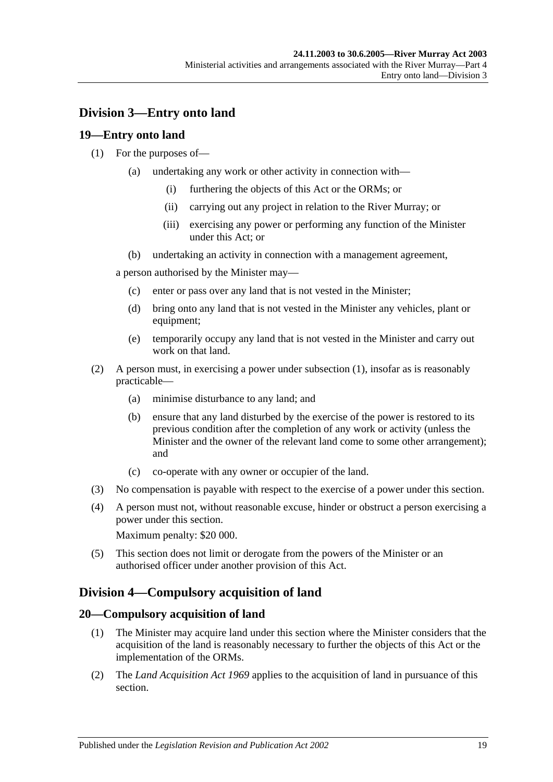### <span id="page-18-0"></span>**Division 3—Entry onto land**

### <span id="page-18-4"></span><span id="page-18-1"></span>**19—Entry onto land**

#### (1) For the purposes of—

- (a) undertaking any work or other activity in connection with—
	- (i) furthering the objects of this Act or the ORMs; or
	- (ii) carrying out any project in relation to the River Murray; or
	- (iii) exercising any power or performing any function of the Minister under this Act; or
- (b) undertaking an activity in connection with a management agreement,

a person authorised by the Minister may—

- (c) enter or pass over any land that is not vested in the Minister;
- (d) bring onto any land that is not vested in the Minister any vehicles, plant or equipment;
- (e) temporarily occupy any land that is not vested in the Minister and carry out work on that land.
- (2) A person must, in exercising a power under [subsection](#page-18-4) (1), insofar as is reasonably practicable—
	- (a) minimise disturbance to any land; and
	- (b) ensure that any land disturbed by the exercise of the power is restored to its previous condition after the completion of any work or activity (unless the Minister and the owner of the relevant land come to some other arrangement); and
	- (c) co-operate with any owner or occupier of the land.
- (3) No compensation is payable with respect to the exercise of a power under this section.
- (4) A person must not, without reasonable excuse, hinder or obstruct a person exercising a power under this section.

Maximum penalty: \$20 000.

(5) This section does not limit or derogate from the powers of the Minister or an authorised officer under another provision of this Act.

## <span id="page-18-2"></span>**Division 4—Compulsory acquisition of land**

#### <span id="page-18-3"></span>**20—Compulsory acquisition of land**

- (1) The Minister may acquire land under this section where the Minister considers that the acquisition of the land is reasonably necessary to further the objects of this Act or the implementation of the ORMs.
- (2) The *[Land Acquisition Act](http://www.legislation.sa.gov.au/index.aspx?action=legref&type=act&legtitle=Land%20Acquisition%20Act%201969) 1969* applies to the acquisition of land in pursuance of this section.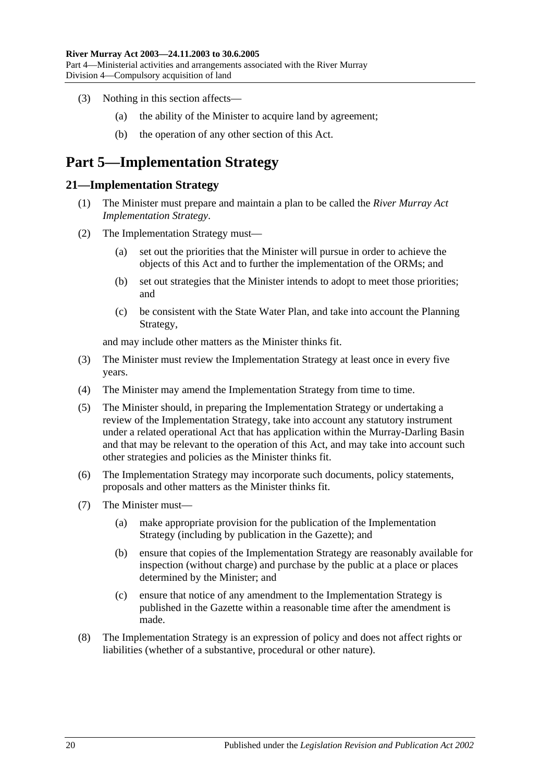- (3) Nothing in this section affects—
	- (a) the ability of the Minister to acquire land by agreement;
	- (b) the operation of any other section of this Act.

## <span id="page-19-0"></span>**Part 5—Implementation Strategy**

#### <span id="page-19-1"></span>**21—Implementation Strategy**

- (1) The Minister must prepare and maintain a plan to be called the *River Murray Act Implementation Strategy*.
- (2) The Implementation Strategy must—
	- (a) set out the priorities that the Minister will pursue in order to achieve the objects of this Act and to further the implementation of the ORMs; and
	- (b) set out strategies that the Minister intends to adopt to meet those priorities; and
	- (c) be consistent with the State Water Plan, and take into account the Planning Strategy,

and may include other matters as the Minister thinks fit.

- (3) The Minister must review the Implementation Strategy at least once in every five years.
- (4) The Minister may amend the Implementation Strategy from time to time.
- (5) The Minister should, in preparing the Implementation Strategy or undertaking a review of the Implementation Strategy, take into account any statutory instrument under a related operational Act that has application within the Murray-Darling Basin and that may be relevant to the operation of this Act, and may take into account such other strategies and policies as the Minister thinks fit.
- (6) The Implementation Strategy may incorporate such documents, policy statements, proposals and other matters as the Minister thinks fit.
- (7) The Minister must—
	- (a) make appropriate provision for the publication of the Implementation Strategy (including by publication in the Gazette); and
	- (b) ensure that copies of the Implementation Strategy are reasonably available for inspection (without charge) and purchase by the public at a place or places determined by the Minister; and
	- (c) ensure that notice of any amendment to the Implementation Strategy is published in the Gazette within a reasonable time after the amendment is made.
- (8) The Implementation Strategy is an expression of policy and does not affect rights or liabilities (whether of a substantive, procedural or other nature).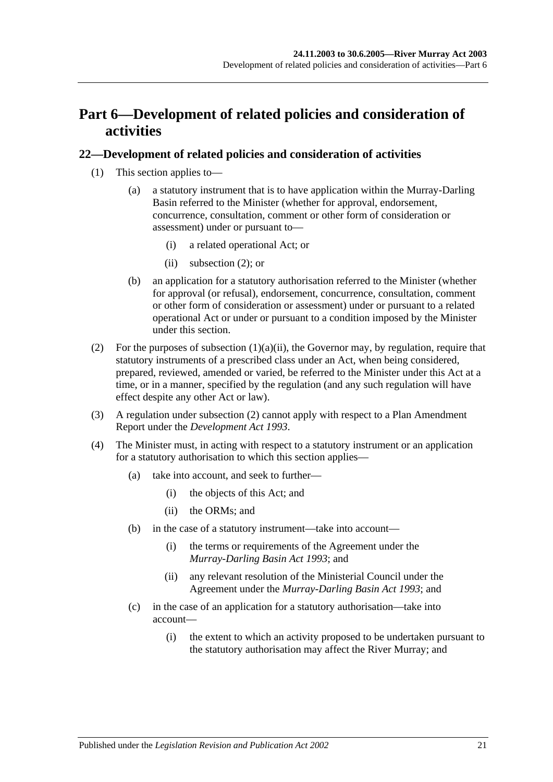## <span id="page-20-0"></span>**Part 6—Development of related policies and consideration of activities**

#### <span id="page-20-1"></span>**22—Development of related policies and consideration of activities**

- <span id="page-20-3"></span>(1) This section applies to—
	- (a) a statutory instrument that is to have application within the Murray-Darling Basin referred to the Minister (whether for approval, endorsement, concurrence, consultation, comment or other form of consideration or assessment) under or pursuant to—
		- (i) a related operational Act; or
		- (ii) [subsection](#page-20-2) (2); or
	- (b) an application for a statutory authorisation referred to the Minister (whether for approval (or refusal), endorsement, concurrence, consultation, comment or other form of consideration or assessment) under or pursuant to a related operational Act or under or pursuant to a condition imposed by the Minister under this section.
- <span id="page-20-2"></span>(2) For the purposes of [subsection](#page-20-3)  $(1)(a)(ii)$ , the Governor may, by regulation, require that statutory instruments of a prescribed class under an Act, when being considered, prepared, reviewed, amended or varied, be referred to the Minister under this Act at a time, or in a manner, specified by the regulation (and any such regulation will have effect despite any other Act or law).
- (3) A regulation under [subsection](#page-20-2) (2) cannot apply with respect to a Plan Amendment Report under the *[Development Act](http://www.legislation.sa.gov.au/index.aspx?action=legref&type=act&legtitle=Development%20Act%201993) 1993*.
- (4) The Minister must, in acting with respect to a statutory instrument or an application for a statutory authorisation to which this section applies—
	- (a) take into account, and seek to further—
		- (i) the objects of this Act; and
		- (ii) the ORMs; and
	- (b) in the case of a statutory instrument—take into account—
		- (i) the terms or requirements of the Agreement under the *[Murray-Darling Basin Act](http://www.legislation.sa.gov.au/index.aspx?action=legref&type=act&legtitle=Murray-Darling%20Basin%20Act%201993) 1993*; and
		- (ii) any relevant resolution of the Ministerial Council under the Agreement under the *[Murray-Darling Basin Act](http://www.legislation.sa.gov.au/index.aspx?action=legref&type=act&legtitle=Murray-Darling%20Basin%20Act%201993) 1993*; and
	- (c) in the case of an application for a statutory authorisation—take into account—
		- (i) the extent to which an activity proposed to be undertaken pursuant to the statutory authorisation may affect the River Murray; and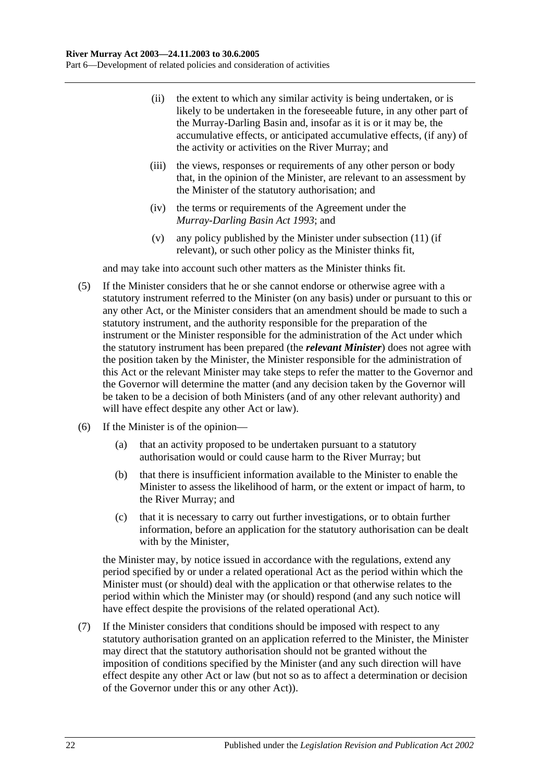- (ii) the extent to which any similar activity is being undertaken, or is likely to be undertaken in the foreseeable future, in any other part of the Murray-Darling Basin and, insofar as it is or it may be, the accumulative effects, or anticipated accumulative effects, (if any) of the activity or activities on the River Murray; and
- (iii) the views, responses or requirements of any other person or body that, in the opinion of the Minister, are relevant to an assessment by the Minister of the statutory authorisation; and
- (iv) the terms or requirements of the Agreement under the *[Murray-Darling Basin Act](http://www.legislation.sa.gov.au/index.aspx?action=legref&type=act&legtitle=Murray-Darling%20Basin%20Act%201993) 1993*; and
- (v) any policy published by the Minister under [subsection](#page-23-0) (11) (if relevant), or such other policy as the Minister thinks fit,

and may take into account such other matters as the Minister thinks fit.

- (5) If the Minister considers that he or she cannot endorse or otherwise agree with a statutory instrument referred to the Minister (on any basis) under or pursuant to this or any other Act, or the Minister considers that an amendment should be made to such a statutory instrument, and the authority responsible for the preparation of the instrument or the Minister responsible for the administration of the Act under which the statutory instrument has been prepared (the *relevant Minister*) does not agree with the position taken by the Minister, the Minister responsible for the administration of this Act or the relevant Minister may take steps to refer the matter to the Governor and the Governor will determine the matter (and any decision taken by the Governor will be taken to be a decision of both Ministers (and of any other relevant authority) and will have effect despite any other Act or law).
- (6) If the Minister is of the opinion—
	- (a) that an activity proposed to be undertaken pursuant to a statutory authorisation would or could cause harm to the River Murray; but
	- (b) that there is insufficient information available to the Minister to enable the Minister to assess the likelihood of harm, or the extent or impact of harm, to the River Murray; and
	- (c) that it is necessary to carry out further investigations, or to obtain further information, before an application for the statutory authorisation can be dealt with by the Minister,

the Minister may, by notice issued in accordance with the regulations, extend any period specified by or under a related operational Act as the period within which the Minister must (or should) deal with the application or that otherwise relates to the period within which the Minister may (or should) respond (and any such notice will have effect despite the provisions of the related operational Act).

<span id="page-21-0"></span>(7) If the Minister considers that conditions should be imposed with respect to any statutory authorisation granted on an application referred to the Minister, the Minister may direct that the statutory authorisation should not be granted without the imposition of conditions specified by the Minister (and any such direction will have effect despite any other Act or law (but not so as to affect a determination or decision of the Governor under this or any other Act)).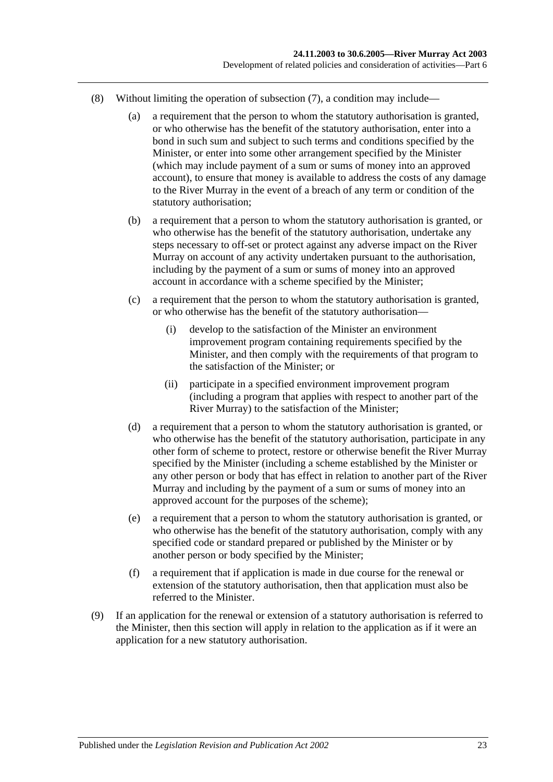- (8) Without limiting the operation of [subsection](#page-21-0) (7), a condition may include—
	- (a) a requirement that the person to whom the statutory authorisation is granted, or who otherwise has the benefit of the statutory authorisation, enter into a bond in such sum and subject to such terms and conditions specified by the Minister, or enter into some other arrangement specified by the Minister (which may include payment of a sum or sums of money into an approved account), to ensure that money is available to address the costs of any damage to the River Murray in the event of a breach of any term or condition of the statutory authorisation;
	- (b) a requirement that a person to whom the statutory authorisation is granted, or who otherwise has the benefit of the statutory authorisation, undertake any steps necessary to off-set or protect against any adverse impact on the River Murray on account of any activity undertaken pursuant to the authorisation, including by the payment of a sum or sums of money into an approved account in accordance with a scheme specified by the Minister;
	- (c) a requirement that the person to whom the statutory authorisation is granted, or who otherwise has the benefit of the statutory authorisation—
		- (i) develop to the satisfaction of the Minister an environment improvement program containing requirements specified by the Minister, and then comply with the requirements of that program to the satisfaction of the Minister; or
		- (ii) participate in a specified environment improvement program (including a program that applies with respect to another part of the River Murray) to the satisfaction of the Minister;
	- (d) a requirement that a person to whom the statutory authorisation is granted, or who otherwise has the benefit of the statutory authorisation, participate in any other form of scheme to protect, restore or otherwise benefit the River Murray specified by the Minister (including a scheme established by the Minister or any other person or body that has effect in relation to another part of the River Murray and including by the payment of a sum or sums of money into an approved account for the purposes of the scheme);
	- (e) a requirement that a person to whom the statutory authorisation is granted, or who otherwise has the benefit of the statutory authorisation, comply with any specified code or standard prepared or published by the Minister or by another person or body specified by the Minister;
	- (f) a requirement that if application is made in due course for the renewal or extension of the statutory authorisation, then that application must also be referred to the Minister.
- (9) If an application for the renewal or extension of a statutory authorisation is referred to the Minister, then this section will apply in relation to the application as if it were an application for a new statutory authorisation.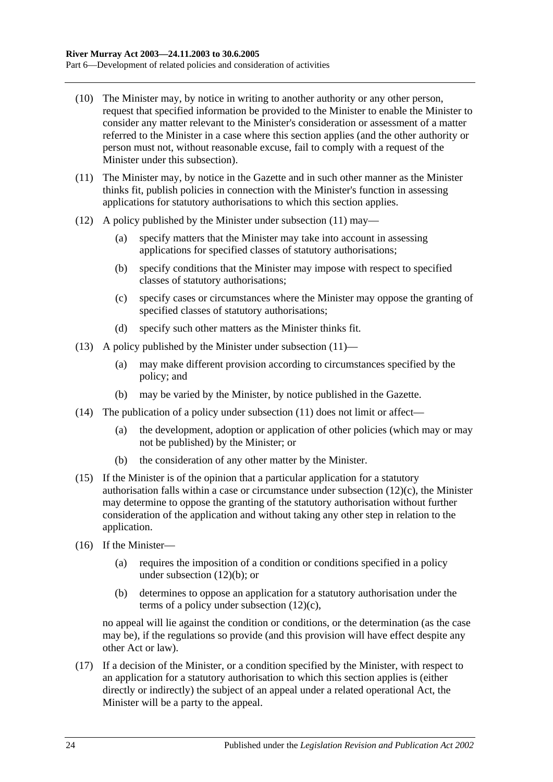- (10) The Minister may, by notice in writing to another authority or any other person, request that specified information be provided to the Minister to enable the Minister to consider any matter relevant to the Minister's consideration or assessment of a matter referred to the Minister in a case where this section applies (and the other authority or person must not, without reasonable excuse, fail to comply with a request of the Minister under this subsection).
- <span id="page-23-0"></span>(11) The Minister may, by notice in the Gazette and in such other manner as the Minister thinks fit, publish policies in connection with the Minister's function in assessing applications for statutory authorisations to which this section applies.
- <span id="page-23-2"></span>(12) A policy published by the Minister under [subsection](#page-23-0) (11) may—
	- (a) specify matters that the Minister may take into account in assessing applications for specified classes of statutory authorisations;
	- (b) specify conditions that the Minister may impose with respect to specified classes of statutory authorisations;
	- (c) specify cases or circumstances where the Minister may oppose the granting of specified classes of statutory authorisations;
	- (d) specify such other matters as the Minister thinks fit.
- <span id="page-23-1"></span>(13) A policy published by the Minister under [subsection](#page-23-0)  $(11)$ —
	- (a) may make different provision according to circumstances specified by the policy; and
	- (b) may be varied by the Minister, by notice published in the Gazette.
- (14) The publication of a policy under [subsection](#page-23-0)  $(11)$  does not limit or affect—
	- (a) the development, adoption or application of other policies (which may or may not be published) by the Minister; or
	- (b) the consideration of any other matter by the Minister.
- (15) If the Minister is of the opinion that a particular application for a statutory authorisation falls within a case or circumstance under [subsection](#page-23-1) (12)(c), the Minister may determine to oppose the granting of the statutory authorisation without further consideration of the application and without taking any other step in relation to the application.
- (16) If the Minister—
	- (a) requires the imposition of a condition or conditions specified in a policy under [subsection](#page-23-2) (12)(b); or
	- (b) determines to oppose an application for a statutory authorisation under the terms of a policy under [subsection](#page-23-1) (12)(c),

no appeal will lie against the condition or conditions, or the determination (as the case may be), if the regulations so provide (and this provision will have effect despite any other Act or law).

(17) If a decision of the Minister, or a condition specified by the Minister, with respect to an application for a statutory authorisation to which this section applies is (either directly or indirectly) the subject of an appeal under a related operational Act, the Minister will be a party to the appeal.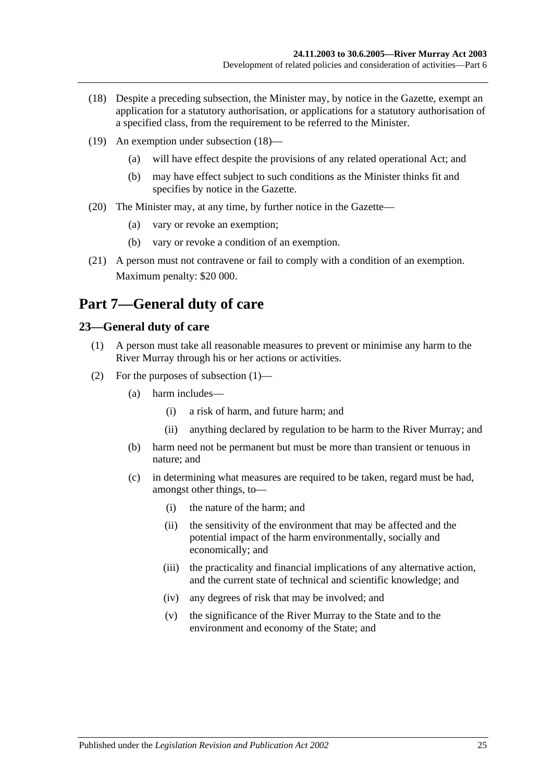- <span id="page-24-2"></span>(18) Despite a preceding subsection, the Minister may, by notice in the Gazette, exempt an application for a statutory authorisation, or applications for a statutory authorisation of a specified class, from the requirement to be referred to the Minister.
- (19) An exemption under [subsection](#page-24-2) (18)—
	- (a) will have effect despite the provisions of any related operational Act; and
	- (b) may have effect subject to such conditions as the Minister thinks fit and specifies by notice in the Gazette.
- (20) The Minister may, at any time, by further notice in the Gazette—
	- (a) vary or revoke an exemption;
	- (b) vary or revoke a condition of an exemption.
- (21) A person must not contravene or fail to comply with a condition of an exemption. Maximum penalty: \$20 000.

## <span id="page-24-0"></span>**Part 7—General duty of care**

### <span id="page-24-3"></span><span id="page-24-1"></span>**23—General duty of care**

- (1) A person must take all reasonable measures to prevent or minimise any harm to the River Murray through his or her actions or activities.
- (2) For the purposes of [subsection](#page-24-3) (1)—
	- (a) harm includes—
		- (i) a risk of harm, and future harm; and
		- (ii) anything declared by regulation to be harm to the River Murray; and
	- (b) harm need not be permanent but must be more than transient or tenuous in nature; and
	- (c) in determining what measures are required to be taken, regard must be had, amongst other things, to—
		- (i) the nature of the harm; and
		- (ii) the sensitivity of the environment that may be affected and the potential impact of the harm environmentally, socially and economically; and
		- (iii) the practicality and financial implications of any alternative action, and the current state of technical and scientific knowledge; and
		- (iv) any degrees of risk that may be involved; and
		- (v) the significance of the River Murray to the State and to the environment and economy of the State; and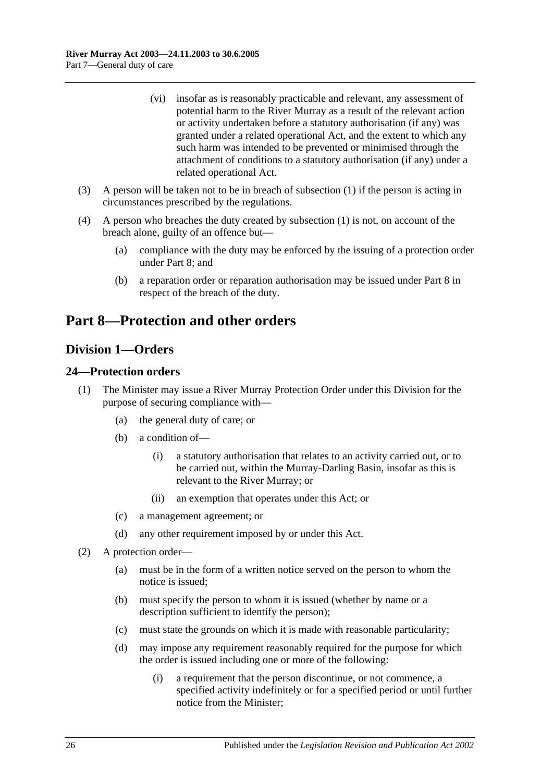- (vi) insofar as is reasonably practicable and relevant, any assessment of potential harm to the River Murray as a result of the relevant action or activity undertaken before a statutory authorisation (if any) was granted under a related operational Act, and the extent to which any such harm was intended to be prevented or minimised through the attachment of conditions to a statutory authorisation (if any) under a related operational Act.
- (3) A person will be taken not to be in breach of [subsection](#page-24-3) (1) if the person is acting in circumstances prescribed by the regulations.
- (4) A person who breaches the duty created by [subsection](#page-24-3) (1) is not, on account of the breach alone, guilty of an offence but—
	- (a) compliance with the duty may be enforced by the issuing of a protection order under [Part 8;](#page-25-0) and
	- (b) a reparation order or reparation authorisation may be issued under [Part 8](#page-25-0) in respect of the breach of the duty.

## <span id="page-25-0"></span>**Part 8—Protection and other orders**

## <span id="page-25-1"></span>**Division 1—Orders**

### <span id="page-25-2"></span>**24—Protection orders**

- (1) The Minister may issue a River Murray Protection Order under this Division for the purpose of securing compliance with—
	- (a) the general duty of care; or
	- (b) a condition of—
		- (i) a statutory authorisation that relates to an activity carried out, or to be carried out, within the Murray-Darling Basin, insofar as this is relevant to the River Murray; or
		- (ii) an exemption that operates under this Act; or
	- (c) a management agreement; or
	- (d) any other requirement imposed by or under this Act.
- <span id="page-25-3"></span>(2) A protection order—
	- (a) must be in the form of a written notice served on the person to whom the notice is issued;
	- (b) must specify the person to whom it is issued (whether by name or a description sufficient to identify the person);
	- (c) must state the grounds on which it is made with reasonable particularity;
	- (d) may impose any requirement reasonably required for the purpose for which the order is issued including one or more of the following:
		- (i) a requirement that the person discontinue, or not commence, a specified activity indefinitely or for a specified period or until further notice from the Minister;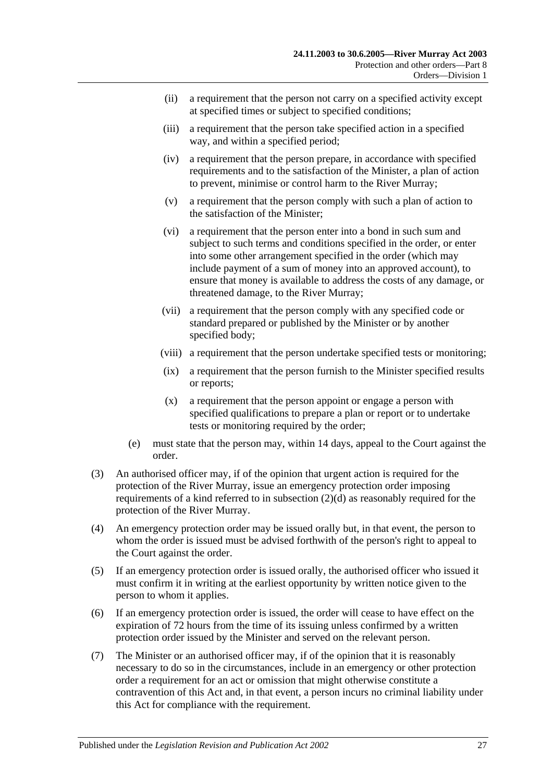- (ii) a requirement that the person not carry on a specified activity except at specified times or subject to specified conditions;
- (iii) a requirement that the person take specified action in a specified way, and within a specified period;
- (iv) a requirement that the person prepare, in accordance with specified requirements and to the satisfaction of the Minister, a plan of action to prevent, minimise or control harm to the River Murray;
- (v) a requirement that the person comply with such a plan of action to the satisfaction of the Minister;
- (vi) a requirement that the person enter into a bond in such sum and subject to such terms and conditions specified in the order, or enter into some other arrangement specified in the order (which may include payment of a sum of money into an approved account), to ensure that money is available to address the costs of any damage, or threatened damage, to the River Murray;
- (vii) a requirement that the person comply with any specified code or standard prepared or published by the Minister or by another specified body;
- (viii) a requirement that the person undertake specified tests or monitoring;
- (ix) a requirement that the person furnish to the Minister specified results or reports;
- (x) a requirement that the person appoint or engage a person with specified qualifications to prepare a plan or report or to undertake tests or monitoring required by the order;
- (e) must state that the person may, within 14 days, appeal to the Court against the order.
- (3) An authorised officer may, if of the opinion that urgent action is required for the protection of the River Murray, issue an emergency protection order imposing requirements of a kind referred to in [subsection](#page-25-3) (2)(d) as reasonably required for the protection of the River Murray.
- (4) An emergency protection order may be issued orally but, in that event, the person to whom the order is issued must be advised forthwith of the person's right to appeal to the Court against the order.
- (5) If an emergency protection order is issued orally, the authorised officer who issued it must confirm it in writing at the earliest opportunity by written notice given to the person to whom it applies.
- (6) If an emergency protection order is issued, the order will cease to have effect on the expiration of 72 hours from the time of its issuing unless confirmed by a written protection order issued by the Minister and served on the relevant person.
- (7) The Minister or an authorised officer may, if of the opinion that it is reasonably necessary to do so in the circumstances, include in an emergency or other protection order a requirement for an act or omission that might otherwise constitute a contravention of this Act and, in that event, a person incurs no criminal liability under this Act for compliance with the requirement.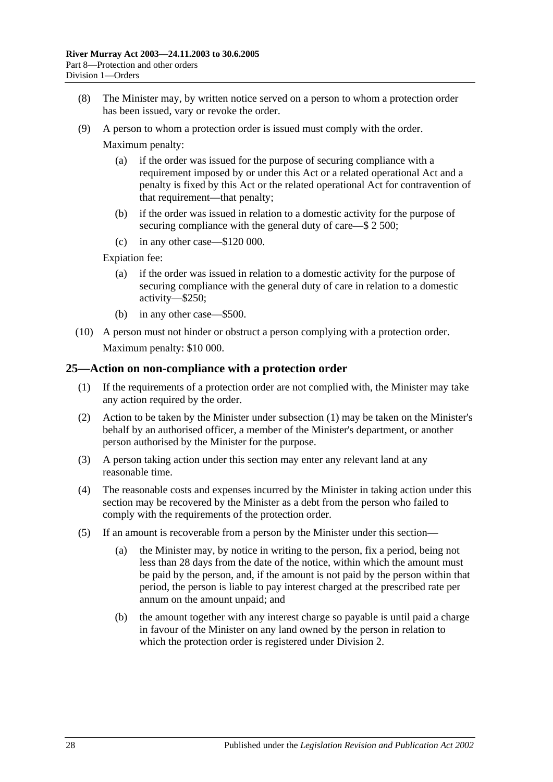- (8) The Minister may, by written notice served on a person to whom a protection order has been issued, vary or revoke the order.
- (9) A person to whom a protection order is issued must comply with the order.

Maximum penalty:

- (a) if the order was issued for the purpose of securing compliance with a requirement imposed by or under this Act or a related operational Act and a penalty is fixed by this Act or the related operational Act for contravention of that requirement—that penalty;
- (b) if the order was issued in relation to a domestic activity for the purpose of securing compliance with the general duty of care—\$ 2 500;
- (c) in any other case—\$120 000.

Expiation fee:

- (a) if the order was issued in relation to a domestic activity for the purpose of securing compliance with the general duty of care in relation to a domestic activity—\$250;
- (b) in any other case—\$500.
- (10) A person must not hinder or obstruct a person complying with a protection order. Maximum penalty: \$10 000.

#### <span id="page-27-1"></span><span id="page-27-0"></span>**25—Action on non-compliance with a protection order**

- (1) If the requirements of a protection order are not complied with, the Minister may take any action required by the order.
- (2) Action to be taken by the Minister under [subsection](#page-27-1) (1) may be taken on the Minister's behalf by an authorised officer, a member of the Minister's department, or another person authorised by the Minister for the purpose.
- (3) A person taking action under this section may enter any relevant land at any reasonable time.
- (4) The reasonable costs and expenses incurred by the Minister in taking action under this section may be recovered by the Minister as a debt from the person who failed to comply with the requirements of the protection order.
- (5) If an amount is recoverable from a person by the Minister under this section—
	- (a) the Minister may, by notice in writing to the person, fix a period, being not less than 28 days from the date of the notice, within which the amount must be paid by the person, and, if the amount is not paid by the person within that period, the person is liable to pay interest charged at the prescribed rate per annum on the amount unpaid; and
	- (b) the amount together with any interest charge so payable is until paid a charge in favour of the Minister on any land owned by the person in relation to which the protection order is registered under [Division 2.](#page-32-0)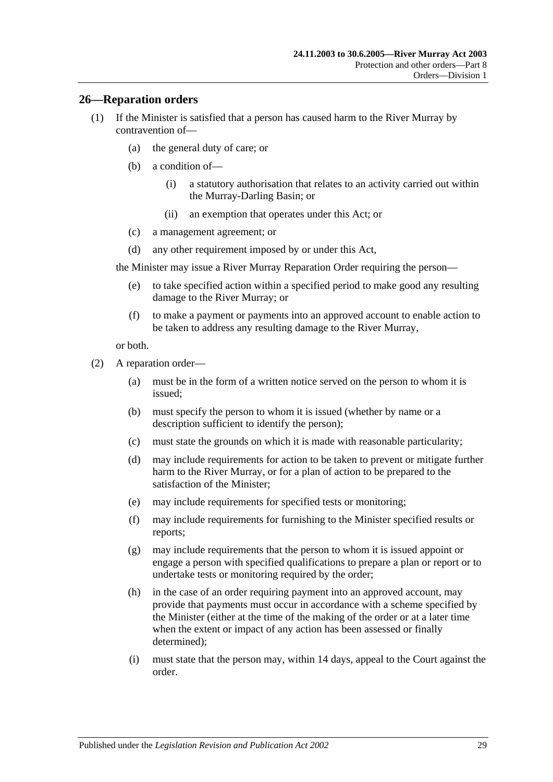#### <span id="page-28-0"></span>**26—Reparation orders**

- (1) If the Minister is satisfied that a person has caused harm to the River Murray by contravention of—
	- (a) the general duty of care; or
	- (b) a condition of—
		- (i) a statutory authorisation that relates to an activity carried out within the Murray-Darling Basin; or
		- (ii) an exemption that operates under this Act; or
	- (c) a management agreement; or
	- (d) any other requirement imposed by or under this Act,

the Minister may issue a River Murray Reparation Order requiring the person—

- (e) to take specified action within a specified period to make good any resulting damage to the River Murray; or
- (f) to make a payment or payments into an approved account to enable action to be taken to address any resulting damage to the River Murray,

or both.

- <span id="page-28-1"></span>(2) A reparation order—
	- (a) must be in the form of a written notice served on the person to whom it is issued;
	- (b) must specify the person to whom it is issued (whether by name or a description sufficient to identify the person);
	- (c) must state the grounds on which it is made with reasonable particularity;
	- (d) may include requirements for action to be taken to prevent or mitigate further harm to the River Murray, or for a plan of action to be prepared to the satisfaction of the Minister;
	- (e) may include requirements for specified tests or monitoring;
	- (f) may include requirements for furnishing to the Minister specified results or reports;
	- (g) may include requirements that the person to whom it is issued appoint or engage a person with specified qualifications to prepare a plan or report or to undertake tests or monitoring required by the order;
	- (h) in the case of an order requiring payment into an approved account, may provide that payments must occur in accordance with a scheme specified by the Minister (either at the time of the making of the order or at a later time when the extent or impact of any action has been assessed or finally determined);
	- (i) must state that the person may, within 14 days, appeal to the Court against the order.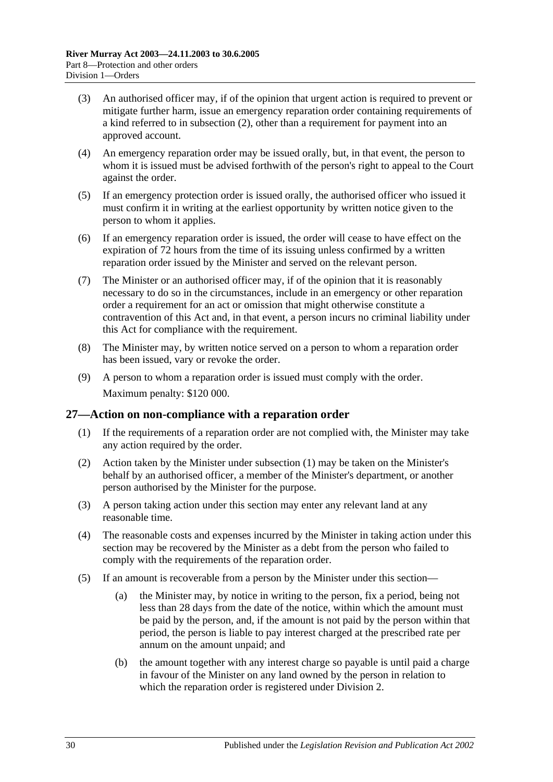- (3) An authorised officer may, if of the opinion that urgent action is required to prevent or mitigate further harm, issue an emergency reparation order containing requirements of a kind referred to in [subsection](#page-28-1) (2), other than a requirement for payment into an approved account.
- (4) An emergency reparation order may be issued orally, but, in that event, the person to whom it is issued must be advised forthwith of the person's right to appeal to the Court against the order.
- (5) If an emergency protection order is issued orally, the authorised officer who issued it must confirm it in writing at the earliest opportunity by written notice given to the person to whom it applies.
- (6) If an emergency reparation order is issued, the order will cease to have effect on the expiration of 72 hours from the time of its issuing unless confirmed by a written reparation order issued by the Minister and served on the relevant person.
- (7) The Minister or an authorised officer may, if of the opinion that it is reasonably necessary to do so in the circumstances, include in an emergency or other reparation order a requirement for an act or omission that might otherwise constitute a contravention of this Act and, in that event, a person incurs no criminal liability under this Act for compliance with the requirement.
- (8) The Minister may, by written notice served on a person to whom a reparation order has been issued, vary or revoke the order.
- (9) A person to whom a reparation order is issued must comply with the order. Maximum penalty: \$120 000.

#### <span id="page-29-1"></span><span id="page-29-0"></span>**27—Action on non-compliance with a reparation order**

- (1) If the requirements of a reparation order are not complied with, the Minister may take any action required by the order.
- (2) Action taken by the Minister under [subsection](#page-29-1) (1) may be taken on the Minister's behalf by an authorised officer, a member of the Minister's department, or another person authorised by the Minister for the purpose.
- (3) A person taking action under this section may enter any relevant land at any reasonable time.
- (4) The reasonable costs and expenses incurred by the Minister in taking action under this section may be recovered by the Minister as a debt from the person who failed to comply with the requirements of the reparation order.
- (5) If an amount is recoverable from a person by the Minister under this section—
	- (a) the Minister may, by notice in writing to the person, fix a period, being not less than 28 days from the date of the notice, within which the amount must be paid by the person, and, if the amount is not paid by the person within that period, the person is liable to pay interest charged at the prescribed rate per annum on the amount unpaid; and
	- (b) the amount together with any interest charge so payable is until paid a charge in favour of the Minister on any land owned by the person in relation to which the reparation order is registered under [Division 2.](#page-32-0)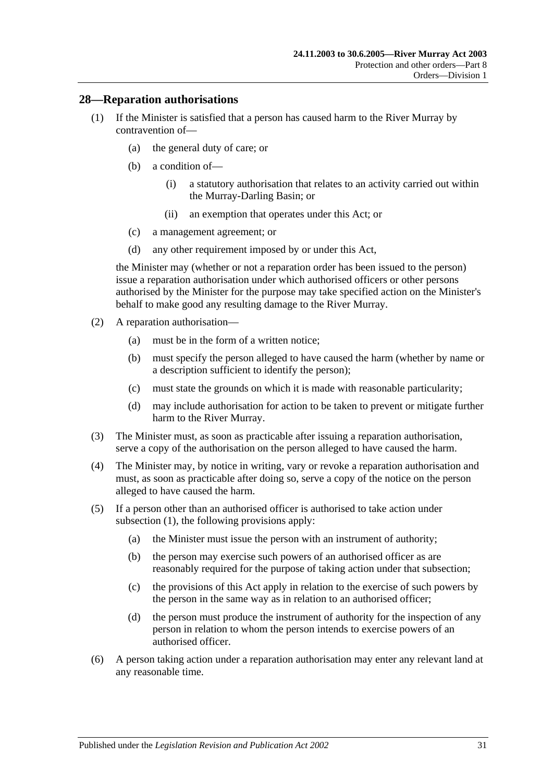#### <span id="page-30-1"></span><span id="page-30-0"></span>**28—Reparation authorisations**

- (1) If the Minister is satisfied that a person has caused harm to the River Murray by contravention of—
	- (a) the general duty of care; or
	- (b) a condition of—
		- (i) a statutory authorisation that relates to an activity carried out within the Murray-Darling Basin; or
		- (ii) an exemption that operates under this Act; or
	- (c) a management agreement; or
	- (d) any other requirement imposed by or under this Act,

the Minister may (whether or not a reparation order has been issued to the person) issue a reparation authorisation under which authorised officers or other persons authorised by the Minister for the purpose may take specified action on the Minister's behalf to make good any resulting damage to the River Murray.

- (2) A reparation authorisation—
	- (a) must be in the form of a written notice;
	- (b) must specify the person alleged to have caused the harm (whether by name or a description sufficient to identify the person);
	- (c) must state the grounds on which it is made with reasonable particularity;
	- (d) may include authorisation for action to be taken to prevent or mitigate further harm to the River Murray.
- (3) The Minister must, as soon as practicable after issuing a reparation authorisation, serve a copy of the authorisation on the person alleged to have caused the harm.
- (4) The Minister may, by notice in writing, vary or revoke a reparation authorisation and must, as soon as practicable after doing so, serve a copy of the notice on the person alleged to have caused the harm.
- (5) If a person other than an authorised officer is authorised to take action under [subsection](#page-30-1) (1), the following provisions apply:
	- (a) the Minister must issue the person with an instrument of authority;
	- (b) the person may exercise such powers of an authorised officer as are reasonably required for the purpose of taking action under that subsection;
	- (c) the provisions of this Act apply in relation to the exercise of such powers by the person in the same way as in relation to an authorised officer;
	- (d) the person must produce the instrument of authority for the inspection of any person in relation to whom the person intends to exercise powers of an authorised officer.
- (6) A person taking action under a reparation authorisation may enter any relevant land at any reasonable time.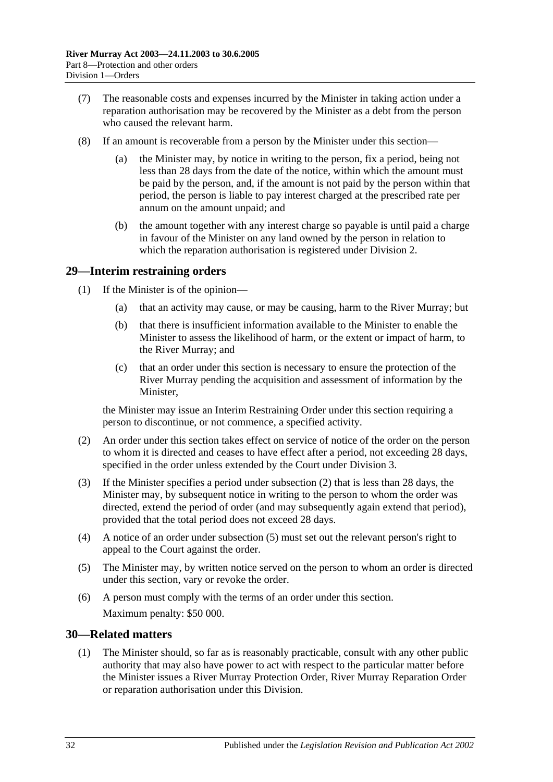- (7) The reasonable costs and expenses incurred by the Minister in taking action under a reparation authorisation may be recovered by the Minister as a debt from the person who caused the relevant harm.
- (8) If an amount is recoverable from a person by the Minister under this section
	- the Minister may, by notice in writing to the person, fix a period, being not less than 28 days from the date of the notice, within which the amount must be paid by the person, and, if the amount is not paid by the person within that period, the person is liable to pay interest charged at the prescribed rate per annum on the amount unpaid; and
	- (b) the amount together with any interest charge so payable is until paid a charge in favour of the Minister on any land owned by the person in relation to which the reparation authorisation is registered under [Division 2.](#page-32-0)

#### <span id="page-31-0"></span>**29—Interim restraining orders**

- (1) If the Minister is of the opinion—
	- (a) that an activity may cause, or may be causing, harm to the River Murray; but
	- (b) that there is insufficient information available to the Minister to enable the Minister to assess the likelihood of harm, or the extent or impact of harm, to the River Murray; and
	- (c) that an order under this section is necessary to ensure the protection of the River Murray pending the acquisition and assessment of information by the Minister,

the Minister may issue an Interim Restraining Order under this section requiring a person to discontinue, or not commence, a specified activity.

- <span id="page-31-2"></span>(2) An order under this section takes effect on service of notice of the order on the person to whom it is directed and ceases to have effect after a period, not exceeding 28 days, specified in the order unless extended by the Court under [Division 3.](#page-33-1)
- (3) If the Minister specifies a period under [subsection](#page-31-2) (2) that is less than 28 days, the Minister may, by subsequent notice in writing to the person to whom the order was directed, extend the period of order (and may subsequently again extend that period), provided that the total period does not exceed 28 days.
- (4) A notice of an order under [subsection](#page-31-3) (5) must set out the relevant person's right to appeal to the Court against the order.
- <span id="page-31-3"></span>(5) The Minister may, by written notice served on the person to whom an order is directed under this section, vary or revoke the order.
- (6) A person must comply with the terms of an order under this section. Maximum penalty: \$50 000.

#### <span id="page-31-4"></span><span id="page-31-1"></span>**30—Related matters**

(1) The Minister should, so far as is reasonably practicable, consult with any other public authority that may also have power to act with respect to the particular matter before the Minister issues a River Murray Protection Order, River Murray Reparation Order or reparation authorisation under this Division.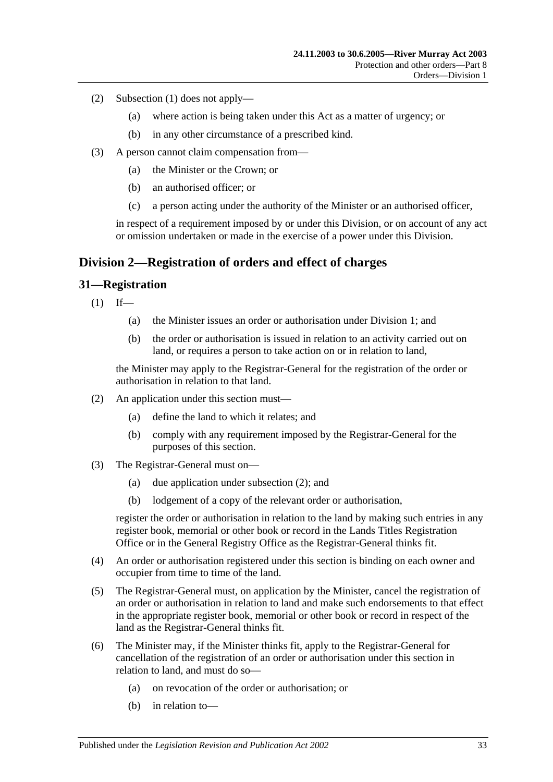- (2) [Subsection](#page-31-4) (1) does not apply—
	- (a) where action is being taken under this Act as a matter of urgency; or
	- (b) in any other circumstance of a prescribed kind.
- (3) A person cannot claim compensation from—
	- (a) the Minister or the Crown; or
	- (b) an authorised officer; or
	- (c) a person acting under the authority of the Minister or an authorised officer,

in respect of a requirement imposed by or under this Division, or on account of any act or omission undertaken or made in the exercise of a power under this Division.

## <span id="page-32-0"></span>**Division 2—Registration of orders and effect of charges**

#### <span id="page-32-1"></span>**31—Registration**

- $(1)$  If—
	- (a) the Minister issues an order or authorisation under [Division 1;](#page-25-1) and
	- (b) the order or authorisation is issued in relation to an activity carried out on land, or requires a person to take action on or in relation to land,

the Minister may apply to the Registrar-General for the registration of the order or authorisation in relation to that land.

- <span id="page-32-2"></span>(2) An application under this section must—
	- (a) define the land to which it relates; and
	- (b) comply with any requirement imposed by the Registrar-General for the purposes of this section.
- (3) The Registrar-General must on—
	- (a) due application under [subsection](#page-32-2) (2); and
	- (b) lodgement of a copy of the relevant order or authorisation,

register the order or authorisation in relation to the land by making such entries in any register book, memorial or other book or record in the Lands Titles Registration Office or in the General Registry Office as the Registrar-General thinks fit.

- (4) An order or authorisation registered under this section is binding on each owner and occupier from time to time of the land.
- (5) The Registrar-General must, on application by the Minister, cancel the registration of an order or authorisation in relation to land and make such endorsements to that effect in the appropriate register book, memorial or other book or record in respect of the land as the Registrar-General thinks fit.
- (6) The Minister may, if the Minister thinks fit, apply to the Registrar-General for cancellation of the registration of an order or authorisation under this section in relation to land, and must do so—
	- (a) on revocation of the order or authorisation; or
	- (b) in relation to—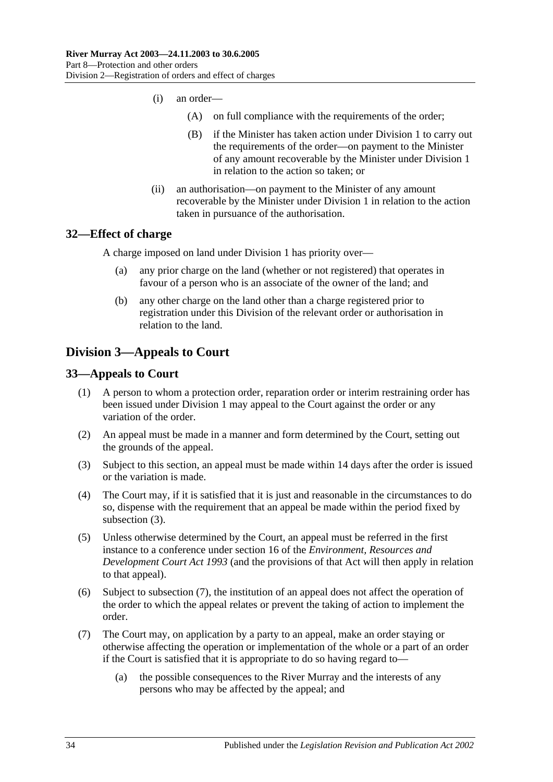- (i) an order—
	- (A) on full compliance with the requirements of the order;
	- (B) if the Minister has taken action under [Division 1](#page-25-1) to carry out the requirements of the order—on payment to the Minister of any amount recoverable by the Minister under [Division 1](#page-25-1) in relation to the action so taken; or
- (ii) an authorisation—on payment to the Minister of any amount recoverable by the Minister under [Division 1](#page-25-1) in relation to the action taken in pursuance of the authorisation.

#### <span id="page-33-0"></span>**32—Effect of charge**

A charge imposed on land under [Division 1](#page-25-1) has priority over—

- (a) any prior charge on the land (whether or not registered) that operates in favour of a person who is an associate of the owner of the land; and
- (b) any other charge on the land other than a charge registered prior to registration under this Division of the relevant order or authorisation in relation to the land.

## <span id="page-33-1"></span>**Division 3—Appeals to Court**

#### <span id="page-33-2"></span>**33—Appeals to Court**

- (1) A person to whom a protection order, reparation order or interim restraining order has been issued under [Division 1](#page-25-1) may appeal to the Court against the order or any variation of the order.
- (2) An appeal must be made in a manner and form determined by the Court, setting out the grounds of the appeal.
- <span id="page-33-3"></span>(3) Subject to this section, an appeal must be made within 14 days after the order is issued or the variation is made.
- (4) The Court may, if it is satisfied that it is just and reasonable in the circumstances to do so, dispense with the requirement that an appeal be made within the period fixed by [subsection](#page-33-3) (3).
- (5) Unless otherwise determined by the Court, an appeal must be referred in the first instance to a conference under section 16 of the *[Environment, Resources and](http://www.legislation.sa.gov.au/index.aspx?action=legref&type=act&legtitle=Environment%20Resources%20and%20Development%20Court%20Act%201993)  [Development Court Act](http://www.legislation.sa.gov.au/index.aspx?action=legref&type=act&legtitle=Environment%20Resources%20and%20Development%20Court%20Act%201993) 1993* (and the provisions of that Act will then apply in relation to that appeal).
- (6) Subject to [subsection](#page-33-4) (7), the institution of an appeal does not affect the operation of the order to which the appeal relates or prevent the taking of action to implement the order.
- <span id="page-33-4"></span>(7) The Court may, on application by a party to an appeal, make an order staying or otherwise affecting the operation or implementation of the whole or a part of an order if the Court is satisfied that it is appropriate to do so having regard to—
	- (a) the possible consequences to the River Murray and the interests of any persons who may be affected by the appeal; and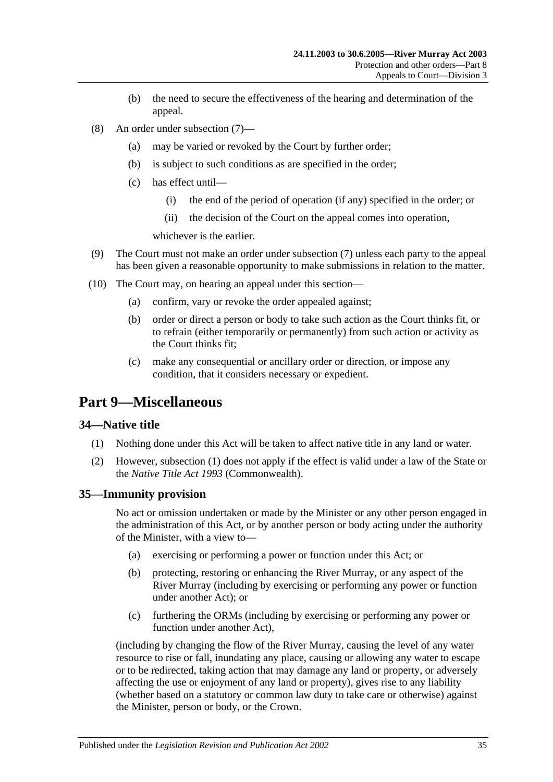- (b) the need to secure the effectiveness of the hearing and determination of the appeal.
- (8) An order under [subsection](#page-33-4) (7)—
	- (a) may be varied or revoked by the Court by further order;
	- (b) is subject to such conditions as are specified in the order;
	- (c) has effect until—
		- (i) the end of the period of operation (if any) specified in the order; or
		- (ii) the decision of the Court on the appeal comes into operation,

whichever is the earlier.

- (9) The Court must not make an order under [subsection](#page-33-4) (7) unless each party to the appeal has been given a reasonable opportunity to make submissions in relation to the matter.
- (10) The Court may, on hearing an appeal under this section—
	- (a) confirm, vary or revoke the order appealed against;
	- (b) order or direct a person or body to take such action as the Court thinks fit, or to refrain (either temporarily or permanently) from such action or activity as the Court thinks fit;
	- (c) make any consequential or ancillary order or direction, or impose any condition, that it considers necessary or expedient.

## <span id="page-34-0"></span>**Part 9—Miscellaneous**

#### <span id="page-34-3"></span><span id="page-34-1"></span>**34—Native title**

- (1) Nothing done under this Act will be taken to affect native title in any land or water.
- (2) However, [subsection](#page-34-3) (1) does not apply if the effect is valid under a law of the State or the *Native Title Act 1993* (Commonwealth).

#### <span id="page-34-2"></span>**35—Immunity provision**

No act or omission undertaken or made by the Minister or any other person engaged in the administration of this Act, or by another person or body acting under the authority of the Minister, with a view to—

- (a) exercising or performing a power or function under this Act; or
- (b) protecting, restoring or enhancing the River Murray, or any aspect of the River Murray (including by exercising or performing any power or function under another Act); or
- (c) furthering the ORMs (including by exercising or performing any power or function under another Act),

(including by changing the flow of the River Murray, causing the level of any water resource to rise or fall, inundating any place, causing or allowing any water to escape or to be redirected, taking action that may damage any land or property, or adversely affecting the use or enjoyment of any land or property), gives rise to any liability (whether based on a statutory or common law duty to take care or otherwise) against the Minister, person or body, or the Crown.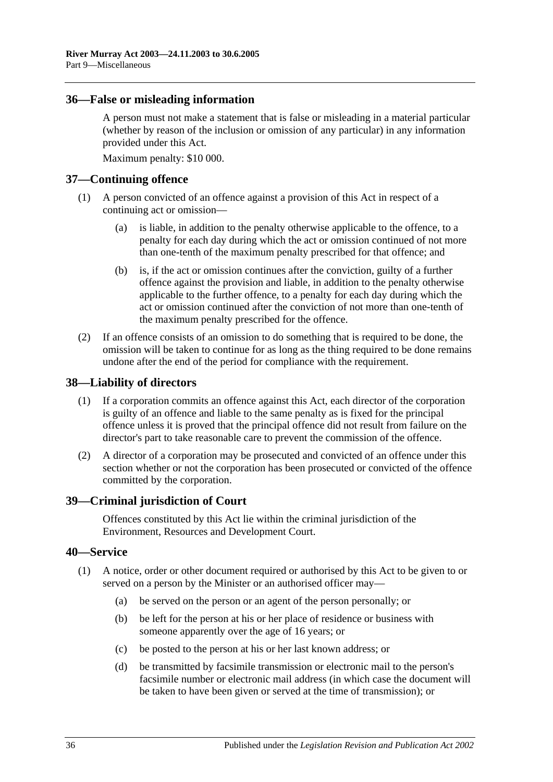#### <span id="page-35-0"></span>**36—False or misleading information**

A person must not make a statement that is false or misleading in a material particular (whether by reason of the inclusion or omission of any particular) in any information provided under this Act.

Maximum penalty: \$10 000.

#### <span id="page-35-1"></span>**37—Continuing offence**

- (1) A person convicted of an offence against a provision of this Act in respect of a continuing act or omission—
	- (a) is liable, in addition to the penalty otherwise applicable to the offence, to a penalty for each day during which the act or omission continued of not more than one-tenth of the maximum penalty prescribed for that offence; and
	- (b) is, if the act or omission continues after the conviction, guilty of a further offence against the provision and liable, in addition to the penalty otherwise applicable to the further offence, to a penalty for each day during which the act or omission continued after the conviction of not more than one-tenth of the maximum penalty prescribed for the offence.
- (2) If an offence consists of an omission to do something that is required to be done, the omission will be taken to continue for as long as the thing required to be done remains undone after the end of the period for compliance with the requirement.

#### <span id="page-35-2"></span>**38—Liability of directors**

- (1) If a corporation commits an offence against this Act, each director of the corporation is guilty of an offence and liable to the same penalty as is fixed for the principal offence unless it is proved that the principal offence did not result from failure on the director's part to take reasonable care to prevent the commission of the offence.
- (2) A director of a corporation may be prosecuted and convicted of an offence under this section whether or not the corporation has been prosecuted or convicted of the offence committed by the corporation.

#### <span id="page-35-3"></span>**39—Criminal jurisdiction of Court**

Offences constituted by this Act lie within the criminal jurisdiction of the Environment, Resources and Development Court.

#### <span id="page-35-4"></span>**40—Service**

- (1) A notice, order or other document required or authorised by this Act to be given to or served on a person by the Minister or an authorised officer may—
	- (a) be served on the person or an agent of the person personally; or
	- (b) be left for the person at his or her place of residence or business with someone apparently over the age of 16 years; or
	- (c) be posted to the person at his or her last known address; or
	- (d) be transmitted by facsimile transmission or electronic mail to the person's facsimile number or electronic mail address (in which case the document will be taken to have been given or served at the time of transmission); or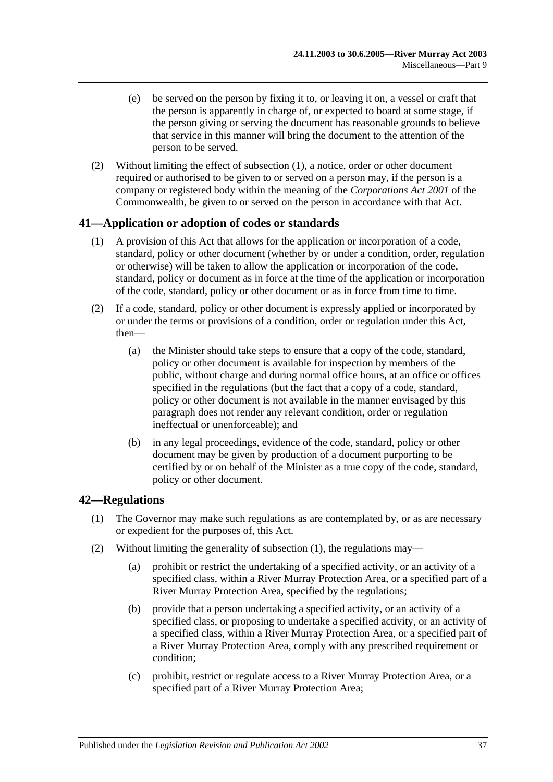- (e) be served on the person by fixing it to, or leaving it on, a vessel or craft that the person is apparently in charge of, or expected to board at some stage, if the person giving or serving the document has reasonable grounds to believe that service in this manner will bring the document to the attention of the person to be served.
- (2) Without limiting the effect of [subsection](#page-35-0) (1), a notice, order or other document required or authorised to be given to or served on a person may, if the person is a company or registered body within the meaning of the *Corporations Act 2001* of the Commonwealth, be given to or served on the person in accordance with that Act.

## **41—Application or adoption of codes or standards**

- (1) A provision of this Act that allows for the application or incorporation of a code, standard, policy or other document (whether by or under a condition, order, regulation or otherwise) will be taken to allow the application or incorporation of the code, standard, policy or document as in force at the time of the application or incorporation of the code, standard, policy or other document or as in force from time to time.
- (2) If a code, standard, policy or other document is expressly applied or incorporated by or under the terms or provisions of a condition, order or regulation under this Act, then—
	- (a) the Minister should take steps to ensure that a copy of the code, standard, policy or other document is available for inspection by members of the public, without charge and during normal office hours, at an office or offices specified in the regulations (but the fact that a copy of a code, standard, policy or other document is not available in the manner envisaged by this paragraph does not render any relevant condition, order or regulation ineffectual or unenforceable); and
	- (b) in any legal proceedings, evidence of the code, standard, policy or other document may be given by production of a document purporting to be certified by or on behalf of the Minister as a true copy of the code, standard, policy or other document.

## <span id="page-36-0"></span>**42—Regulations**

- (1) The Governor may make such regulations as are contemplated by, or as are necessary or expedient for the purposes of, this Act.
- <span id="page-36-4"></span><span id="page-36-3"></span><span id="page-36-2"></span><span id="page-36-1"></span>(2) Without limiting the generality of [subsection](#page-36-0) (1), the regulations may—
	- (a) prohibit or restrict the undertaking of a specified activity, or an activity of a specified class, within a River Murray Protection Area, or a specified part of a River Murray Protection Area, specified by the regulations;
	- (b) provide that a person undertaking a specified activity, or an activity of a specified class, or proposing to undertake a specified activity, or an activity of a specified class, within a River Murray Protection Area, or a specified part of a River Murray Protection Area, comply with any prescribed requirement or condition;
	- (c) prohibit, restrict or regulate access to a River Murray Protection Area, or a specified part of a River Murray Protection Area;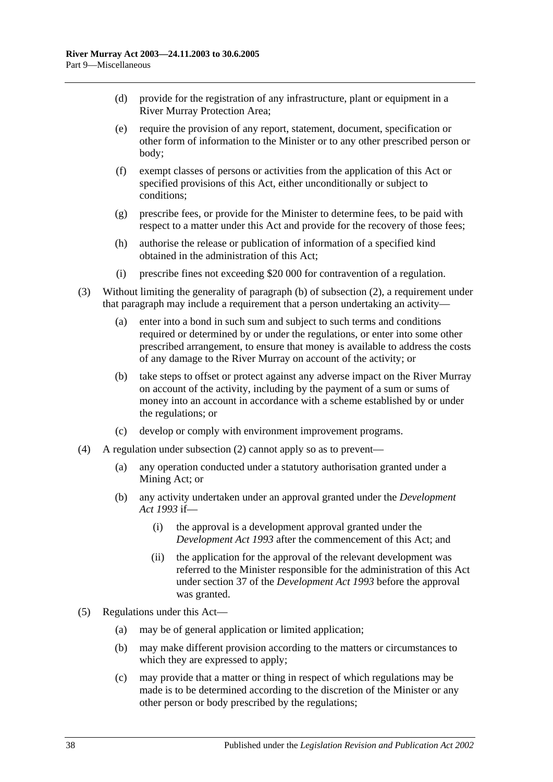- (d) provide for the registration of any infrastructure, plant or equipment in a River Murray Protection Area;
- (e) require the provision of any report, statement, document, specification or other form of information to the Minister or to any other prescribed person or body;
- (f) exempt classes of persons or activities from the application of this Act or specified provisions of this Act, either unconditionally or subject to conditions;
- (g) prescribe fees, or provide for the Minister to determine fees, to be paid with respect to a matter under this Act and provide for the recovery of those fees;
- (h) authorise the release or publication of information of a specified kind obtained in the administration of this Act;
- (i) prescribe fines not exceeding \$20 000 for contravention of a regulation.
- (3) Without limiting the generality of [paragraph](#page-36-1) (b) of [subsection](#page-36-2) (2), a requirement under that paragraph may include a requirement that a person undertaking an activity—
	- (a) enter into a bond in such sum and subject to such terms and conditions required or determined by or under the regulations, or enter into some other prescribed arrangement, to ensure that money is available to address the costs of any damage to the River Murray on account of the activity; or
	- (b) take steps to offset or protect against any adverse impact on the River Murray on account of the activity, including by the payment of a sum or sums of money into an account in accordance with a scheme established by or under the regulations; or
	- (c) develop or comply with environment improvement programs.
- (4) A regulation under [subsection](#page-36-2) (2) cannot apply so as to prevent—
	- (a) any operation conducted under a statutory authorisation granted under a Mining Act; or
	- (b) any activity undertaken under an approval granted under the *[Development](http://www.legislation.sa.gov.au/index.aspx?action=legref&type=act&legtitle=Development%20Act%201993)  Act [1993](http://www.legislation.sa.gov.au/index.aspx?action=legref&type=act&legtitle=Development%20Act%201993)* if—
		- (i) the approval is a development approval granted under the *[Development Act](http://www.legislation.sa.gov.au/index.aspx?action=legref&type=act&legtitle=Development%20Act%201993) 1993* after the commencement of this Act; and
		- (ii) the application for the approval of the relevant development was referred to the Minister responsible for the administration of this Act under section 37 of the *[Development Act](http://www.legislation.sa.gov.au/index.aspx?action=legref&type=act&legtitle=Development%20Act%201993) 1993* before the approval was granted.
- (5) Regulations under this Act—
	- (a) may be of general application or limited application;
	- (b) may make different provision according to the matters or circumstances to which they are expressed to apply;
	- (c) may provide that a matter or thing in respect of which regulations may be made is to be determined according to the discretion of the Minister or any other person or body prescribed by the regulations;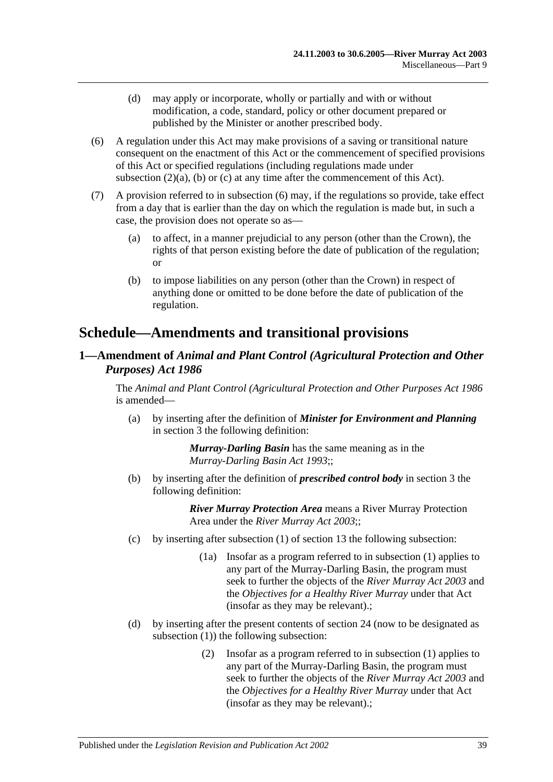- (d) may apply or incorporate, wholly or partially and with or without modification, a code, standard, policy or other document prepared or published by the Minister or another prescribed body.
- <span id="page-38-0"></span>(6) A regulation under this Act may make provisions of a saving or transitional nature consequent on the enactment of this Act or the commencement of specified provisions of this Act or specified regulations (including regulations made under [subsection](#page-36-3)  $(2)(a)$ ,  $(b)$  or  $(c)$  at any time after the commencement of this Act).
- (7) A provision referred to in [subsection](#page-38-0) (6) may, if the regulations so provide, take effect from a day that is earlier than the day on which the regulation is made but, in such a case, the provision does not operate so as—
	- (a) to affect, in a manner prejudicial to any person (other than the Crown), the rights of that person existing before the date of publication of the regulation; or
	- (b) to impose liabilities on any person (other than the Crown) in respect of anything done or omitted to be done before the date of publication of the regulation.

# **Schedule—Amendments and transitional provisions**

## **1—Amendment of** *Animal and Plant Control (Agricultural Protection and Other Purposes) Act 1986*

The *[Animal and Plant Control \(Agricultural Protection and Other Purposes Act](http://www.legislation.sa.gov.au/index.aspx?action=legref&type=act&legtitle=Animal%20and%20Plant%20Control%20(Agricultural%20Protection%20and%20Other%20Purposes%20Act%201986) 1986* is amended—

(a) by inserting after the definition of *Minister for Environment and Planning* in section 3 the following definition:

> *Murray-Darling Basin* has the same meaning as in the *[Murray-Darling Basin Act](http://www.legislation.sa.gov.au/index.aspx?action=legref&type=act&legtitle=Murray-Darling%20Basin%20Act%201993) 1993*;;

(b) by inserting after the definition of *prescribed control body* in section 3 the following definition:

- (c) by inserting after subsection (1) of section 13 the following subsection:
	- (1a) Insofar as a program referred to in subsection (1) applies to any part of the Murray-Darling Basin, the program must seek to further the objects of the *[River Murray Act](http://www.legislation.sa.gov.au/index.aspx?action=legref&type=act&legtitle=River%20Murray%20Act%202003) 2003* and the *Objectives for a Healthy River Murray* under that Act (insofar as they may be relevant).;
- (d) by inserting after the present contents of section 24 (now to be designated as subsection (1)) the following subsection:
	- (2) Insofar as a program referred to in subsection (1) applies to any part of the Murray-Darling Basin, the program must seek to further the objects of the *[River Murray Act](http://www.legislation.sa.gov.au/index.aspx?action=legref&type=act&legtitle=River%20Murray%20Act%202003) 2003* and the *Objectives for a Healthy River Murray* under that Act (insofar as they may be relevant).;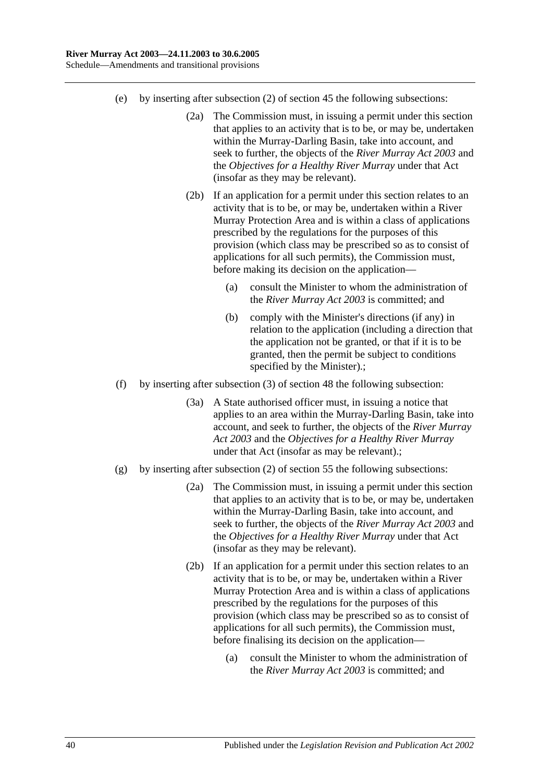- (e) by inserting after subsection (2) of section 45 the following subsections:
	- (2a) The Commission must, in issuing a permit under this section that applies to an activity that is to be, or may be, undertaken within the Murray-Darling Basin, take into account, and seek to further, the objects of the *[River Murray Act](http://www.legislation.sa.gov.au/index.aspx?action=legref&type=act&legtitle=River%20Murray%20Act%202003) 2003* and the *Objectives for a Healthy River Murray* under that Act (insofar as they may be relevant).
	- (2b) If an application for a permit under this section relates to an activity that is to be, or may be, undertaken within a River Murray Protection Area and is within a class of applications prescribed by the regulations for the purposes of this provision (which class may be prescribed so as to consist of applications for all such permits), the Commission must, before making its decision on the application—
		- (a) consult the Minister to whom the administration of the *[River Murray Act](http://www.legislation.sa.gov.au/index.aspx?action=legref&type=act&legtitle=River%20Murray%20Act%202003) 2003* is committed; and
		- (b) comply with the Minister's directions (if any) in relation to the application (including a direction that the application not be granted, or that if it is to be granted, then the permit be subject to conditions specified by the Minister).;
- (f) by inserting after subsection (3) of section 48 the following subsection:
	- (3a) A State authorised officer must, in issuing a notice that applies to an area within the Murray-Darling Basin, take into account, and seek to further, the objects of the *[River Murray](http://www.legislation.sa.gov.au/index.aspx?action=legref&type=act&legtitle=River%20Murray%20Act%202003)  Act [2003](http://www.legislation.sa.gov.au/index.aspx?action=legref&type=act&legtitle=River%20Murray%20Act%202003)* and the *Objectives for a Healthy River Murray* under that Act (insofar as may be relevant).;
- (g) by inserting after subsection (2) of section 55 the following subsections:
	- (2a) The Commission must, in issuing a permit under this section that applies to an activity that is to be, or may be, undertaken within the Murray-Darling Basin, take into account, and seek to further, the objects of the *[River Murray Act](http://www.legislation.sa.gov.au/index.aspx?action=legref&type=act&legtitle=River%20Murray%20Act%202003) 2003* and the *Objectives for a Healthy River Murray* under that Act (insofar as they may be relevant).
	- (2b) If an application for a permit under this section relates to an activity that is to be, or may be, undertaken within a River Murray Protection Area and is within a class of applications prescribed by the regulations for the purposes of this provision (which class may be prescribed so as to consist of applications for all such permits), the Commission must, before finalising its decision on the application—
		- (a) consult the Minister to whom the administration of the *[River Murray Act](http://www.legislation.sa.gov.au/index.aspx?action=legref&type=act&legtitle=River%20Murray%20Act%202003) 2003* is committed; and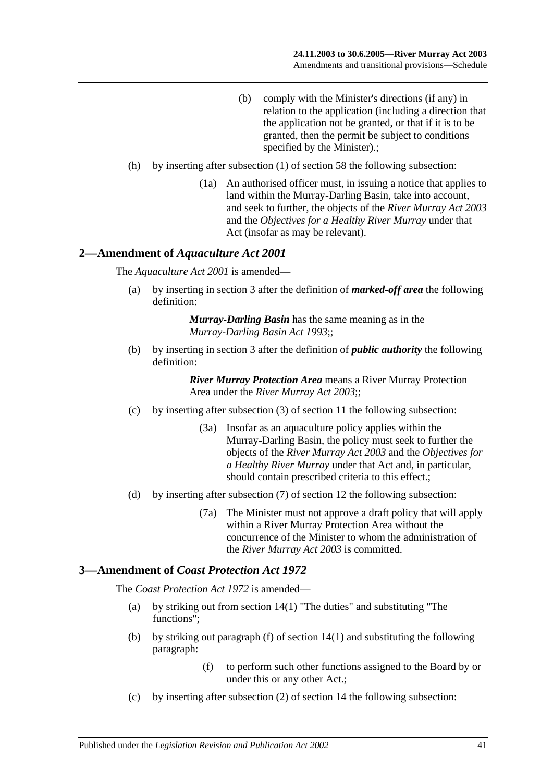- (b) comply with the Minister's directions (if any) in relation to the application (including a direction that the application not be granted, or that if it is to be granted, then the permit be subject to conditions specified by the Minister).;
- (h) by inserting after subsection (1) of section 58 the following subsection:
	- (1a) An authorised officer must, in issuing a notice that applies to land within the Murray-Darling Basin, take into account, and seek to further, the objects of the *[River Murray Act](http://www.legislation.sa.gov.au/index.aspx?action=legref&type=act&legtitle=River%20Murray%20Act%202003) 2003* and the *Objectives for a Healthy River Murray* under that Act (insofar as may be relevant).

#### **2—Amendment of** *Aquaculture Act 2001*

The *[Aquaculture Act](http://www.legislation.sa.gov.au/index.aspx?action=legref&type=act&legtitle=Aquaculture%20Act%202001) 2001* is amended—

(a) by inserting in section 3 after the definition of *marked-off area* the following definition:

> *Murray-Darling Basin* has the same meaning as in the *[Murray-Darling Basin Act](http://www.legislation.sa.gov.au/index.aspx?action=legref&type=act&legtitle=Murray-Darling%20Basin%20Act%201993) 1993*;;

(b) by inserting in section 3 after the definition of *public authority* the following definition:

> *River Murray Protection Area* means a River Murray Protection Area under the *[River Murray Act](http://www.legislation.sa.gov.au/index.aspx?action=legref&type=act&legtitle=River%20Murray%20Act%202003) 2003*;;

- (c) by inserting after subsection (3) of section 11 the following subsection:
	- (3a) Insofar as an aquaculture policy applies within the Murray-Darling Basin, the policy must seek to further the objects of the *[River Murray Act](http://www.legislation.sa.gov.au/index.aspx?action=legref&type=act&legtitle=River%20Murray%20Act%202003) 2003* and the *Objectives for a Healthy River Murray* under that Act and, in particular, should contain prescribed criteria to this effect.;
- (d) by inserting after subsection (7) of section 12 the following subsection:
	- (7a) The Minister must not approve a draft policy that will apply within a River Murray Protection Area without the concurrence of the Minister to whom the administration of the *[River Murray Act](http://www.legislation.sa.gov.au/index.aspx?action=legref&type=act&legtitle=River%20Murray%20Act%202003) 2003* is committed.

#### **3—Amendment of** *Coast Protection Act 1972*

The *[Coast Protection Act](http://www.legislation.sa.gov.au/index.aspx?action=legref&type=act&legtitle=Coast%20Protection%20Act%201972) 1972* is amended—

- (a) by striking out from section 14(1) "The duties" and substituting "The functions";
- (b) by striking out paragraph (f) of section 14(1) and substituting the following paragraph:
	- (f) to perform such other functions assigned to the Board by or under this or any other Act.;
- (c) by inserting after subsection (2) of section 14 the following subsection: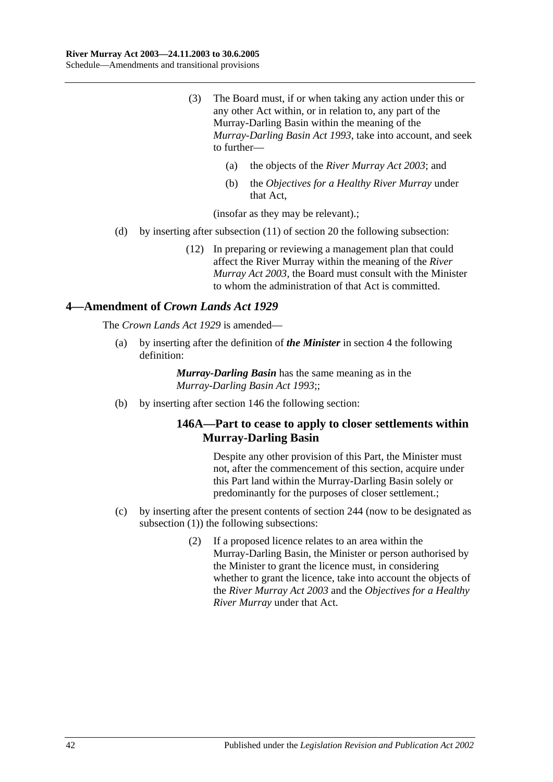- (3) The Board must, if or when taking any action under this or any other Act within, or in relation to, any part of the Murray-Darling Basin within the meaning of the *[Murray-Darling Basin Act](http://www.legislation.sa.gov.au/index.aspx?action=legref&type=act&legtitle=Murray-Darling%20Basin%20Act%201993) 1993*, take into account, and seek to further—
	- (a) the objects of the *[River Murray Act](http://www.legislation.sa.gov.au/index.aspx?action=legref&type=act&legtitle=River%20Murray%20Act%202003) 2003*; and
	- (b) the *Objectives for a Healthy River Murray* under that Act,

(insofar as they may be relevant).;

- (d) by inserting after subsection (11) of section 20 the following subsection:
	- (12) In preparing or reviewing a management plan that could affect the River Murray within the meaning of the *[River](http://www.legislation.sa.gov.au/index.aspx?action=legref&type=act&legtitle=River%20Murray%20Act%202003)  [Murray Act](http://www.legislation.sa.gov.au/index.aspx?action=legref&type=act&legtitle=River%20Murray%20Act%202003) 2003*, the Board must consult with the Minister to whom the administration of that Act is committed.

#### **4—Amendment of** *Crown Lands Act 1929*

The *[Crown Lands Act](http://www.legislation.sa.gov.au/index.aspx?action=legref&type=act&legtitle=Crown%20Lands%20Act%201929) 1929* is amended—

(a) by inserting after the definition of *the Minister* in section 4 the following definition:

> *Murray-Darling Basin* has the same meaning as in the *[Murray-Darling Basin Act](http://www.legislation.sa.gov.au/index.aspx?action=legref&type=act&legtitle=Murray-Darling%20Basin%20Act%201993) 1993*;;

(b) by inserting after section 146 the following section:

#### **146A—Part to cease to apply to closer settlements within Murray-Darling Basin**

Despite any other provision of this Part, the Minister must not, after the commencement of this section, acquire under this Part land within the Murray-Darling Basin solely or predominantly for the purposes of closer settlement.;

- (c) by inserting after the present contents of section 244 (now to be designated as subsection (1)) the following subsections:
	- (2) If a proposed licence relates to an area within the Murray-Darling Basin, the Minister or person authorised by the Minister to grant the licence must, in considering whether to grant the licence, take into account the objects of the *[River Murray Act](http://www.legislation.sa.gov.au/index.aspx?action=legref&type=act&legtitle=River%20Murray%20Act%202003) 2003* and the *Objectives for a Healthy River Murray* under that Act.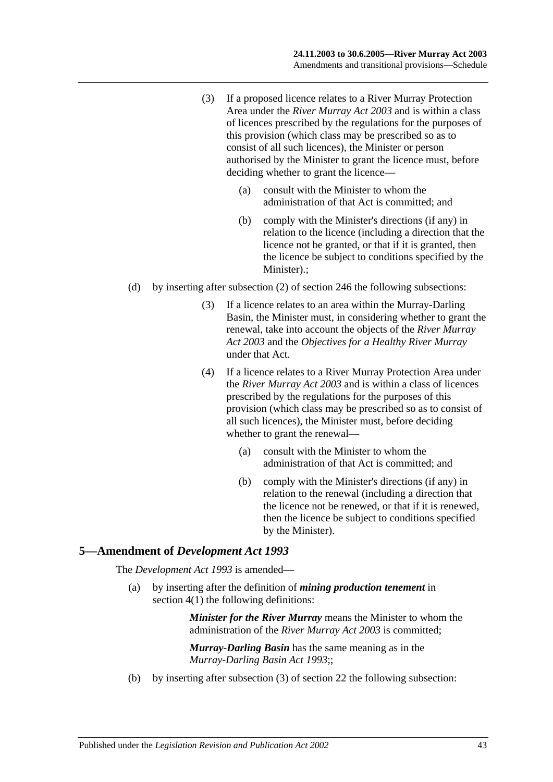- (3) If a proposed licence relates to a River Murray Protection Area under the *[River Murray Act](http://www.legislation.sa.gov.au/index.aspx?action=legref&type=act&legtitle=River%20Murray%20Act%202003) 2003* and is within a class of licences prescribed by the regulations for the purposes of this provision (which class may be prescribed so as to consist of all such licences), the Minister or person authorised by the Minister to grant the licence must, before deciding whether to grant the licence—
	- (a) consult with the Minister to whom the administration of that Act is committed; and
	- (b) comply with the Minister's directions (if any) in relation to the licence (including a direction that the licence not be granted, or that if it is granted, then the licence be subject to conditions specified by the Minister).;
- (d) by inserting after subsection (2) of section 246 the following subsections:
	- (3) If a licence relates to an area within the Murray-Darling Basin, the Minister must, in considering whether to grant the renewal, take into account the objects of the *[River Murray](http://www.legislation.sa.gov.au/index.aspx?action=legref&type=act&legtitle=River%20Murray%20Act%202003)  Act [2003](http://www.legislation.sa.gov.au/index.aspx?action=legref&type=act&legtitle=River%20Murray%20Act%202003)* and the *Objectives for a Healthy River Murray* under that Act.
	- (4) If a licence relates to a River Murray Protection Area under the *[River Murray Act](http://www.legislation.sa.gov.au/index.aspx?action=legref&type=act&legtitle=River%20Murray%20Act%202003) 2003* and is within a class of licences prescribed by the regulations for the purposes of this provision (which class may be prescribed so as to consist of all such licences), the Minister must, before deciding whether to grant the renewal—
		- (a) consult with the Minister to whom the administration of that Act is committed; and
		- (b) comply with the Minister's directions (if any) in relation to the renewal (including a direction that the licence not be renewed, or that if it is renewed, then the licence be subject to conditions specified by the Minister).

#### **5—Amendment of** *Development Act 1993*

The *[Development Act](http://www.legislation.sa.gov.au/index.aspx?action=legref&type=act&legtitle=Development%20Act%201993) 1993* is amended—

(a) by inserting after the definition of *mining production tenement* in section 4(1) the following definitions:

> *Minister for the River Murray* means the Minister to whom the administration of the *[River Murray Act](http://www.legislation.sa.gov.au/index.aspx?action=legref&type=act&legtitle=River%20Murray%20Act%202003) 2003* is committed;

*Murray-Darling Basin* has the same meaning as in the *[Murray-Darling Basin Act](http://www.legislation.sa.gov.au/index.aspx?action=legref&type=act&legtitle=Murray-Darling%20Basin%20Act%201993) 1993*;;

(b) by inserting after subsection (3) of section 22 the following subsection: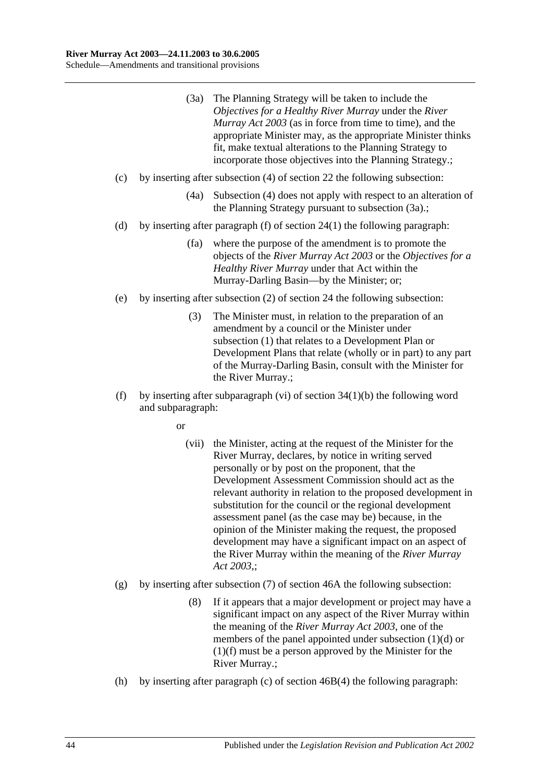- (3a) The Planning Strategy will be taken to include the *Objectives for a Healthy River Murray* under the *[River](http://www.legislation.sa.gov.au/index.aspx?action=legref&type=act&legtitle=River%20Murray%20Act%202003)  [Murray Act](http://www.legislation.sa.gov.au/index.aspx?action=legref&type=act&legtitle=River%20Murray%20Act%202003) 2003* (as in force from time to time), and the appropriate Minister may, as the appropriate Minister thinks fit, make textual alterations to the Planning Strategy to incorporate those objectives into the Planning Strategy.;
- (c) by inserting after subsection (4) of section 22 the following subsection:
	- (4a) Subsection (4) does not apply with respect to an alteration of the Planning Strategy pursuant to subsection (3a).;
- (d) by inserting after paragraph (f) of section 24(1) the following paragraph:
	- (fa) where the purpose of the amendment is to promote the objects of the *[River Murray Act](http://www.legislation.sa.gov.au/index.aspx?action=legref&type=act&legtitle=River%20Murray%20Act%202003) 2003* or the *Objectives for a Healthy River Murray* under that Act within the Murray-Darling Basin—by the Minister; or;
- (e) by inserting after subsection (2) of section 24 the following subsection:
	- (3) The Minister must, in relation to the preparation of an amendment by a council or the Minister under subsection (1) that relates to a Development Plan or Development Plans that relate (wholly or in part) to any part of the Murray-Darling Basin, consult with the Minister for the River Murray.;
- (f) by inserting after subparagraph (vi) of section  $34(1)(b)$  the following word and subparagraph:

or

- (vii) the Minister, acting at the request of the Minister for the River Murray, declares, by notice in writing served personally or by post on the proponent, that the Development Assessment Commission should act as the relevant authority in relation to the proposed development in substitution for the council or the regional development assessment panel (as the case may be) because, in the opinion of the Minister making the request, the proposed development may have a significant impact on an aspect of the River Murray within the meaning of the *[River Murray](http://www.legislation.sa.gov.au/index.aspx?action=legref&type=act&legtitle=River%20Murray%20Act%202003)  Act [2003](http://www.legislation.sa.gov.au/index.aspx?action=legref&type=act&legtitle=River%20Murray%20Act%202003)*,;
- (g) by inserting after subsection (7) of section 46A the following subsection:
	- (8) If it appears that a major development or project may have a significant impact on any aspect of the River Murray within the meaning of the *[River Murray Act](http://www.legislation.sa.gov.au/index.aspx?action=legref&type=act&legtitle=River%20Murray%20Act%202003) 2003*, one of the members of the panel appointed under subsection (1)(d) or (1)(f) must be a person approved by the Minister for the River Murray.;
- (h) by inserting after paragraph (c) of section 46B(4) the following paragraph: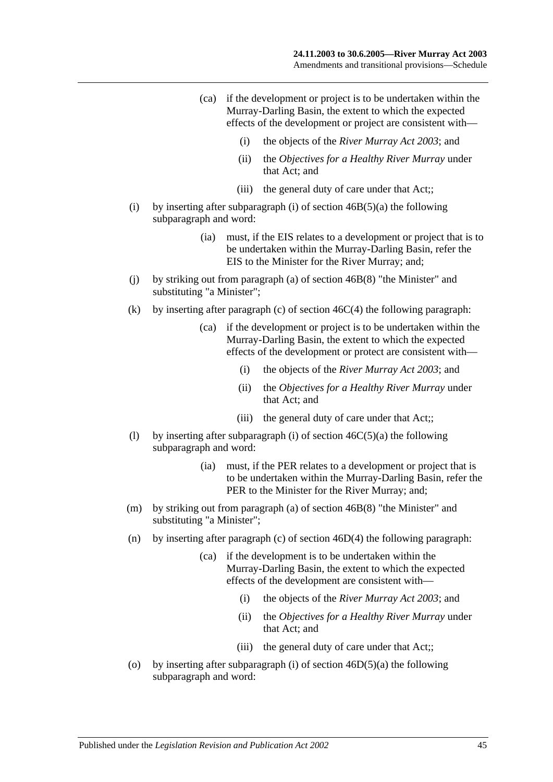- (ca) if the development or project is to be undertaken within the Murray-Darling Basin, the extent to which the expected effects of the development or project are consistent with—
	- (i) the objects of the *[River Murray Act](http://www.legislation.sa.gov.au/index.aspx?action=legref&type=act&legtitle=River%20Murray%20Act%202003) 2003*; and
	- (ii) the *Objectives for a Healthy River Murray* under that Act; and
	- (iii) the general duty of care under that Act::
- (i) by inserting after subparagraph (i) of section  $46B(5)(a)$  the following subparagraph and word:
	- (ia) must, if the EIS relates to a development or project that is to be undertaken within the Murray-Darling Basin, refer the EIS to the Minister for the River Murray; and;
- (j) by striking out from paragraph (a) of section 46B(8) "the Minister" and substituting "a Minister";
- (k) by inserting after paragraph (c) of section  $46C(4)$  the following paragraph:
	- (ca) if the development or project is to be undertaken within the Murray-Darling Basin, the extent to which the expected effects of the development or protect are consistent with—
		- (i) the objects of the *[River Murray Act](http://www.legislation.sa.gov.au/index.aspx?action=legref&type=act&legtitle=River%20Murray%20Act%202003) 2003*; and
		- (ii) the *Objectives for a Healthy River Murray* under that Act; and
		- (iii) the general duty of care under that Act;;
- (1) by inserting after subparagraph (i) of section  $46C(5)(a)$  the following subparagraph and word:
	- (ia) must, if the PER relates to a development or project that is to be undertaken within the Murray-Darling Basin, refer the PER to the Minister for the River Murray; and;
- (m) by striking out from paragraph (a) of section 46B(8) "the Minister" and substituting "a Minister";
- (n) by inserting after paragraph (c) of section 46D(4) the following paragraph:
	- (ca) if the development is to be undertaken within the Murray-Darling Basin, the extent to which the expected effects of the development are consistent with—
		- (i) the objects of the *[River Murray Act](http://www.legislation.sa.gov.au/index.aspx?action=legref&type=act&legtitle=River%20Murray%20Act%202003) 2003*; and
		- (ii) the *Objectives for a Healthy River Murray* under that Act; and
		- (iii) the general duty of care under that Act;;
- (o) by inserting after subparagraph (i) of section  $46D(5)(a)$  the following subparagraph and word: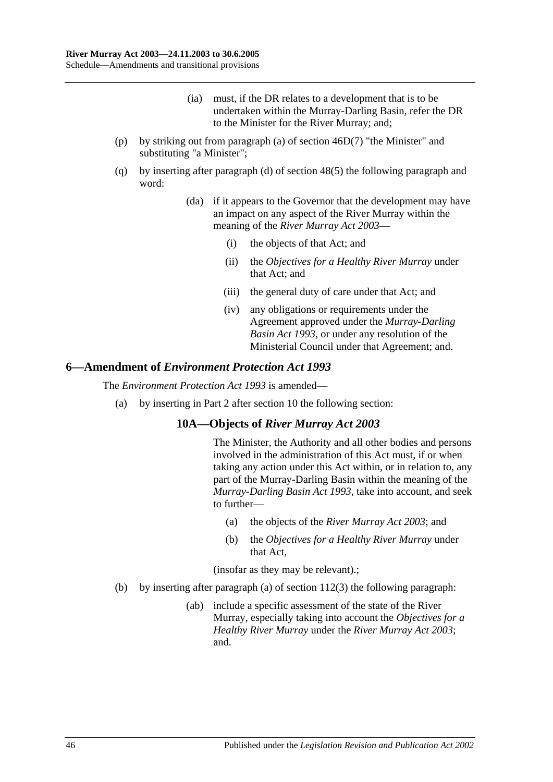- (ia) must, if the DR relates to a development that is to be undertaken within the Murray-Darling Basin, refer the DR to the Minister for the River Murray; and;
- (p) by striking out from paragraph (a) of section 46D(7) "the Minister" and substituting "a Minister";
- (q) by inserting after paragraph (d) of section 48(5) the following paragraph and word:
	- (da) if it appears to the Governor that the development may have an impact on any aspect of the River Murray within the meaning of the *[River Murray Act](http://www.legislation.sa.gov.au/index.aspx?action=legref&type=act&legtitle=River%20Murray%20Act%202003) 2003*—
		- (i) the objects of that Act; and
		- (ii) the *Objectives for a Healthy River Murray* under that Act; and
		- (iii) the general duty of care under that Act; and
		- (iv) any obligations or requirements under the Agreement approved under the *[Murray-Darling](http://www.legislation.sa.gov.au/index.aspx?action=legref&type=act&legtitle=Murray-Darling%20Basin%20Act%201993)  [Basin Act](http://www.legislation.sa.gov.au/index.aspx?action=legref&type=act&legtitle=Murray-Darling%20Basin%20Act%201993) 1993*, or under any resolution of the Ministerial Council under that Agreement; and.

#### **6—Amendment of** *Environment Protection Act 1993*

The *[Environment Protection Act](http://www.legislation.sa.gov.au/index.aspx?action=legref&type=act&legtitle=Environment%20Protection%20Act%201993) 1993* is amended—

(a) by inserting in Part 2 after section 10 the following section:

## **10A—Objects of** *River Murray Act 2003*

The Minister, the Authority and all other bodies and persons involved in the administration of this Act must, if or when taking any action under this Act within, or in relation to, any part of the Murray-Darling Basin within the meaning of the *[Murray-Darling Basin](http://www.legislation.sa.gov.au/index.aspx?action=legref&type=act&legtitle=Murray-Darling%20Basin%20Act%201993) Act 1993*, take into account, and seek to further—

- (a) the objects of the *[River Murray Act](http://www.legislation.sa.gov.au/index.aspx?action=legref&type=act&legtitle=River%20Murray%20Act%202003) 2003*; and
- (b) the *Objectives for a Healthy River Murray* under that Act,

(insofar as they may be relevant).;

- (b) by inserting after paragraph (a) of section 112(3) the following paragraph:
	- (ab) include a specific assessment of the state of the River Murray, especially taking into account the *Objectives for a Healthy River Murray* under the *[River Murray Act](http://www.legislation.sa.gov.au/index.aspx?action=legref&type=act&legtitle=River%20Murray%20Act%202003) 2003*; and.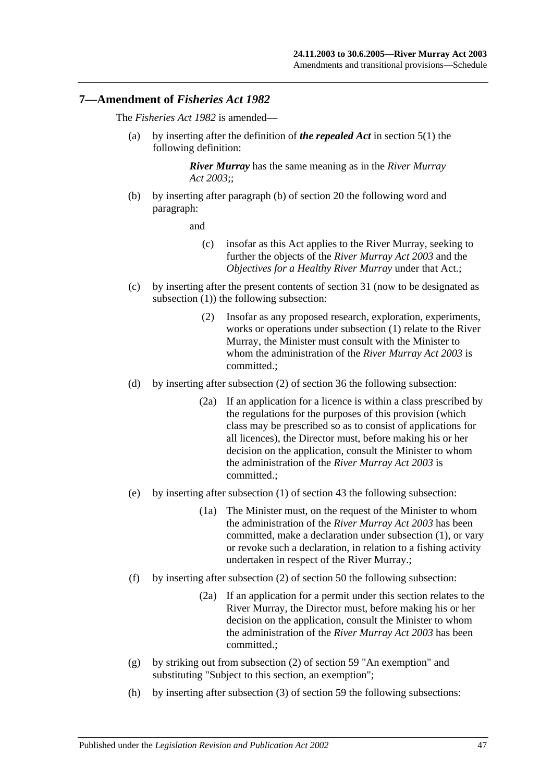#### **7—Amendment of** *Fisheries Act 1982*

The *[Fisheries Act](http://www.legislation.sa.gov.au/index.aspx?action=legref&type=act&legtitle=Fisheries%20Act%201982) 1982* is amended—

(a) by inserting after the definition of *the repealed Act* in section 5(1) the following definition:

> *River Murray* has the same meaning as in the *[River Murray](http://www.legislation.sa.gov.au/index.aspx?action=legref&type=act&legtitle=River%20Murray%20Act%202003)  Act [2003](http://www.legislation.sa.gov.au/index.aspx?action=legref&type=act&legtitle=River%20Murray%20Act%202003)*;;

(b) by inserting after paragraph (b) of section 20 the following word and paragraph:

and

- (c) insofar as this Act applies to the River Murray, seeking to further the objects of the *[River Murray Act](http://www.legislation.sa.gov.au/index.aspx?action=legref&type=act&legtitle=River%20Murray%20Act%202003) 2003* and the *Objectives for a Healthy River Murray* under that Act.;
- (c) by inserting after the present contents of section 31 (now to be designated as subsection (1)) the following subsection:
	- (2) Insofar as any proposed research, exploration, experiments, works or operations under subsection (1) relate to the River Murray, the Minister must consult with the Minister to whom the administration of the *[River Murray Act](http://www.legislation.sa.gov.au/index.aspx?action=legref&type=act&legtitle=River%20Murray%20Act%202003) 2003* is committed.;
- (d) by inserting after subsection (2) of section 36 the following subsection:
	- (2a) If an application for a licence is within a class prescribed by the regulations for the purposes of this provision (which class may be prescribed so as to consist of applications for all licences), the Director must, before making his or her decision on the application, consult the Minister to whom the administration of the *[River Murray Act](http://www.legislation.sa.gov.au/index.aspx?action=legref&type=act&legtitle=River%20Murray%20Act%202003) 2003* is committed.;
- (e) by inserting after subsection (1) of section 43 the following subsection:
	- (1a) The Minister must, on the request of the Minister to whom the administration of the *[River Murray Act](http://www.legislation.sa.gov.au/index.aspx?action=legref&type=act&legtitle=River%20Murray%20Act%202003) 2003* has been committed, make a declaration under subsection (1), or vary or revoke such a declaration, in relation to a fishing activity undertaken in respect of the River Murray.;
- (f) by inserting after subsection (2) of section 50 the following subsection:
	- (2a) If an application for a permit under this section relates to the River Murray, the Director must, before making his or her decision on the application, consult the Minister to whom the administration of the *[River Murray Act](http://www.legislation.sa.gov.au/index.aspx?action=legref&type=act&legtitle=River%20Murray%20Act%202003) 2003* has been committed.;
- (g) by striking out from subsection (2) of section 59 "An exemption" and substituting "Subject to this section, an exemption";
- (h) by inserting after subsection (3) of section 59 the following subsections: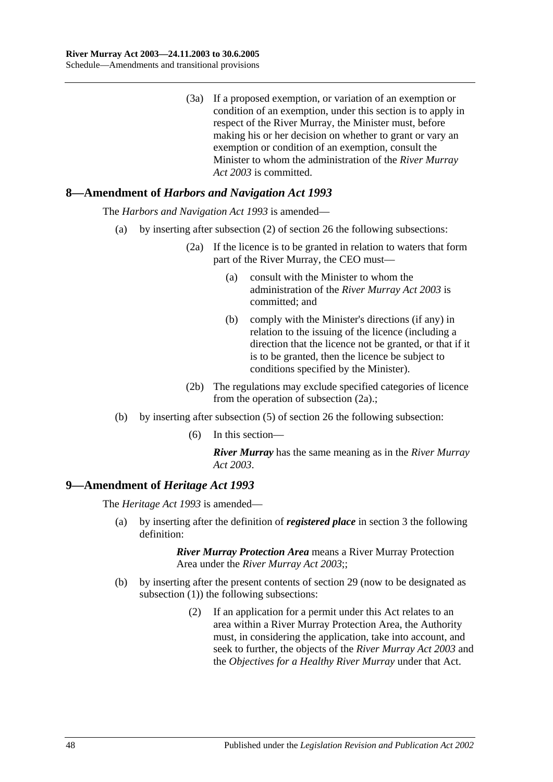(3a) If a proposed exemption, or variation of an exemption or condition of an exemption, under this section is to apply in respect of the River Murray, the Minister must, before making his or her decision on whether to grant or vary an exemption or condition of an exemption, consult the Minister to whom the administration of the *[River Murray](http://www.legislation.sa.gov.au/index.aspx?action=legref&type=act&legtitle=River%20Murray%20Act%202003)  Act [2003](http://www.legislation.sa.gov.au/index.aspx?action=legref&type=act&legtitle=River%20Murray%20Act%202003)* is committed.

# **8—Amendment of** *Harbors and Navigation Act 1993*

The *[Harbors and Navigation Act](http://www.legislation.sa.gov.au/index.aspx?action=legref&type=act&legtitle=Harbors%20and%20Navigation%20Act%201993) 1993* is amended—

- (a) by inserting after subsection (2) of section 26 the following subsections:
	- (2a) If the licence is to be granted in relation to waters that form part of the River Murray, the CEO must—
		- (a) consult with the Minister to whom the administration of the *[River Murray Act](http://www.legislation.sa.gov.au/index.aspx?action=legref&type=act&legtitle=River%20Murray%20Act%202003) 2003* is committed; and
		- (b) comply with the Minister's directions (if any) in relation to the issuing of the licence (including a direction that the licence not be granted, or that if it is to be granted, then the licence be subject to conditions specified by the Minister).
	- (2b) The regulations may exclude specified categories of licence from the operation of subsection (2a).;
- (b) by inserting after subsection (5) of section 26 the following subsection:
	- (6) In this section—

*River Murray* has the same meaning as in the *[River Murray](http://www.legislation.sa.gov.au/index.aspx?action=legref&type=act&legtitle=River%20Murray%20Act%202003)  Act [2003](http://www.legislation.sa.gov.au/index.aspx?action=legref&type=act&legtitle=River%20Murray%20Act%202003)*.

## **9—Amendment of** *Heritage Act 1993*

The *[Heritage Act](http://www.legislation.sa.gov.au/index.aspx?action=legref&type=act&legtitle=Heritage%20Act%201993) 1993* is amended—

(a) by inserting after the definition of *registered place* in section 3 the following definition:

- (b) by inserting after the present contents of section 29 (now to be designated as subsection (1)) the following subsections:
	- (2) If an application for a permit under this Act relates to an area within a River Murray Protection Area, the Authority must, in considering the application, take into account, and seek to further, the objects of the *[River Murray Act](http://www.legislation.sa.gov.au/index.aspx?action=legref&type=act&legtitle=River%20Murray%20Act%202003) 2003* and the *Objectives for a Healthy River Murray* under that Act.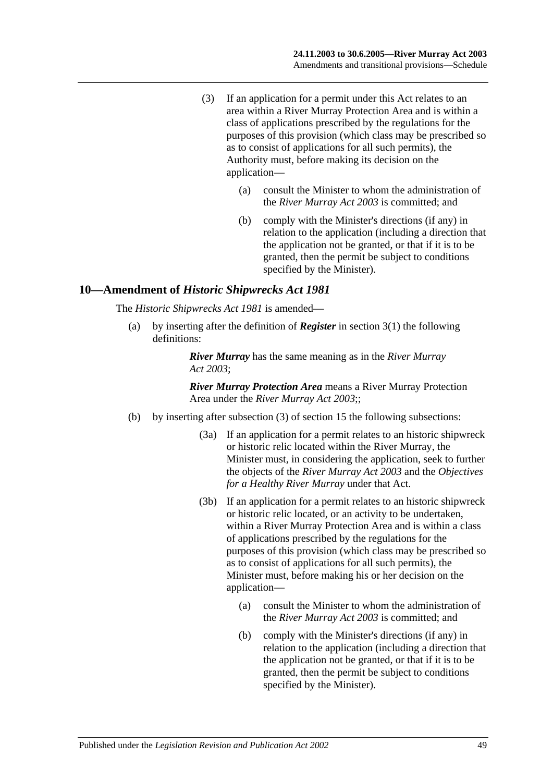- (3) If an application for a permit under this Act relates to an area within a River Murray Protection Area and is within a class of applications prescribed by the regulations for the purposes of this provision (which class may be prescribed so as to consist of applications for all such permits), the Authority must, before making its decision on the application—
	- (a) consult the Minister to whom the administration of the *[River Murray Act](http://www.legislation.sa.gov.au/index.aspx?action=legref&type=act&legtitle=River%20Murray%20Act%202003) 2003* is committed; and
	- (b) comply with the Minister's directions (if any) in relation to the application (including a direction that the application not be granted, or that if it is to be granted, then the permit be subject to conditions specified by the Minister).

#### **10—Amendment of** *Historic Shipwrecks Act 1981*

The *[Historic Shipwrecks Act](http://www.legislation.sa.gov.au/index.aspx?action=legref&type=act&legtitle=Historic%20Shipwrecks%20Act%201981) 1981* is amended—

(a) by inserting after the definition of *Register* in section 3(1) the following definitions:

> *River Murray* has the same meaning as in the *[River Murray](http://www.legislation.sa.gov.au/index.aspx?action=legref&type=act&legtitle=River%20Murray%20Act%202003)  Act [2003](http://www.legislation.sa.gov.au/index.aspx?action=legref&type=act&legtitle=River%20Murray%20Act%202003)*;

- (b) by inserting after subsection (3) of section 15 the following subsections:
	- (3a) If an application for a permit relates to an historic shipwreck or historic relic located within the River Murray, the Minister must, in considering the application, seek to further the objects of the *[River Murray Act](http://www.legislation.sa.gov.au/index.aspx?action=legref&type=act&legtitle=River%20Murray%20Act%202003) 2003* and the *Objectives for a Healthy River Murray* under that Act.
	- (3b) If an application for a permit relates to an historic shipwreck or historic relic located, or an activity to be undertaken, within a River Murray Protection Area and is within a class of applications prescribed by the regulations for the purposes of this provision (which class may be prescribed so as to consist of applications for all such permits), the Minister must, before making his or her decision on the application—
		- (a) consult the Minister to whom the administration of the *[River Murray Act](http://www.legislation.sa.gov.au/index.aspx?action=legref&type=act&legtitle=River%20Murray%20Act%202003) 2003* is committed; and
		- (b) comply with the Minister's directions (if any) in relation to the application (including a direction that the application not be granted, or that if it is to be granted, then the permit be subject to conditions specified by the Minister).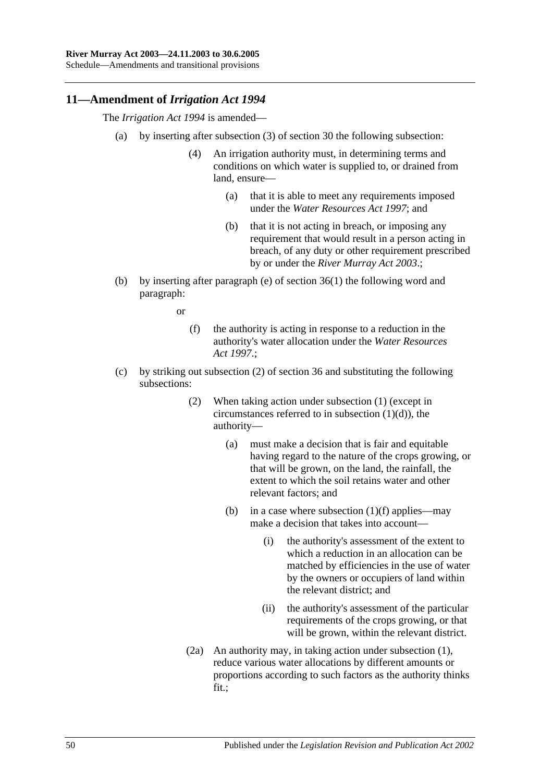## **11—Amendment of** *Irrigation Act 1994*

The *[Irrigation Act](http://www.legislation.sa.gov.au/index.aspx?action=legref&type=act&legtitle=Irrigation%20Act%201994) 1994* is amended—

- (a) by inserting after subsection (3) of section 30 the following subsection:
	- (4) An irrigation authority must, in determining terms and conditions on which water is supplied to, or drained from land, ensure—
		- (a) that it is able to meet any requirements imposed under the *[Water Resources Act](http://www.legislation.sa.gov.au/index.aspx?action=legref&type=act&legtitle=Water%20Resources%20Act%201997) 1997*; and
		- (b) that it is not acting in breach, or imposing any requirement that would result in a person acting in breach, of any duty or other requirement prescribed by or under the *[River Murray Act](http://www.legislation.sa.gov.au/index.aspx?action=legref&type=act&legtitle=River%20Murray%20Act%202003) 2003*.;
- (b) by inserting after paragraph (e) of section 36(1) the following word and paragraph:

or

- (f) the authority is acting in response to a reduction in the authority's water allocation under the *[Water Resources](http://www.legislation.sa.gov.au/index.aspx?action=legref&type=act&legtitle=Water%20Resources%20Act%201997)  Act [1997](http://www.legislation.sa.gov.au/index.aspx?action=legref&type=act&legtitle=Water%20Resources%20Act%201997)*.;
- (c) by striking out subsection (2) of section 36 and substituting the following subsections:
	- (2) When taking action under subsection (1) (except in circumstances referred to in subsection  $(1)(d)$ , the authority—
		- (a) must make a decision that is fair and equitable having regard to the nature of the crops growing, or that will be grown, on the land, the rainfall, the extent to which the soil retains water and other relevant factors; and
		- (b) in a case where subsection  $(1)(f)$  applies—may make a decision that takes into account—
			- (i) the authority's assessment of the extent to which a reduction in an allocation can be matched by efficiencies in the use of water by the owners or occupiers of land within the relevant district; and
			- (ii) the authority's assessment of the particular requirements of the crops growing, or that will be grown, within the relevant district.
	- (2a) An authority may, in taking action under subsection (1), reduce various water allocations by different amounts or proportions according to such factors as the authority thinks fit.;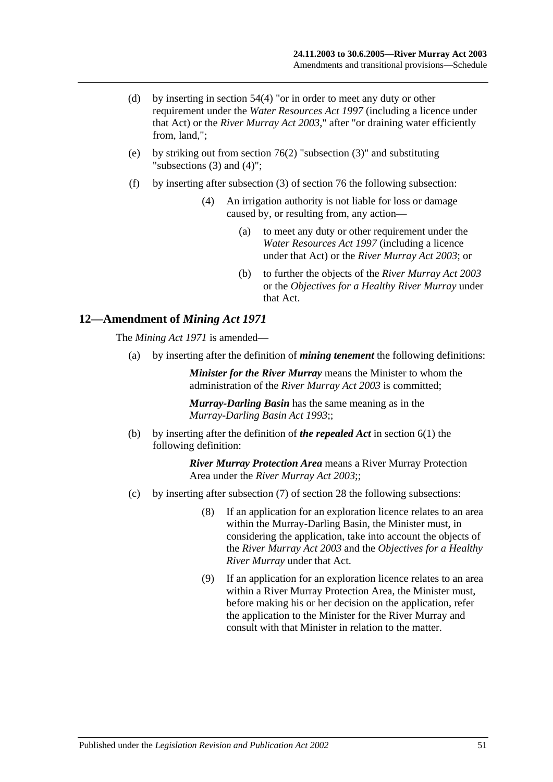- (d) by inserting in section 54(4) "or in order to meet any duty or other requirement under the *[Water Resources Act](http://www.legislation.sa.gov.au/index.aspx?action=legref&type=act&legtitle=Water%20Resources%20Act%201997) 1997* (including a licence under that Act) or the *[River Murray Act](http://www.legislation.sa.gov.au/index.aspx?action=legref&type=act&legtitle=River%20Murray%20Act%202003) 2003*," after "or draining water efficiently from, land,";
- (e) by striking out from section 76(2) "subsection (3)" and substituting "subsections (3) and (4)";
- (f) by inserting after subsection (3) of section 76 the following subsection:
	- (4) An irrigation authority is not liable for loss or damage caused by, or resulting from, any action—
		- (a) to meet any duty or other requirement under the *[Water Resources Act](http://www.legislation.sa.gov.au/index.aspx?action=legref&type=act&legtitle=Water%20Resources%20Act%201997) 1997* (including a licence under that Act) or the *[River Murray Act](http://www.legislation.sa.gov.au/index.aspx?action=legref&type=act&legtitle=River%20Murray%20Act%202003) 2003*; or
		- (b) to further the objects of the *[River Murray Act](http://www.legislation.sa.gov.au/index.aspx?action=legref&type=act&legtitle=River%20Murray%20Act%202003) 2003* or the *Objectives for a Healthy River Murray* under that Act.

#### **12—Amendment of** *Mining Act 1971*

The *[Mining Act](http://www.legislation.sa.gov.au/index.aspx?action=legref&type=act&legtitle=Mining%20Act%201971) 1971* is amended—

(a) by inserting after the definition of *mining tenement* the following definitions:

*Minister for the River Murray* means the Minister to whom the administration of the *[River Murray Act](http://www.legislation.sa.gov.au/index.aspx?action=legref&type=act&legtitle=River%20Murray%20Act%202003) 2003* is committed;

*Murray-Darling Basin* has the same meaning as in the *[Murray-Darling Basin Act](http://www.legislation.sa.gov.au/index.aspx?action=legref&type=act&legtitle=Murray-Darling%20Basin%20Act%201993) 1993*;;

(b) by inserting after the definition of *the repealed Act* in section 6(1) the following definition:

- (c) by inserting after subsection (7) of section 28 the following subsections:
	- (8) If an application for an exploration licence relates to an area within the Murray-Darling Basin, the Minister must, in considering the application, take into account the objects of the *[River Murray Act](http://www.legislation.sa.gov.au/index.aspx?action=legref&type=act&legtitle=River%20Murray%20Act%202003) 2003* and the *Objectives for a Healthy River Murray* under that Act.
	- (9) If an application for an exploration licence relates to an area within a River Murray Protection Area, the Minister must, before making his or her decision on the application, refer the application to the Minister for the River Murray and consult with that Minister in relation to the matter.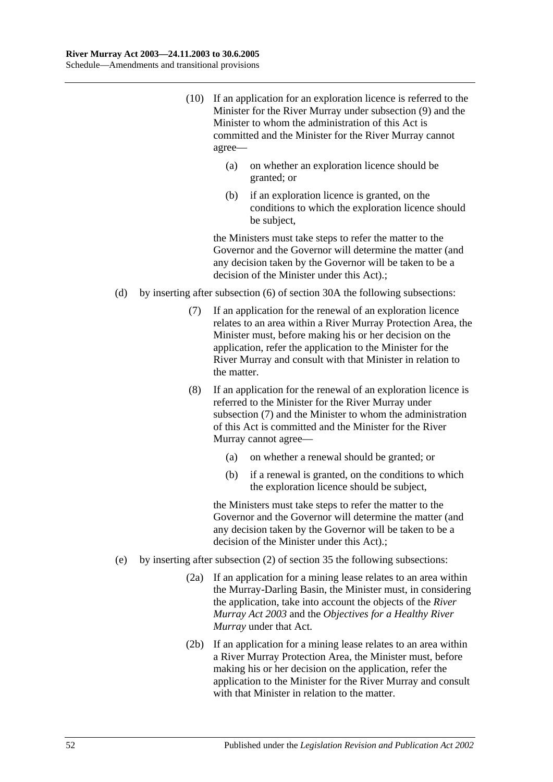- (10) If an application for an exploration licence is referred to the Minister for the River Murray under subsection (9) and the Minister to whom the administration of this Act is committed and the Minister for the River Murray cannot agree—
	- (a) on whether an exploration licence should be granted; or
	- (b) if an exploration licence is granted, on the conditions to which the exploration licence should be subject,

- (d) by inserting after subsection (6) of section 30A the following subsections:
	- (7) If an application for the renewal of an exploration licence relates to an area within a River Murray Protection Area, the Minister must, before making his or her decision on the application, refer the application to the Minister for the River Murray and consult with that Minister in relation to the matter.
	- (8) If an application for the renewal of an exploration licence is referred to the Minister for the River Murray under subsection (7) and the Minister to whom the administration of this Act is committed and the Minister for the River Murray cannot agree—
		- (a) on whether a renewal should be granted; or
		- (b) if a renewal is granted, on the conditions to which the exploration licence should be subject,

- (e) by inserting after subsection (2) of section 35 the following subsections:
	- (2a) If an application for a mining lease relates to an area within the Murray-Darling Basin, the Minister must, in considering the application, take into account the objects of the *[River](http://www.legislation.sa.gov.au/index.aspx?action=legref&type=act&legtitle=River%20Murray%20Act%202003)  [Murray Act](http://www.legislation.sa.gov.au/index.aspx?action=legref&type=act&legtitle=River%20Murray%20Act%202003) 2003* and the *Objectives for a Healthy River Murray* under that Act.
	- (2b) If an application for a mining lease relates to an area within a River Murray Protection Area, the Minister must, before making his or her decision on the application, refer the application to the Minister for the River Murray and consult with that Minister in relation to the matter.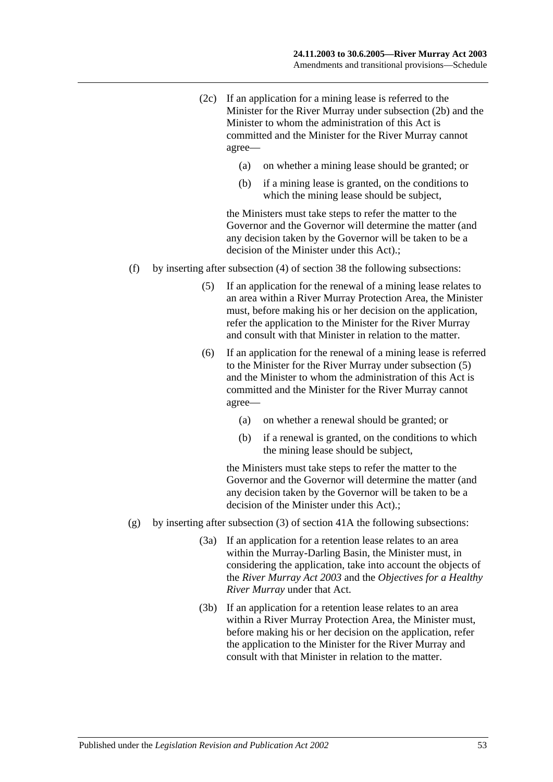- (2c) If an application for a mining lease is referred to the Minister for the River Murray under subsection (2b) and the Minister to whom the administration of this Act is committed and the Minister for the River Murray cannot agree—
	- (a) on whether a mining lease should be granted; or
	- (b) if a mining lease is granted, on the conditions to which the mining lease should be subject,

- (f) by inserting after subsection (4) of section 38 the following subsections:
	- (5) If an application for the renewal of a mining lease relates to an area within a River Murray Protection Area, the Minister must, before making his or her decision on the application, refer the application to the Minister for the River Murray and consult with that Minister in relation to the matter.
	- (6) If an application for the renewal of a mining lease is referred to the Minister for the River Murray under subsection (5) and the Minister to whom the administration of this Act is committed and the Minister for the River Murray cannot agree—
		- (a) on whether a renewal should be granted; or
		- (b) if a renewal is granted, on the conditions to which the mining lease should be subject,

- (g) by inserting after subsection (3) of section 41A the following subsections:
	- (3a) If an application for a retention lease relates to an area within the Murray-Darling Basin, the Minister must, in considering the application, take into account the objects of the *[River Murray Act](http://www.legislation.sa.gov.au/index.aspx?action=legref&type=act&legtitle=River%20Murray%20Act%202003) 2003* and the *Objectives for a Healthy River Murray* under that Act.
	- (3b) If an application for a retention lease relates to an area within a River Murray Protection Area, the Minister must, before making his or her decision on the application, refer the application to the Minister for the River Murray and consult with that Minister in relation to the matter.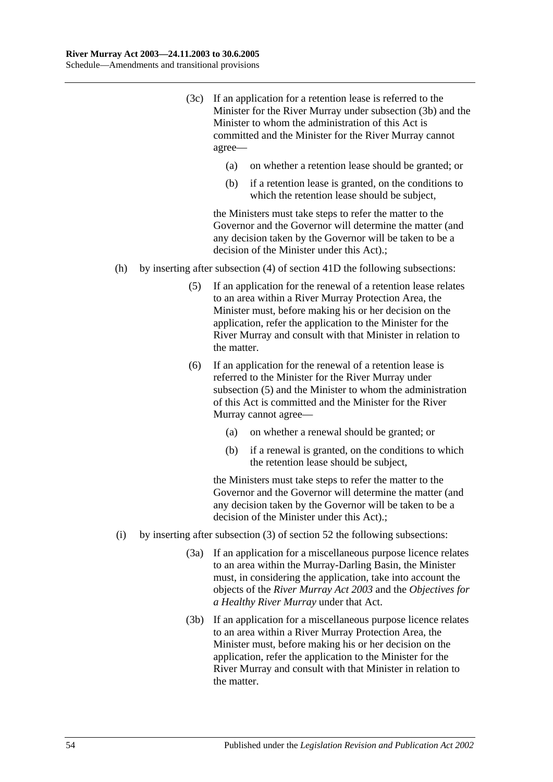- (3c) If an application for a retention lease is referred to the Minister for the River Murray under subsection (3b) and the Minister to whom the administration of this Act is committed and the Minister for the River Murray cannot agree—
	- (a) on whether a retention lease should be granted; or
	- (b) if a retention lease is granted, on the conditions to which the retention lease should be subject,

- (h) by inserting after subsection (4) of section 41D the following subsections:
	- (5) If an application for the renewal of a retention lease relates to an area within a River Murray Protection Area, the Minister must, before making his or her decision on the application, refer the application to the Minister for the River Murray and consult with that Minister in relation to the matter.
	- (6) If an application for the renewal of a retention lease is referred to the Minister for the River Murray under subsection (5) and the Minister to whom the administration of this Act is committed and the Minister for the River Murray cannot agree—
		- (a) on whether a renewal should be granted; or
		- (b) if a renewal is granted, on the conditions to which the retention lease should be subject,

- (i) by inserting after subsection (3) of section 52 the following subsections:
	- (3a) If an application for a miscellaneous purpose licence relates to an area within the Murray-Darling Basin, the Minister must, in considering the application, take into account the objects of the *[River Murray Act](http://www.legislation.sa.gov.au/index.aspx?action=legref&type=act&legtitle=River%20Murray%20Act%202003) 2003* and the *Objectives for a Healthy River Murray* under that Act.
	- (3b) If an application for a miscellaneous purpose licence relates to an area within a River Murray Protection Area, the Minister must, before making his or her decision on the application, refer the application to the Minister for the River Murray and consult with that Minister in relation to the matter.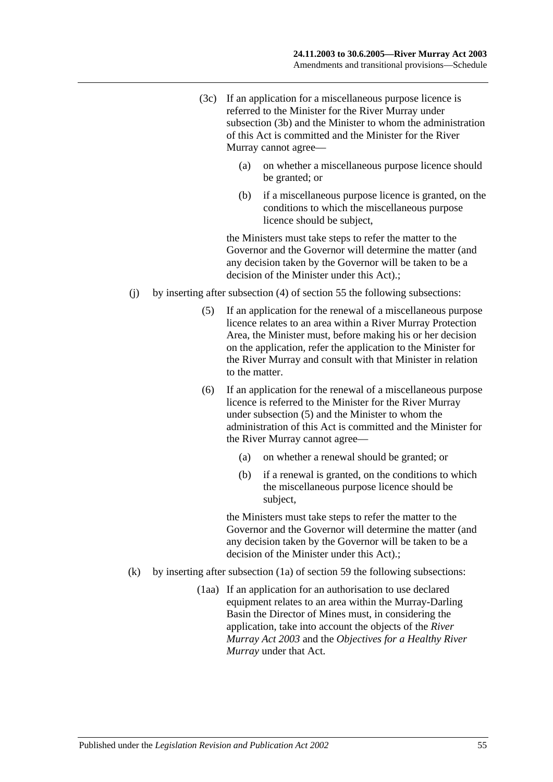- (3c) If an application for a miscellaneous purpose licence is referred to the Minister for the River Murray under subsection (3b) and the Minister to whom the administration of this Act is committed and the Minister for the River Murray cannot agree—
	- (a) on whether a miscellaneous purpose licence should be granted; or
	- (b) if a miscellaneous purpose licence is granted, on the conditions to which the miscellaneous purpose licence should be subject,

- (j) by inserting after subsection (4) of section 55 the following subsections:
	- (5) If an application for the renewal of a miscellaneous purpose licence relates to an area within a River Murray Protection Area, the Minister must, before making his or her decision on the application, refer the application to the Minister for the River Murray and consult with that Minister in relation to the matter.
	- (6) If an application for the renewal of a miscellaneous purpose licence is referred to the Minister for the River Murray under subsection (5) and the Minister to whom the administration of this Act is committed and the Minister for the River Murray cannot agree—
		- (a) on whether a renewal should be granted; or
		- (b) if a renewal is granted, on the conditions to which the miscellaneous purpose licence should be subject,

- (k) by inserting after subsection (1a) of section 59 the following subsections:
	- (1aa) If an application for an authorisation to use declared equipment relates to an area within the Murray-Darling Basin the Director of Mines must, in considering the application, take into account the objects of the *[River](http://www.legislation.sa.gov.au/index.aspx?action=legref&type=act&legtitle=River%20Murray%20Act%202003)  [Murray Act](http://www.legislation.sa.gov.au/index.aspx?action=legref&type=act&legtitle=River%20Murray%20Act%202003) 2003* and the *Objectives for a Healthy River Murray* under that Act.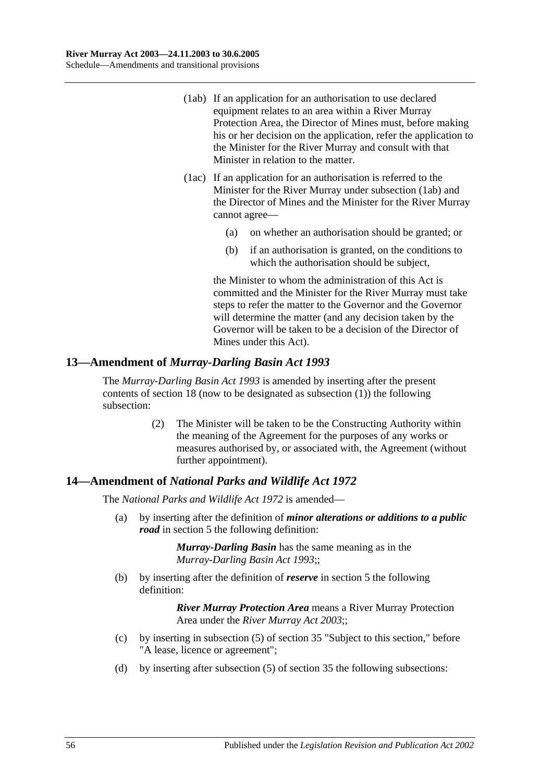- (1ab) If an application for an authorisation to use declared equipment relates to an area within a River Murray Protection Area, the Director of Mines must, before making his or her decision on the application, refer the application to the Minister for the River Murray and consult with that Minister in relation to the matter.
- (1ac) If an application for an authorisation is referred to the Minister for the River Murray under subsection (1ab) and the Director of Mines and the Minister for the River Murray cannot agree—
	- (a) on whether an authorisation should be granted; or
	- (b) if an authorisation is granted, on the conditions to which the authorisation should be subject,

the Minister to whom the administration of this Act is committed and the Minister for the River Murray must take steps to refer the matter to the Governor and the Governor will determine the matter (and any decision taken by the Governor will be taken to be a decision of the Director of Mines under this Act).

## **13—Amendment of** *Murray-Darling Basin Act 1993*

The *[Murray-Darling Basin Act](http://www.legislation.sa.gov.au/index.aspx?action=legref&type=act&legtitle=Murray-Darling%20Basin%20Act%201993) 1993* is amended by inserting after the present contents of section 18 (now to be designated as subsection (1)) the following subsection:

> (2) The Minister will be taken to be the Constructing Authority within the meaning of the Agreement for the purposes of any works or measures authorised by, or associated with, the Agreement (without further appointment).

## **14—Amendment of** *National Parks and Wildlife Act 1972*

The *[National Parks and Wildlife Act](http://www.legislation.sa.gov.au/index.aspx?action=legref&type=act&legtitle=National%20Parks%20and%20Wildlife%20Act%201972) 1972* is amended—

(a) by inserting after the definition of *minor alterations or additions to a public road* in section 5 the following definition:

> *Murray-Darling Basin* has the same meaning as in the *[Murray-Darling Basin Act](http://www.legislation.sa.gov.au/index.aspx?action=legref&type=act&legtitle=Murray-Darling%20Basin%20Act%201993) 1993*;;

(b) by inserting after the definition of *reserve* in section 5 the following definition:

- (c) by inserting in subsection (5) of section 35 "Subject to this section," before "A lease, licence or agreement";
- (d) by inserting after subsection (5) of section 35 the following subsections: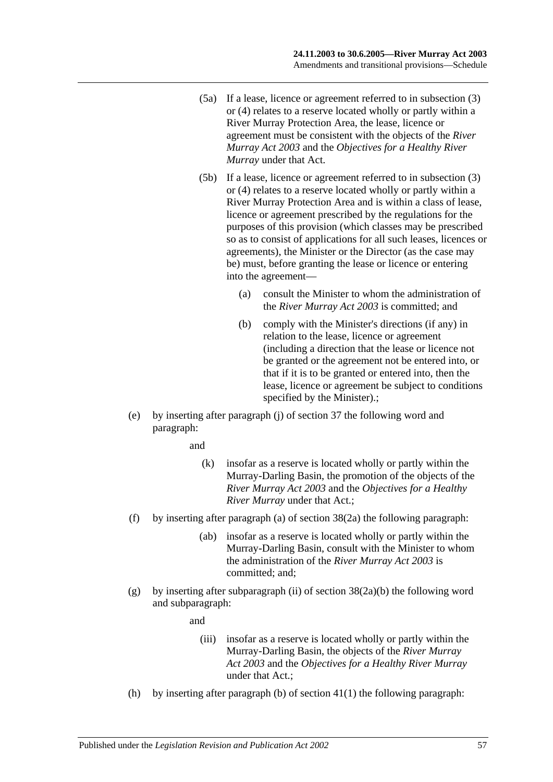- (5a) If a lease, licence or agreement referred to in subsection (3) or (4) relates to a reserve located wholly or partly within a River Murray Protection Area, the lease, licence or agreement must be consistent with the objects of the *[River](http://www.legislation.sa.gov.au/index.aspx?action=legref&type=act&legtitle=River%20Murray%20Act%202003)  [Murray Act](http://www.legislation.sa.gov.au/index.aspx?action=legref&type=act&legtitle=River%20Murray%20Act%202003) 2003* and the *Objectives for a Healthy River Murray* under that Act.
- (5b) If a lease, licence or agreement referred to in subsection (3) or (4) relates to a reserve located wholly or partly within a River Murray Protection Area and is within a class of lease, licence or agreement prescribed by the regulations for the purposes of this provision (which classes may be prescribed so as to consist of applications for all such leases, licences or agreements), the Minister or the Director (as the case may be) must, before granting the lease or licence or entering into the agreement—
	- (a) consult the Minister to whom the administration of the *[River Murray Act](http://www.legislation.sa.gov.au/index.aspx?action=legref&type=act&legtitle=River%20Murray%20Act%202003) 2003* is committed; and
	- (b) comply with the Minister's directions (if any) in relation to the lease, licence or agreement (including a direction that the lease or licence not be granted or the agreement not be entered into, or that if it is to be granted or entered into, then the lease, licence or agreement be subject to conditions specified by the Minister).;
- (e) by inserting after paragraph (j) of section 37 the following word and paragraph:

and

- (k) insofar as a reserve is located wholly or partly within the Murray-Darling Basin, the promotion of the objects of the *[River Murray Act](http://www.legislation.sa.gov.au/index.aspx?action=legref&type=act&legtitle=River%20Murray%20Act%202003) 2003* and the *Objectives for a Healthy River Murray* under that Act.;
- (f) by inserting after paragraph (a) of section 38(2a) the following paragraph:
	- (ab) insofar as a reserve is located wholly or partly within the Murray-Darling Basin, consult with the Minister to whom the administration of the *[River Murray Act](http://www.legislation.sa.gov.au/index.aspx?action=legref&type=act&legtitle=River%20Murray%20Act%202003) 2003* is committed; and;
- (g) by inserting after subparagraph (ii) of section  $38(2a)(b)$  the following word and subparagraph:

and

- (iii) insofar as a reserve is located wholly or partly within the Murray-Darling Basin, the objects of the *[River Murray](http://www.legislation.sa.gov.au/index.aspx?action=legref&type=act&legtitle=River%20Murray%20Act%202003)  Act [2003](http://www.legislation.sa.gov.au/index.aspx?action=legref&type=act&legtitle=River%20Murray%20Act%202003)* and the *Objectives for a Healthy River Murray* under that Act.;
- (h) by inserting after paragraph (b) of section  $41(1)$  the following paragraph: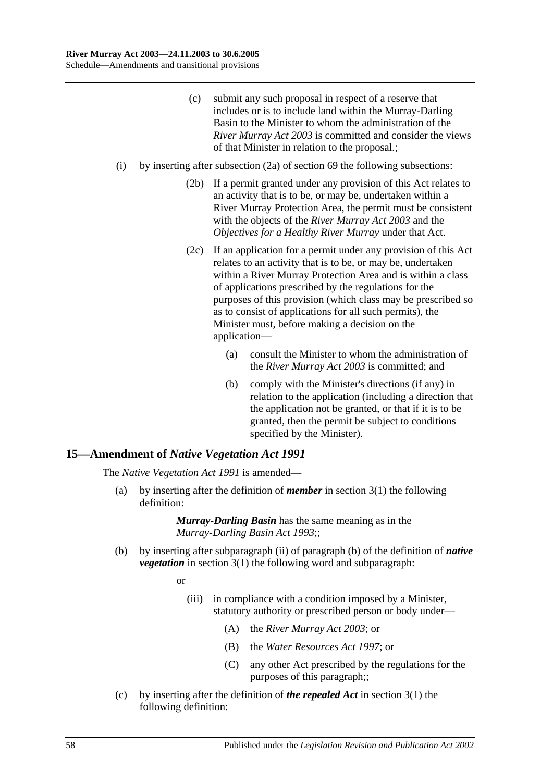- (c) submit any such proposal in respect of a reserve that includes or is to include land within the Murray-Darling Basin to the Minister to whom the administration of the *[River Murray Act](http://www.legislation.sa.gov.au/index.aspx?action=legref&type=act&legtitle=River%20Murray%20Act%202003) 2003* is committed and consider the views of that Minister in relation to the proposal.;
- (i) by inserting after subsection (2a) of section 69 the following subsections:
	- (2b) If a permit granted under any provision of this Act relates to an activity that is to be, or may be, undertaken within a River Murray Protection Area, the permit must be consistent with the objects of the *[River Murray Act](http://www.legislation.sa.gov.au/index.aspx?action=legref&type=act&legtitle=River%20Murray%20Act%202003) 2003* and the *Objectives for a Healthy River Murray* under that Act.
	- (2c) If an application for a permit under any provision of this Act relates to an activity that is to be, or may be, undertaken within a River Murray Protection Area and is within a class of applications prescribed by the regulations for the purposes of this provision (which class may be prescribed so as to consist of applications for all such permits), the Minister must, before making a decision on the application—
		- (a) consult the Minister to whom the administration of the *[River Murray Act](http://www.legislation.sa.gov.au/index.aspx?action=legref&type=act&legtitle=River%20Murray%20Act%202003) 2003* is committed; and
		- (b) comply with the Minister's directions (if any) in relation to the application (including a direction that the application not be granted, or that if it is to be granted, then the permit be subject to conditions specified by the Minister).

#### **15—Amendment of** *Native Vegetation Act 1991*

The *[Native Vegetation Act](http://www.legislation.sa.gov.au/index.aspx?action=legref&type=act&legtitle=Native%20Vegetation%20Act%201991) 1991* is amended—

(a) by inserting after the definition of *member* in section 3(1) the following definition:

> *Murray-Darling Basin* has the same meaning as in the *[Murray-Darling Basin Act](http://www.legislation.sa.gov.au/index.aspx?action=legref&type=act&legtitle=Murray-Darling%20Basin%20Act%201993) 1993*;;

(b) by inserting after subparagraph (ii) of paragraph (b) of the definition of *native vegetation* in section 3(1) the following word and subparagraph:

or

- (iii) in compliance with a condition imposed by a Minister, statutory authority or prescribed person or body under—
	- (A) the *[River Murray Act](http://www.legislation.sa.gov.au/index.aspx?action=legref&type=act&legtitle=River%20Murray%20Act%202003) 2003*; or
	- (B) the *[Water Resources Act](http://www.legislation.sa.gov.au/index.aspx?action=legref&type=act&legtitle=Water%20Resources%20Act%201997) 1997*; or
	- (C) any other Act prescribed by the regulations for the purposes of this paragraph;;
- (c) by inserting after the definition of *the repealed Act* in section 3(1) the following definition: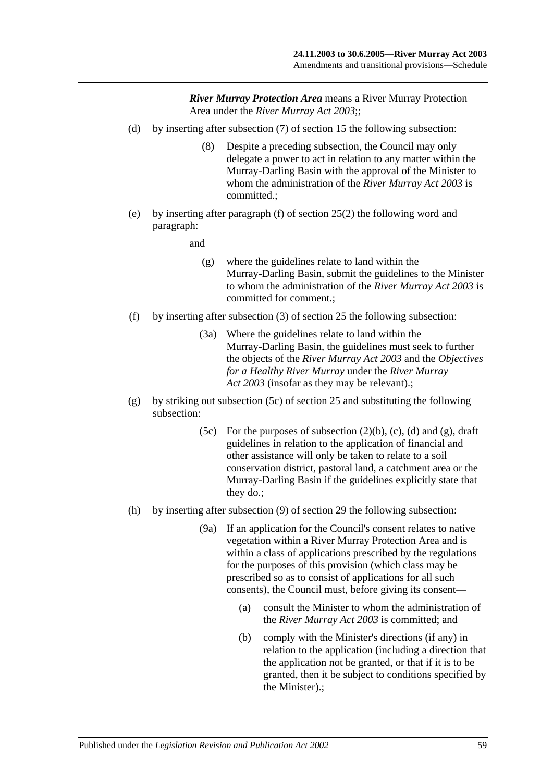- (d) by inserting after subsection (7) of section 15 the following subsection:
	- (8) Despite a preceding subsection, the Council may only delegate a power to act in relation to any matter within the Murray-Darling Basin with the approval of the Minister to whom the administration of the *[River Murray Act](http://www.legislation.sa.gov.au/index.aspx?action=legref&type=act&legtitle=River%20Murray%20Act%202003) 2003* is committed.;
- (e) by inserting after paragraph (f) of section 25(2) the following word and paragraph:
	- and
		- (g) where the guidelines relate to land within the Murray-Darling Basin, submit the guidelines to the Minister to whom the administration of the *[River Murray Act](http://www.legislation.sa.gov.au/index.aspx?action=legref&type=act&legtitle=River%20Murray%20Act%202003) 2003* is committed for comment.;
- (f) by inserting after subsection (3) of section 25 the following subsection:
	- (3a) Where the guidelines relate to land within the Murray-Darling Basin, the guidelines must seek to further the objects of the *[River Murray Act](http://www.legislation.sa.gov.au/index.aspx?action=legref&type=act&legtitle=River%20Murray%20Act%202003) 2003* and the *Objectives for a Healthy River Murray* under the *[River Murray](http://www.legislation.sa.gov.au/index.aspx?action=legref&type=act&legtitle=River%20Murray%20Act%202003)  Act [2003](http://www.legislation.sa.gov.au/index.aspx?action=legref&type=act&legtitle=River%20Murray%20Act%202003)* (insofar as they may be relevant).;
- (g) by striking out subsection (5c) of section 25 and substituting the following subsection:
	- (5c) For the purposes of subsection  $(2)(b)$ ,  $(c)$ ,  $(d)$  and  $(g)$ , draft guidelines in relation to the application of financial and other assistance will only be taken to relate to a soil conservation district, pastoral land, a catchment area or the Murray-Darling Basin if the guidelines explicitly state that they do.;
- (h) by inserting after subsection (9) of section 29 the following subsection:
	- (9a) If an application for the Council's consent relates to native vegetation within a River Murray Protection Area and is within a class of applications prescribed by the regulations for the purposes of this provision (which class may be prescribed so as to consist of applications for all such consents), the Council must, before giving its consent—
		- (a) consult the Minister to whom the administration of the *[River Murray Act](http://www.legislation.sa.gov.au/index.aspx?action=legref&type=act&legtitle=River%20Murray%20Act%202003) 2003* is committed; and
		- (b) comply with the Minister's directions (if any) in relation to the application (including a direction that the application not be granted, or that if it is to be granted, then it be subject to conditions specified by the Minister).;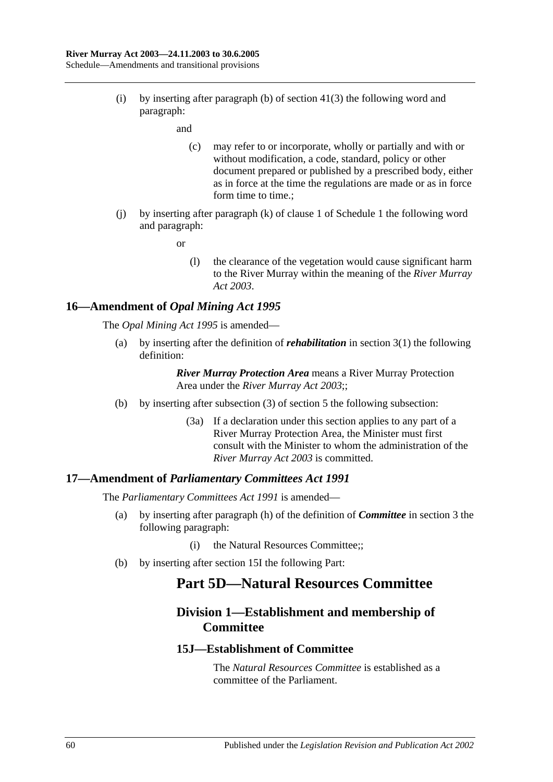(i) by inserting after paragraph (b) of section 41(3) the following word and paragraph:

and

- (c) may refer to or incorporate, wholly or partially and with or without modification, a code, standard, policy or other document prepared or published by a prescribed body, either as in force at the time the regulations are made or as in force form time to time.;
- (j) by inserting after paragraph (k) of clause 1 of Schedule 1 the following word and paragraph:

or

(l) the clearance of the vegetation would cause significant harm to the River Murray within the meaning of the *[River Murray](http://www.legislation.sa.gov.au/index.aspx?action=legref&type=act&legtitle=River%20Murray%20Act%202003)  Act [2003](http://www.legislation.sa.gov.au/index.aspx?action=legref&type=act&legtitle=River%20Murray%20Act%202003)*.

## **16—Amendment of** *Opal Mining Act 1995*

The *[Opal Mining Act](http://www.legislation.sa.gov.au/index.aspx?action=legref&type=act&legtitle=Opal%20Mining%20Act%201995) 1995* is amended—

(a) by inserting after the definition of *rehabilitation* in section 3(1) the following definition:

> *River Murray Protection Area* means a River Murray Protection Area under the *[River Murray Act](http://www.legislation.sa.gov.au/index.aspx?action=legref&type=act&legtitle=River%20Murray%20Act%202003) 2003*;;

- (b) by inserting after subsection (3) of section 5 the following subsection:
	- (3a) If a declaration under this section applies to any part of a River Murray Protection Area, the Minister must first consult with the Minister to whom the administration of the *[River Murray Act](http://www.legislation.sa.gov.au/index.aspx?action=legref&type=act&legtitle=River%20Murray%20Act%202003) 2003* is committed.

#### **17—Amendment of** *Parliamentary Committees Act 1991*

The *[Parliamentary Committees Act](http://www.legislation.sa.gov.au/index.aspx?action=legref&type=act&legtitle=Parliamentary%20Committees%20Act%201991) 1991* is amended—

- (a) by inserting after paragraph (h) of the definition of *Committee* in section 3 the following paragraph:
	- (i) the Natural Resources Committee;;
- (b) by inserting after section 15I the following Part:

# **Part 5D—Natural Resources Committee**

# **Division 1—Establishment and membership of Committee**

#### **15J—Establishment of Committee**

The *Natural Resources Committee* is established as a committee of the Parliament.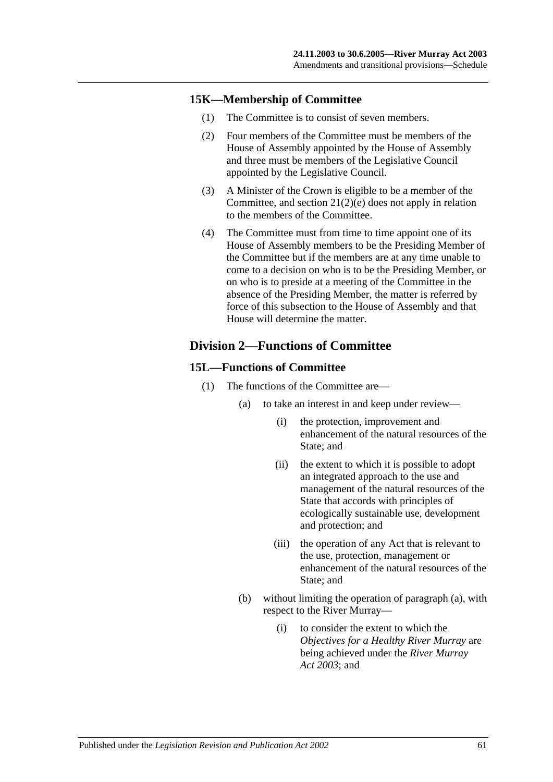#### **15K—Membership of Committee**

- (1) The Committee is to consist of seven members.
- (2) Four members of the Committee must be members of the House of Assembly appointed by the House of Assembly and three must be members of the Legislative Council appointed by the Legislative Council.
- (3) A Minister of the Crown is eligible to be a member of the Committee, and section 21(2)(e) does not apply in relation to the members of the Committee.
- (4) The Committee must from time to time appoint one of its House of Assembly members to be the Presiding Member of the Committee but if the members are at any time unable to come to a decision on who is to be the Presiding Member, or on who is to preside at a meeting of the Committee in the absence of the Presiding Member, the matter is referred by force of this subsection to the House of Assembly and that House will determine the matter.

# **Division 2—Functions of Committee**

#### **15L—Functions of Committee**

- (1) The functions of the Committee are—
	- (a) to take an interest in and keep under review—
		- (i) the protection, improvement and enhancement of the natural resources of the State; and
		- (ii) the extent to which it is possible to adopt an integrated approach to the use and management of the natural resources of the State that accords with principles of ecologically sustainable use, development and protection; and
		- (iii) the operation of any Act that is relevant to the use, protection, management or enhancement of the natural resources of the State; and
	- (b) without limiting the operation of paragraph (a), with respect to the River Murray—
		- (i) to consider the extent to which the *Objectives for a Healthy River Murray* are being achieved under the *[River Murray](http://www.legislation.sa.gov.au/index.aspx?action=legref&type=act&legtitle=River%20Murray%20Act%202003)  Act [2003](http://www.legislation.sa.gov.au/index.aspx?action=legref&type=act&legtitle=River%20Murray%20Act%202003)*; and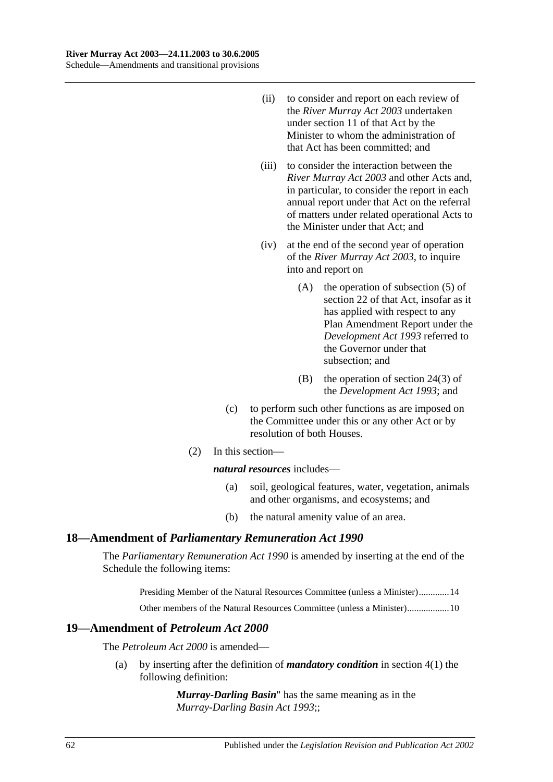- (ii) to consider and report on each review of the *[River Murray Act](http://www.legislation.sa.gov.au/index.aspx?action=legref&type=act&legtitle=River%20Murray%20Act%202003) 2003* undertaken under section 11 of that Act by the Minister to whom the administration of that Act has been committed; and
- (iii) to consider the interaction between the *[River Murray Act](http://www.legislation.sa.gov.au/index.aspx?action=legref&type=act&legtitle=River%20Murray%20Act%202003) 2003* and other Acts and, in particular, to consider the report in each annual report under that Act on the referral of matters under related operational Acts to the Minister under that Act; and
- (iv) at the end of the second year of operation of the *[River Murray Act](http://www.legislation.sa.gov.au/index.aspx?action=legref&type=act&legtitle=River%20Murray%20Act%202003) 2003*, to inquire into and report on
	- (A) the operation of subsection (5) of section 22 of that Act, insofar as it has applied with respect to any Plan Amendment Report under the *[Development Act](http://www.legislation.sa.gov.au/index.aspx?action=legref&type=act&legtitle=Development%20Act%201993) 1993* referred to the Governor under that subsection; and
	- (B) the operation of section 24(3) of the *[Development Act](http://www.legislation.sa.gov.au/index.aspx?action=legref&type=act&legtitle=Development%20Act%201993) 1993*; and
- (c) to perform such other functions as are imposed on the Committee under this or any other Act or by resolution of both Houses.
- (2) In this section—

*natural resources* includes—

- (a) soil, geological features, water, vegetation, animals and other organisms, and ecosystems; and
- (b) the natural amenity value of an area.

#### **18—Amendment of** *Parliamentary Remuneration Act 1990*

The *[Parliamentary Remuneration Act](http://www.legislation.sa.gov.au/index.aspx?action=legref&type=act&legtitle=Parliamentary%20Remuneration%20Act%201990) 1990* is amended by inserting at the end of the Schedule the following items:

Presiding Member of the Natural Resources Committee (unless a Minister).............14

Other members of the Natural Resources Committee (unless a Minister)..................10

## **19—Amendment of** *Petroleum Act 2000*

The *[Petroleum Act](http://www.legislation.sa.gov.au/index.aspx?action=legref&type=act&legtitle=Petroleum%20Act%202000) 2000* is amended—

(a) by inserting after the definition of *mandatory condition* in section 4(1) the following definition:

> *Murray-Darling Basin*" has the same meaning as in the *[Murray-Darling Basin Act](http://www.legislation.sa.gov.au/index.aspx?action=legref&type=act&legtitle=Murray-Darling%20Basin%20Act%201993) 1993*;;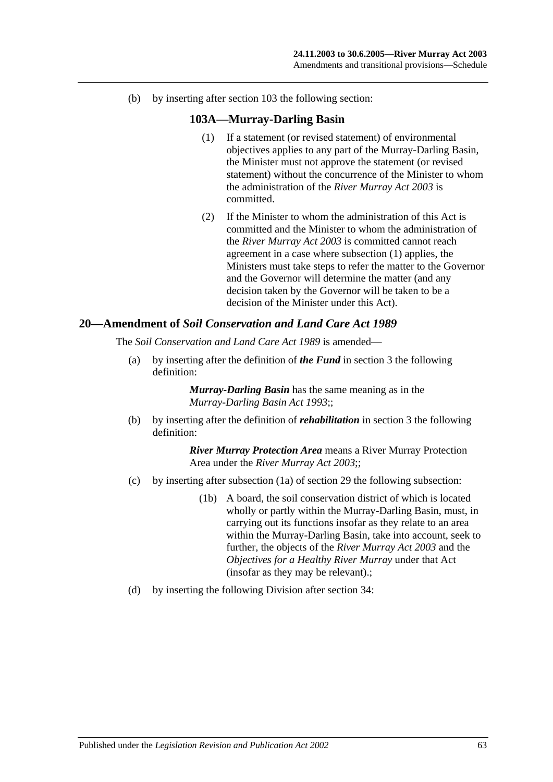(b) by inserting after section 103 the following section:

#### **103A—Murray-Darling Basin**

- (1) If a statement (or revised statement) of environmental objectives applies to any part of the Murray-Darling Basin, the Minister must not approve the statement (or revised statement) without the concurrence of the Minister to whom the administration of the *[River Murray Act](http://www.legislation.sa.gov.au/index.aspx?action=legref&type=act&legtitle=River%20Murray%20Act%202003) 2003* is committed.
- (2) If the Minister to whom the administration of this Act is committed and the Minister to whom the administration of the *[River Murray Act](http://www.legislation.sa.gov.au/index.aspx?action=legref&type=act&legtitle=River%20Murray%20Act%202003) 2003* is committed cannot reach agreement in a case where subsection (1) applies, the Ministers must take steps to refer the matter to the Governor and the Governor will determine the matter (and any decision taken by the Governor will be taken to be a decision of the Minister under this Act).

#### **20—Amendment of** *Soil Conservation and Land Care Act 1989*

The *[Soil Conservation and Land Care Act](http://www.legislation.sa.gov.au/index.aspx?action=legref&type=act&legtitle=Soil%20Conservation%20and%20Land%20Care%20Act%201989) 1989* is amended—

(a) by inserting after the definition of *the Fund* in section 3 the following definition:

> *Murray-Darling Basin* has the same meaning as in the *[Murray-Darling Basin Act](http://www.legislation.sa.gov.au/index.aspx?action=legref&type=act&legtitle=Murray-Darling%20Basin%20Act%201993) 1993*;;

(b) by inserting after the definition of *rehabilitation* in section 3 the following definition:

- (c) by inserting after subsection (1a) of section 29 the following subsection:
	- (1b) A board, the soil conservation district of which is located wholly or partly within the Murray-Darling Basin, must, in carrying out its functions insofar as they relate to an area within the Murray-Darling Basin, take into account, seek to further, the objects of the *[River Murray Act](http://www.legislation.sa.gov.au/index.aspx?action=legref&type=act&legtitle=River%20Murray%20Act%202003) 2003* and the *Objectives for a Healthy River Murray* under that Act (insofar as they may be relevant).;
- (d) by inserting the following Division after section 34: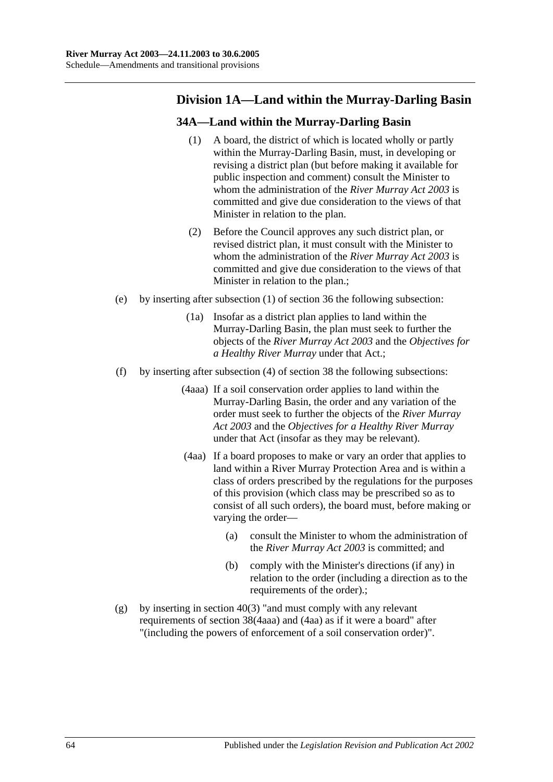# **Division 1A—Land within the Murray-Darling Basin**

# **34A—Land within the Murray-Darling Basin**

- (1) A board, the district of which is located wholly or partly within the Murray-Darling Basin, must, in developing or revising a district plan (but before making it available for public inspection and comment) consult the Minister to whom the administration of the *[River Murray Act](http://www.legislation.sa.gov.au/index.aspx?action=legref&type=act&legtitle=River%20Murray%20Act%202003) 2003* is committed and give due consideration to the views of that Minister in relation to the plan.
- (2) Before the Council approves any such district plan, or revised district plan, it must consult with the Minister to whom the administration of the *[River Murray Act](http://www.legislation.sa.gov.au/index.aspx?action=legref&type=act&legtitle=River%20Murray%20Act%202003) 2003* is committed and give due consideration to the views of that Minister in relation to the plan.;
- (e) by inserting after subsection (1) of section 36 the following subsection:
	- (1a) Insofar as a district plan applies to land within the Murray-Darling Basin, the plan must seek to further the objects of the *[River Murray Act](http://www.legislation.sa.gov.au/index.aspx?action=legref&type=act&legtitle=River%20Murray%20Act%202003) 2003* and the *Objectives for a Healthy River Murray* under that Act.;
- (f) by inserting after subsection (4) of section 38 the following subsections:
	- (4aaa) If a soil conservation order applies to land within the Murray-Darling Basin, the order and any variation of the order must seek to further the objects of the *[River Murray](http://www.legislation.sa.gov.au/index.aspx?action=legref&type=act&legtitle=River%20Murray%20Act%202003)  Act [2003](http://www.legislation.sa.gov.au/index.aspx?action=legref&type=act&legtitle=River%20Murray%20Act%202003)* and the *Objectives for a Healthy River Murray* under that Act (insofar as they may be relevant).
	- (4aa) If a board proposes to make or vary an order that applies to land within a River Murray Protection Area and is within a class of orders prescribed by the regulations for the purposes of this provision (which class may be prescribed so as to consist of all such orders), the board must, before making or varying the order—
		- (a) consult the Minister to whom the administration of the *[River Murray Act](http://www.legislation.sa.gov.au/index.aspx?action=legref&type=act&legtitle=River%20Murray%20Act%202003) 2003* is committed; and
		- (b) comply with the Minister's directions (if any) in relation to the order (including a direction as to the requirements of the order).;
- (g) by inserting in section  $40(3)$  "and must comply with any relevant requirements of section 38(4aaa) and (4aa) as if it were a board" after "(including the powers of enforcement of a soil conservation order)".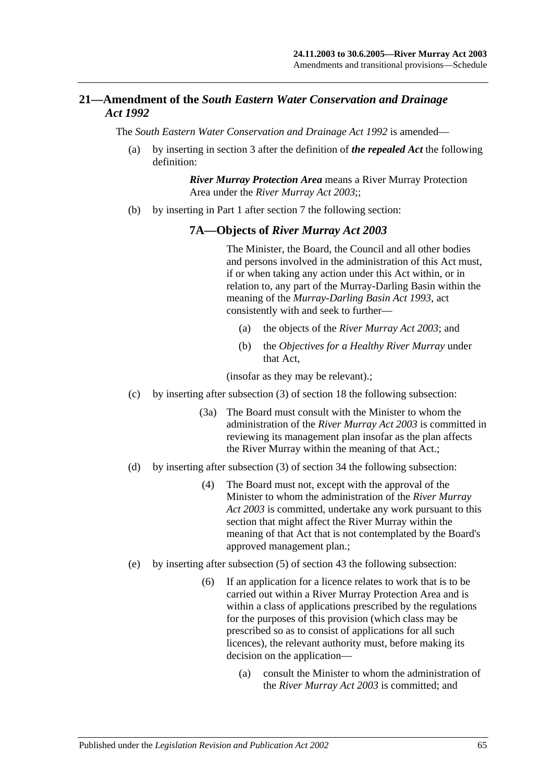# **21—Amendment of the** *South Eastern Water Conservation and Drainage Act 1992*

The *[South Eastern Water Conservation and Drainage Act](http://www.legislation.sa.gov.au/index.aspx?action=legref&type=act&legtitle=South%20Eastern%20Water%20Conservation%20and%20Drainage%20Act%201992) 1992* is amended—

(a) by inserting in section 3 after the definition of *the repealed Act* the following definition:

> *River Murray Protection Area* means a River Murray Protection Area under the *[River Murray Act](http://www.legislation.sa.gov.au/index.aspx?action=legref&type=act&legtitle=River%20Murray%20Act%202003) 2003*;;

(b) by inserting in Part 1 after section 7 the following section:

#### **7A—Objects of** *River Murray Act 2003*

The Minister, the Board, the Council and all other bodies and persons involved in the administration of this Act must, if or when taking any action under this Act within, or in relation to, any part of the Murray-Darling Basin within the meaning of the *[Murray-Darling Basin Act](http://www.legislation.sa.gov.au/index.aspx?action=legref&type=act&legtitle=Murray-Darling%20Basin%20Act%201993) 1993*, act consistently with and seek to further—

- (a) the objects of the *[River Murray Act](http://www.legislation.sa.gov.au/index.aspx?action=legref&type=act&legtitle=River%20Murray%20Act%202003) 2003*; and
- (b) the *Objectives for a Healthy River Murray* under that Act,

(insofar as they may be relevant).;

- (c) by inserting after subsection (3) of section 18 the following subsection:
	- (3a) The Board must consult with the Minister to whom the administration of the *[River Murray Act](http://www.legislation.sa.gov.au/index.aspx?action=legref&type=act&legtitle=River%20Murray%20Act%202003) 2003* is committed in reviewing its management plan insofar as the plan affects the River Murray within the meaning of that Act.;
- (d) by inserting after subsection (3) of section 34 the following subsection:
	- (4) The Board must not, except with the approval of the Minister to whom the administration of the *[River Murray](http://www.legislation.sa.gov.au/index.aspx?action=legref&type=act&legtitle=River%20Murray%20Act%202003)  Act [2003](http://www.legislation.sa.gov.au/index.aspx?action=legref&type=act&legtitle=River%20Murray%20Act%202003)* is committed, undertake any work pursuant to this section that might affect the River Murray within the meaning of that Act that is not contemplated by the Board's approved management plan.;
- (e) by inserting after subsection (5) of section 43 the following subsection:
	- (6) If an application for a licence relates to work that is to be carried out within a River Murray Protection Area and is within a class of applications prescribed by the regulations for the purposes of this provision (which class may be prescribed so as to consist of applications for all such licences), the relevant authority must, before making its decision on the application—
		- (a) consult the Minister to whom the administration of the *[River Murray Act](http://www.legislation.sa.gov.au/index.aspx?action=legref&type=act&legtitle=River%20Murray%20Act%202003) 2003* is committed; and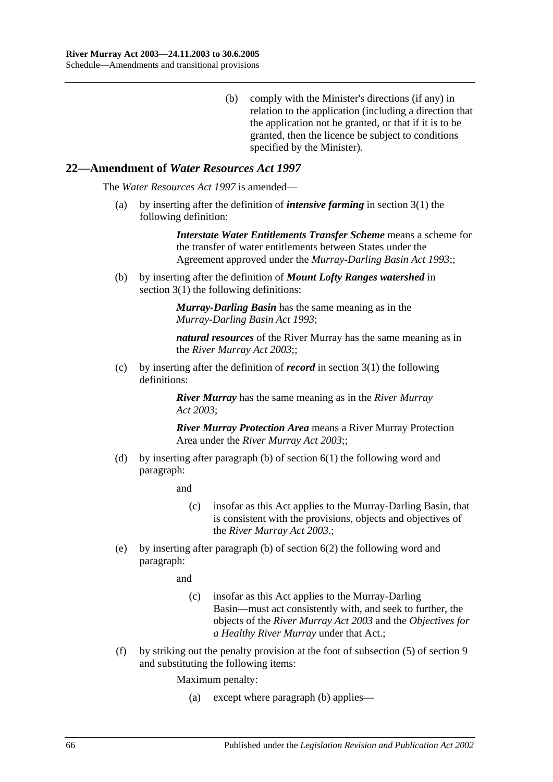(b) comply with the Minister's directions (if any) in relation to the application (including a direction that the application not be granted, or that if it is to be granted, then the licence be subject to conditions specified by the Minister).

#### **22—Amendment of** *Water Resources Act 1997*

The *[Water Resources Act](http://www.legislation.sa.gov.au/index.aspx?action=legref&type=act&legtitle=Water%20Resources%20Act%201997) 1997* is amended—

(a) by inserting after the definition of *intensive farming* in section 3(1) the following definition:

> *Interstate Water Entitlements Transfer Scheme* means a scheme for the transfer of water entitlements between States under the Agreement approved under the *[Murray-Darling Basin Act](http://www.legislation.sa.gov.au/index.aspx?action=legref&type=act&legtitle=Murray-Darling%20Basin%20Act%201993) 1993*;;

(b) by inserting after the definition of *Mount Lofty Ranges watershed* in section 3(1) the following definitions:

> *Murray-Darling Basin* has the same meaning as in the *[Murray-Darling Basin Act](http://www.legislation.sa.gov.au/index.aspx?action=legref&type=act&legtitle=Murray-Darling%20Basin%20Act%201993) 1993*;

*natural resources* of the River Murray has the same meaning as in the *[River Murray Act](http://www.legislation.sa.gov.au/index.aspx?action=legref&type=act&legtitle=River%20Murray%20Act%202003) 2003*;;

(c) by inserting after the definition of *record* in section 3(1) the following definitions:

> *River Murray* has the same meaning as in the *[River Murray](http://www.legislation.sa.gov.au/index.aspx?action=legref&type=act&legtitle=River%20Murray%20Act%202003)  Act [2003](http://www.legislation.sa.gov.au/index.aspx?action=legref&type=act&legtitle=River%20Murray%20Act%202003)*;

*River Murray Protection Area* means a River Murray Protection Area under the *[River Murray Act](http://www.legislation.sa.gov.au/index.aspx?action=legref&type=act&legtitle=River%20Murray%20Act%202003) 2003*;;

(d) by inserting after paragraph (b) of section 6(1) the following word and paragraph:

and

- (c) insofar as this Act applies to the Murray-Darling Basin, that is consistent with the provisions, objects and objectives of the *[River Murray Act](http://www.legislation.sa.gov.au/index.aspx?action=legref&type=act&legtitle=River%20Murray%20Act%202003) 2003*.;
- (e) by inserting after paragraph (b) of section 6(2) the following word and paragraph:

and

- (c) insofar as this Act applies to the Murray-Darling Basin—must act consistently with, and seek to further, the objects of the *[River Murray Act](http://www.legislation.sa.gov.au/index.aspx?action=legref&type=act&legtitle=River%20Murray%20Act%202003) 2003* and the *Objectives for a Healthy River Murray* under that Act.;
- (f) by striking out the penalty provision at the foot of subsection (5) of section 9 and substituting the following items:

Maximum penalty:

(a) except where paragraph (b) applies—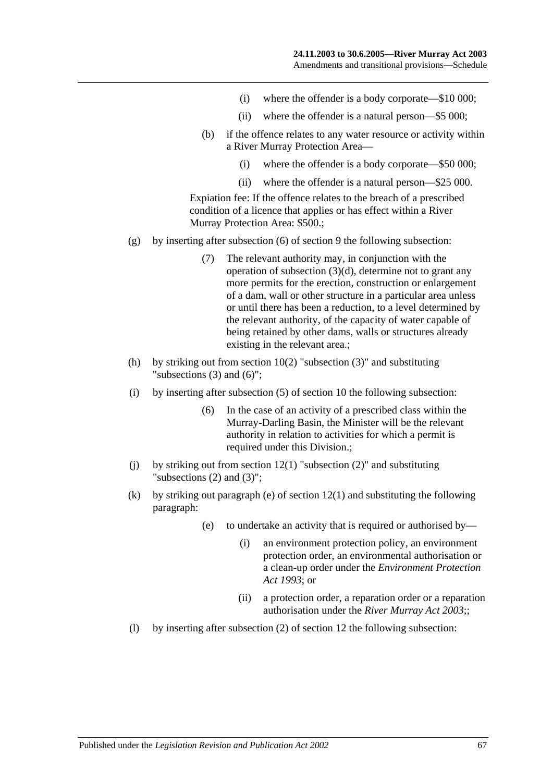- (i) where the offender is a body corporate—\$10 000;
- (ii) where the offender is a natural person—\$5 000;
- (b) if the offence relates to any water resource or activity within a River Murray Protection Area—
	- (i) where the offender is a body corporate—\$50 000;
	- (ii) where the offender is a natural person—\$25 000.

Expiation fee: If the offence relates to the breach of a prescribed condition of a licence that applies or has effect within a River Murray Protection Area: \$500.;

- (g) by inserting after subsection (6) of section 9 the following subsection:
	- (7) The relevant authority may, in conjunction with the operation of subsection (3)(d), determine not to grant any more permits for the erection, construction or enlargement of a dam, wall or other structure in a particular area unless or until there has been a reduction, to a level determined by the relevant authority, of the capacity of water capable of being retained by other dams, walls or structures already existing in the relevant area.;
- (h) by striking out from section  $10(2)$  "subsection  $(3)$ " and substituting "subsections (3) and (6)";
- (i) by inserting after subsection (5) of section 10 the following subsection:
	- (6) In the case of an activity of a prescribed class within the Murray-Darling Basin, the Minister will be the relevant authority in relation to activities for which a permit is required under this Division.;
- (i) by striking out from section  $12(1)$  "subsection  $(2)$ " and substituting "subsections (2) and (3)";
- (k) by striking out paragraph (e) of section 12(1) and substituting the following paragraph:
	- (e) to undertake an activity that is required or authorised by—
		- (i) an environment protection policy, an environment protection order, an environmental authorisation or a clean-up order under the *[Environment Protection](http://www.legislation.sa.gov.au/index.aspx?action=legref&type=act&legtitle=Environment%20Protection%20Act%201993)  Act [1993](http://www.legislation.sa.gov.au/index.aspx?action=legref&type=act&legtitle=Environment%20Protection%20Act%201993)*; or
		- (ii) a protection order, a reparation order or a reparation authorisation under the *[River Murray Act](http://www.legislation.sa.gov.au/index.aspx?action=legref&type=act&legtitle=River%20Murray%20Act%202003) 2003*;;
- (l) by inserting after subsection (2) of section 12 the following subsection: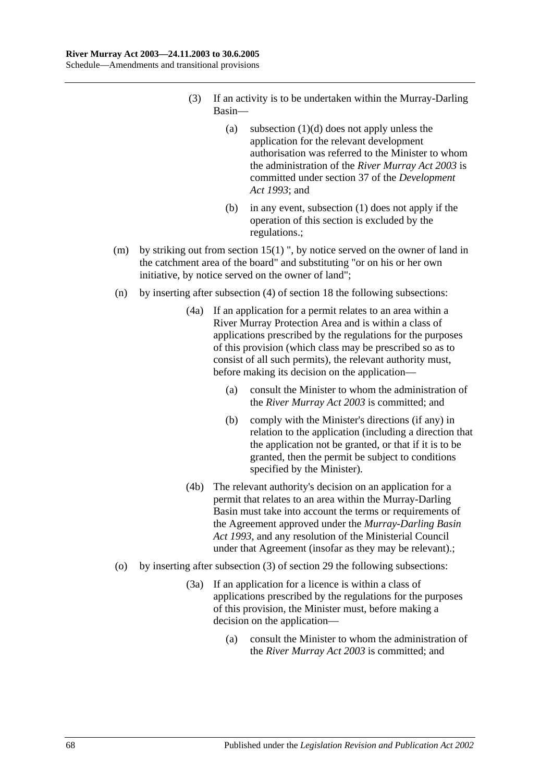- (3) If an activity is to be undertaken within the Murray-Darling Basin—
	- (a) subsection  $(1)(d)$  does not apply unless the application for the relevant development authorisation was referred to the Minister to whom the administration of the *[River Murray Act](http://www.legislation.sa.gov.au/index.aspx?action=legref&type=act&legtitle=River%20Murray%20Act%202003) 2003* is committed under section 37 of the *[Development](http://www.legislation.sa.gov.au/index.aspx?action=legref&type=act&legtitle=Development%20Act%201993)  Act [1993](http://www.legislation.sa.gov.au/index.aspx?action=legref&type=act&legtitle=Development%20Act%201993)*; and
	- (b) in any event, subsection (1) does not apply if the operation of this section is excluded by the regulations.;
- (m) by striking out from section 15(1) ", by notice served on the owner of land in the catchment area of the board" and substituting "or on his or her own initiative, by notice served on the owner of land";
- (n) by inserting after subsection (4) of section 18 the following subsections:
	- (4a) If an application for a permit relates to an area within a River Murray Protection Area and is within a class of applications prescribed by the regulations for the purposes of this provision (which class may be prescribed so as to consist of all such permits), the relevant authority must, before making its decision on the application—
		- (a) consult the Minister to whom the administration of the *[River Murray Act](http://www.legislation.sa.gov.au/index.aspx?action=legref&type=act&legtitle=River%20Murray%20Act%202003) 2003* is committed; and
		- (b) comply with the Minister's directions (if any) in relation to the application (including a direction that the application not be granted, or that if it is to be granted, then the permit be subject to conditions specified by the Minister).
	- (4b) The relevant authority's decision on an application for a permit that relates to an area within the Murray-Darling Basin must take into account the terms or requirements of the Agreement approved under the *[Murray-Darling Basin](http://www.legislation.sa.gov.au/index.aspx?action=legref&type=act&legtitle=Murray-Darling%20Basin%20Act%201993)  Act [1993](http://www.legislation.sa.gov.au/index.aspx?action=legref&type=act&legtitle=Murray-Darling%20Basin%20Act%201993)*, and any resolution of the Ministerial Council under that Agreement (insofar as they may be relevant).;
- (o) by inserting after subsection (3) of section 29 the following subsections:
	- (3a) If an application for a licence is within a class of applications prescribed by the regulations for the purposes of this provision, the Minister must, before making a decision on the application—
		- (a) consult the Minister to whom the administration of the *[River Murray Act](http://www.legislation.sa.gov.au/index.aspx?action=legref&type=act&legtitle=River%20Murray%20Act%202003) 2003* is committed; and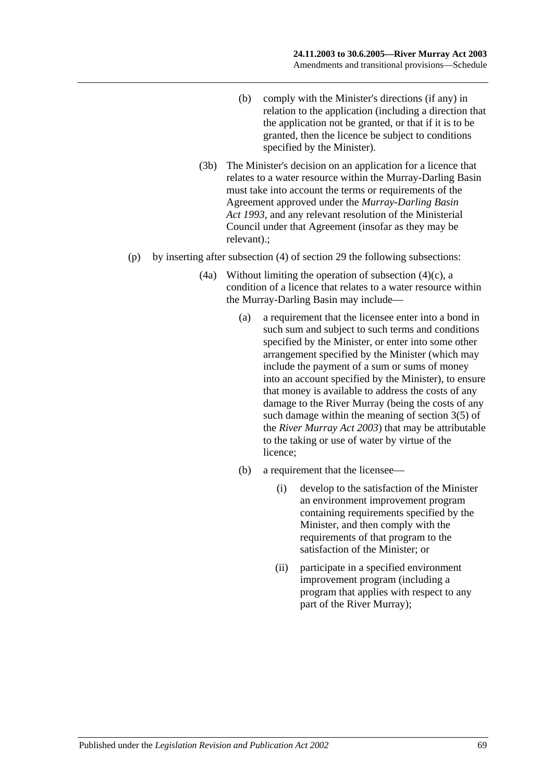- (b) comply with the Minister's directions (if any) in relation to the application (including a direction that the application not be granted, or that if it is to be granted, then the licence be subject to conditions specified by the Minister).
- (3b) The Minister's decision on an application for a licence that relates to a water resource within the Murray-Darling Basin must take into account the terms or requirements of the Agreement approved under the *[Murray-Darling Basin](http://www.legislation.sa.gov.au/index.aspx?action=legref&type=act&legtitle=Murray-Darling%20Basin%20Act%201993)  Act [1993](http://www.legislation.sa.gov.au/index.aspx?action=legref&type=act&legtitle=Murray-Darling%20Basin%20Act%201993)*, and any relevant resolution of the Ministerial Council under that Agreement (insofar as they may be relevant).;
- (p) by inserting after subsection (4) of section 29 the following subsections:
	- (4a) Without limiting the operation of subsection  $(4)(c)$ , a condition of a licence that relates to a water resource within the Murray-Darling Basin may include—
		- (a) a requirement that the licensee enter into a bond in such sum and subject to such terms and conditions specified by the Minister, or enter into some other arrangement specified by the Minister (which may include the payment of a sum or sums of money into an account specified by the Minister), to ensure that money is available to address the costs of any damage to the River Murray (being the costs of any such damage within the meaning of section 3(5) of the *[River Murray Act](http://www.legislation.sa.gov.au/index.aspx?action=legref&type=act&legtitle=River%20Murray%20Act%202003) 2003*) that may be attributable to the taking or use of water by virtue of the licence;
		- (b) a requirement that the licensee—
			- (i) develop to the satisfaction of the Minister an environment improvement program containing requirements specified by the Minister, and then comply with the requirements of that program to the satisfaction of the Minister; or
			- (ii) participate in a specified environment improvement program (including a program that applies with respect to any part of the River Murray);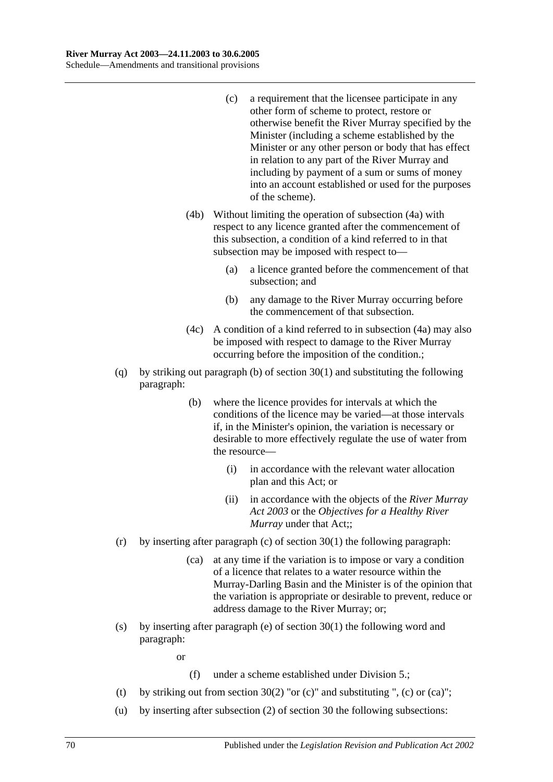- (c) a requirement that the licensee participate in any other form of scheme to protect, restore or otherwise benefit the River Murray specified by the Minister (including a scheme established by the Minister or any other person or body that has effect in relation to any part of the River Murray and including by payment of a sum or sums of money into an account established or used for the purposes of the scheme).
- (4b) Without limiting the operation of subsection (4a) with respect to any licence granted after the commencement of this subsection, a condition of a kind referred to in that subsection may be imposed with respect to—
	- (a) a licence granted before the commencement of that subsection; and
	- (b) any damage to the River Murray occurring before the commencement of that subsection.
- (4c) A condition of a kind referred to in subsection (4a) may also be imposed with respect to damage to the River Murray occurring before the imposition of the condition.;
- (q) by striking out paragraph (b) of section 30(1) and substituting the following paragraph:
	- (b) where the licence provides for intervals at which the conditions of the licence may be varied—at those intervals if, in the Minister's opinion, the variation is necessary or desirable to more effectively regulate the use of water from the resource—
		- (i) in accordance with the relevant water allocation plan and this Act; or
		- (ii) in accordance with the objects of the *[River Murray](http://www.legislation.sa.gov.au/index.aspx?action=legref&type=act&legtitle=River%20Murray%20Act%202003)  Act [2003](http://www.legislation.sa.gov.au/index.aspx?action=legref&type=act&legtitle=River%20Murray%20Act%202003)* or the *Objectives for a Healthy River Murray* under that Act;;
- (r) by inserting after paragraph (c) of section  $30(1)$  the following paragraph:
	- (ca) at any time if the variation is to impose or vary a condition of a licence that relates to a water resource within the Murray-Darling Basin and the Minister is of the opinion that the variation is appropriate or desirable to prevent, reduce or address damage to the River Murray; or;
- (s) by inserting after paragraph (e) of section 30(1) the following word and paragraph:

or

- (f) under a scheme established under Division 5.;
- (t) by striking out from section 30(2) "or (c)" and substituting ", (c) or (ca)";
- (u) by inserting after subsection (2) of section 30 the following subsections: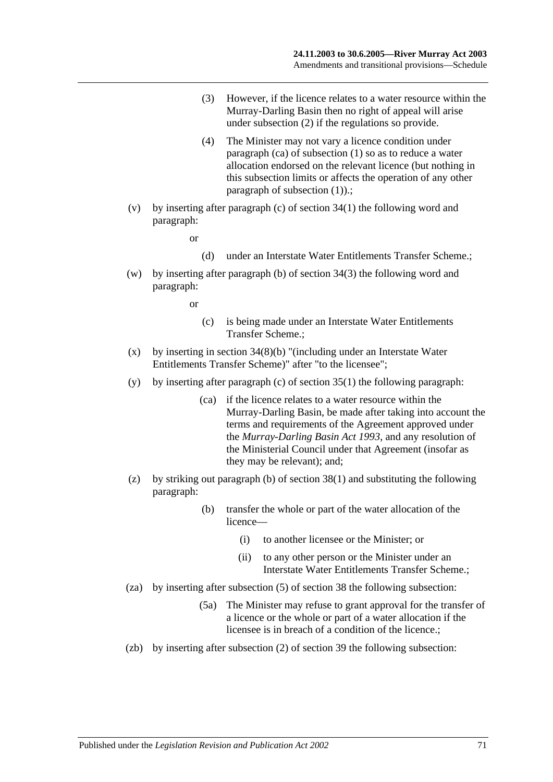- (3) However, if the licence relates to a water resource within the Murray-Darling Basin then no right of appeal will arise under subsection (2) if the regulations so provide.
- (4) The Minister may not vary a licence condition under paragraph (ca) of subsection (1) so as to reduce a water allocation endorsed on the relevant licence (but nothing in this subsection limits or affects the operation of any other paragraph of subsection (1)).;
- (v) by inserting after paragraph (c) of section 34(1) the following word and paragraph:

or

- (d) under an Interstate Water Entitlements Transfer Scheme.;
- (w) by inserting after paragraph (b) of section 34(3) the following word and paragraph:

or

- (c) is being made under an Interstate Water Entitlements Transfer Scheme.;
- (x) by inserting in section  $34(8)(b)$  "(including under an Interstate Water Entitlements Transfer Scheme)" after "to the licensee";
- (y) by inserting after paragraph (c) of section  $35(1)$  the following paragraph:
	- (ca) if the licence relates to a water resource within the Murray-Darling Basin, be made after taking into account the terms and requirements of the Agreement approved under the *[Murray-Darling Basin Act](http://www.legislation.sa.gov.au/index.aspx?action=legref&type=act&legtitle=Murray-Darling%20Basin%20Act%201993) 1993*, and any resolution of the Ministerial Council under that Agreement (insofar as they may be relevant); and;
- (z) by striking out paragraph (b) of section 38(1) and substituting the following paragraph:
	- (b) transfer the whole or part of the water allocation of the licence—
		- (i) to another licensee or the Minister; or
		- (ii) to any other person or the Minister under an Interstate Water Entitlements Transfer Scheme.;
- (za) by inserting after subsection (5) of section 38 the following subsection:
	- (5a) The Minister may refuse to grant approval for the transfer of a licence or the whole or part of a water allocation if the licensee is in breach of a condition of the licence.;
- (zb) by inserting after subsection (2) of section 39 the following subsection: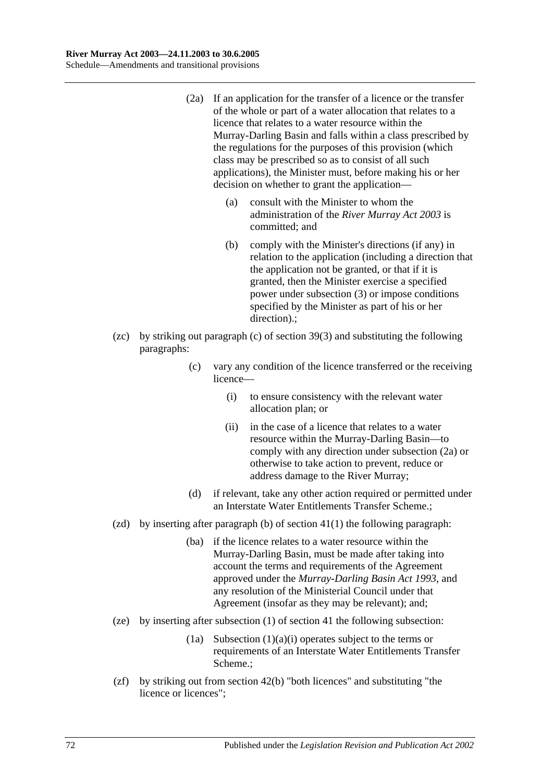- (2a) If an application for the transfer of a licence or the transfer of the whole or part of a water allocation that relates to a licence that relates to a water resource within the Murray-Darling Basin and falls within a class prescribed by the regulations for the purposes of this provision (which class may be prescribed so as to consist of all such applications), the Minister must, before making his or her decision on whether to grant the application—
	- (a) consult with the Minister to whom the administration of the *[River Murray Act](http://www.legislation.sa.gov.au/index.aspx?action=legref&type=act&legtitle=River%20Murray%20Act%202003) 2003* is committed; and
	- (b) comply with the Minister's directions (if any) in relation to the application (including a direction that the application not be granted, or that if it is granted, then the Minister exercise a specified power under subsection (3) or impose conditions specified by the Minister as part of his or her direction).;
- (zc) by striking out paragraph (c) of section 39(3) and substituting the following paragraphs:
	- (c) vary any condition of the licence transferred or the receiving licence—
		- (i) to ensure consistency with the relevant water allocation plan; or
		- (ii) in the case of a licence that relates to a water resource within the Murray-Darling Basin—to comply with any direction under subsection (2a) or otherwise to take action to prevent, reduce or address damage to the River Murray;
	- (d) if relevant, take any other action required or permitted under an Interstate Water Entitlements Transfer Scheme.;
- (zd) by inserting after paragraph (b) of section  $41(1)$  the following paragraph:
	- (ba) if the licence relates to a water resource within the Murray-Darling Basin, must be made after taking into account the terms and requirements of the Agreement approved under the *[Murray-Darling Basin Act](http://www.legislation.sa.gov.au/index.aspx?action=legref&type=act&legtitle=Murray-Darling%20Basin%20Act%201993) 1993*, and any resolution of the Ministerial Council under that Agreement (insofar as they may be relevant); and;
- (ze) by inserting after subsection (1) of section 41 the following subsection:
	- (1a) Subsection  $(1)(a)(i)$  operates subject to the terms or requirements of an Interstate Water Entitlements Transfer Scheme.;
- (zf) by striking out from section 42(b) "both licences" and substituting "the licence or licences";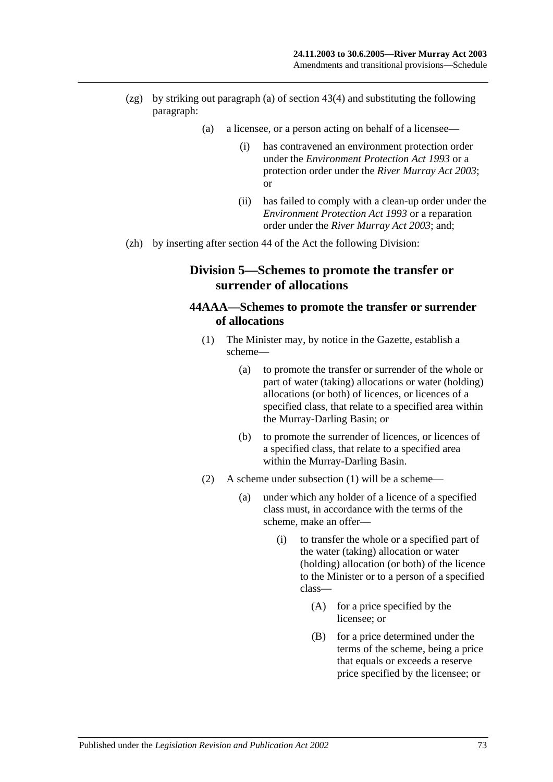- (zg) by striking out paragraph (a) of section 43(4) and substituting the following paragraph:
	- (a) a licensee, or a person acting on behalf of a licensee—
		- (i) has contravened an environment protection order under the *[Environment Protection Act](http://www.legislation.sa.gov.au/index.aspx?action=legref&type=act&legtitle=Environment%20Protection%20Act%201993) 1993* or a protection order under the *[River Murray Act](http://www.legislation.sa.gov.au/index.aspx?action=legref&type=act&legtitle=River%20Murray%20Act%202003) 2003*; or
		- (ii) has failed to comply with a clean-up order under the *[Environment Protection Act](http://www.legislation.sa.gov.au/index.aspx?action=legref&type=act&legtitle=Environment%20Protection%20Act%201993) 1993* or a reparation order under the *[River Murray Act](http://www.legislation.sa.gov.au/index.aspx?action=legref&type=act&legtitle=River%20Murray%20Act%202003) 2003*; and;
- (zh) by inserting after section 44 of the Act the following Division:

# **Division 5—Schemes to promote the transfer or surrender of allocations**

### **44AAA—Schemes to promote the transfer or surrender of allocations**

- (1) The Minister may, by notice in the Gazette, establish a scheme—
	- (a) to promote the transfer or surrender of the whole or part of water (taking) allocations or water (holding) allocations (or both) of licences, or licences of a specified class, that relate to a specified area within the Murray-Darling Basin; or
	- (b) to promote the surrender of licences, or licences of a specified class, that relate to a specified area within the Murray-Darling Basin.
- (2) A scheme under subsection (1) will be a scheme—
	- (a) under which any holder of a licence of a specified class must, in accordance with the terms of the scheme, make an offer—
		- (i) to transfer the whole or a specified part of the water (taking) allocation or water (holding) allocation (or both) of the licence to the Minister or to a person of a specified class—
			- (A) for a price specified by the licensee; or
			- (B) for a price determined under the terms of the scheme, being a price that equals or exceeds a reserve price specified by the licensee; or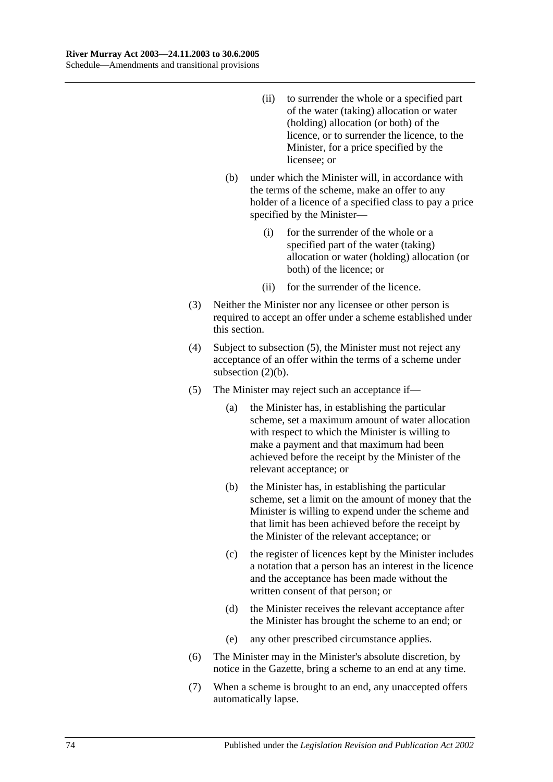- (ii) to surrender the whole or a specified part of the water (taking) allocation or water (holding) allocation (or both) of the licence, or to surrender the licence, to the Minister, for a price specified by the licensee; or
- (b) under which the Minister will, in accordance with the terms of the scheme, make an offer to any holder of a licence of a specified class to pay a price specified by the Minister—
	- (i) for the surrender of the whole or a specified part of the water (taking) allocation or water (holding) allocation (or both) of the licence; or
	- (ii) for the surrender of the licence.
- (3) Neither the Minister nor any licensee or other person is required to accept an offer under a scheme established under this section.
- (4) Subject to subsection (5), the Minister must not reject any acceptance of an offer within the terms of a scheme under subsection (2)(b).
- (5) The Minister may reject such an acceptance if—
	- (a) the Minister has, in establishing the particular scheme, set a maximum amount of water allocation with respect to which the Minister is willing to make a payment and that maximum had been achieved before the receipt by the Minister of the relevant acceptance; or
	- (b) the Minister has, in establishing the particular scheme, set a limit on the amount of money that the Minister is willing to expend under the scheme and that limit has been achieved before the receipt by the Minister of the relevant acceptance; or
	- (c) the register of licences kept by the Minister includes a notation that a person has an interest in the licence and the acceptance has been made without the written consent of that person; or
	- (d) the Minister receives the relevant acceptance after the Minister has brought the scheme to an end; or
	- (e) any other prescribed circumstance applies.
- (6) The Minister may in the Minister's absolute discretion, by notice in the Gazette, bring a scheme to an end at any time.
- (7) When a scheme is brought to an end, any unaccepted offers automatically lapse.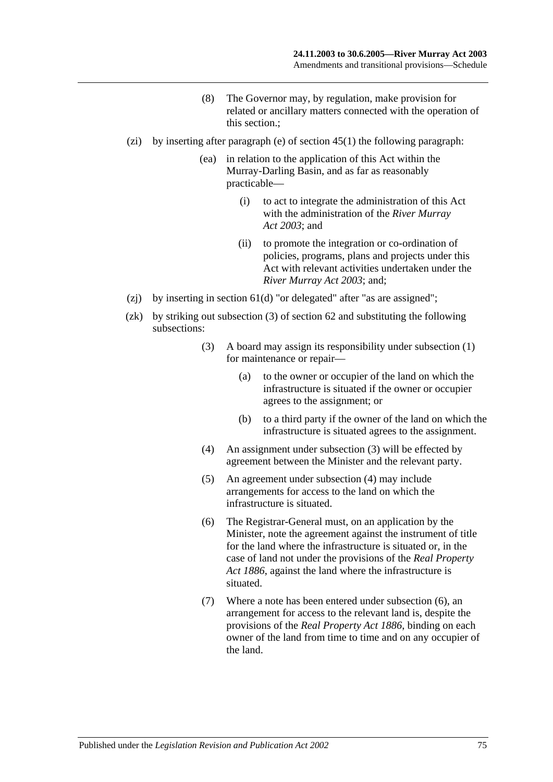- (8) The Governor may, by regulation, make provision for related or ancillary matters connected with the operation of this section.;
- (zi) by inserting after paragraph (e) of section  $45(1)$  the following paragraph:
	- (ea) in relation to the application of this Act within the Murray-Darling Basin, and as far as reasonably practicable—
		- (i) to act to integrate the administration of this Act with the administration of the *[River Murray](http://www.legislation.sa.gov.au/index.aspx?action=legref&type=act&legtitle=River%20Murray%20Act%202003)  Act [2003](http://www.legislation.sa.gov.au/index.aspx?action=legref&type=act&legtitle=River%20Murray%20Act%202003)*; and
		- (ii) to promote the integration or co-ordination of policies, programs, plans and projects under this Act with relevant activities undertaken under the *[River Murray Act](http://www.legislation.sa.gov.au/index.aspx?action=legref&type=act&legtitle=River%20Murray%20Act%202003) 2003*; and;
- (zj) by inserting in section  $61(d)$  "or delegated" after "as are assigned";
- (zk) by striking out subsection (3) of section 62 and substituting the following subsections:
	- (3) A board may assign its responsibility under subsection (1) for maintenance or repair—
		- (a) to the owner or occupier of the land on which the infrastructure is situated if the owner or occupier agrees to the assignment; or
		- (b) to a third party if the owner of the land on which the infrastructure is situated agrees to the assignment.
	- (4) An assignment under subsection (3) will be effected by agreement between the Minister and the relevant party.
	- (5) An agreement under subsection (4) may include arrangements for access to the land on which the infrastructure is situated.
	- (6) The Registrar-General must, on an application by the Minister, note the agreement against the instrument of title for the land where the infrastructure is situated or, in the case of land not under the provisions of the *[Real Property](http://www.legislation.sa.gov.au/index.aspx?action=legref&type=act&legtitle=Real%20Property%20Act%201886)  Act [1886](http://www.legislation.sa.gov.au/index.aspx?action=legref&type=act&legtitle=Real%20Property%20Act%201886)*, against the land where the infrastructure is situated.
	- (7) Where a note has been entered under subsection (6), an arrangement for access to the relevant land is, despite the provisions of the *[Real Property Act](http://www.legislation.sa.gov.au/index.aspx?action=legref&type=act&legtitle=Real%20Property%20Act%201886) 1886*, binding on each owner of the land from time to time and on any occupier of the land.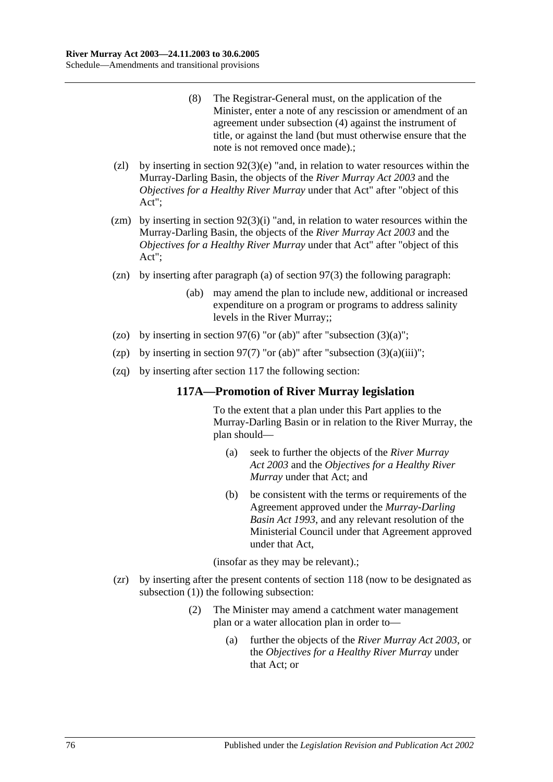- (8) The Registrar-General must, on the application of the Minister, enter a note of any rescission or amendment of an agreement under subsection (4) against the instrument of title, or against the land (but must otherwise ensure that the note is not removed once made).;
- (zl) by inserting in section  $92(3)(e)$  "and, in relation to water resources within the Murray-Darling Basin, the objects of the *[River Murray Act](http://www.legislation.sa.gov.au/index.aspx?action=legref&type=act&legtitle=River%20Murray%20Act%202003) 2003* and the *Objectives for a Healthy River Murray* under that Act" after "object of this Act";
- (zm) by inserting in section  $92(3)(i)$  "and, in relation to water resources within the Murray-Darling Basin, the objects of the *[River Murray Act](http://www.legislation.sa.gov.au/index.aspx?action=legref&type=act&legtitle=River%20Murray%20Act%202003) 2003* and the *Objectives for a Healthy River Murray* under that Act" after "object of this Act";
- (zn) by inserting after paragraph (a) of section 97(3) the following paragraph:
	- (ab) may amend the plan to include new, additional or increased expenditure on a program or programs to address salinity levels in the River Murray;;
- (zo) by inserting in section 97(6) "or (ab)" after "subsection  $(3)(a)$ ";
- (zp) by inserting in section 97(7) "or (ab)" after "subsection  $(3)(a)(iii)$ ";
- (zq) by inserting after section 117 the following section:

#### **117A—Promotion of River Murray legislation**

To the extent that a plan under this Part applies to the Murray-Darling Basin or in relation to the River Murray, the plan should—

- (a) seek to further the objects of the *[River Murray](http://www.legislation.sa.gov.au/index.aspx?action=legref&type=act&legtitle=River%20Murray%20Act%202003)  Act [2003](http://www.legislation.sa.gov.au/index.aspx?action=legref&type=act&legtitle=River%20Murray%20Act%202003)* and the *Objectives for a Healthy River Murray* under that Act; and
- (b) be consistent with the terms or requirements of the Agreement approved under the *[Murray-Darling](http://www.legislation.sa.gov.au/index.aspx?action=legref&type=act&legtitle=Murray-Darling%20Basin%20Act%201993)  [Basin Act](http://www.legislation.sa.gov.au/index.aspx?action=legref&type=act&legtitle=Murray-Darling%20Basin%20Act%201993) 1993*, and any relevant resolution of the Ministerial Council under that Agreement approved under that Act,

(insofar as they may be relevant).;

- (zr) by inserting after the present contents of section 118 (now to be designated as subsection (1)) the following subsection:
	- (2) The Minister may amend a catchment water management plan or a water allocation plan in order to—
		- (a) further the objects of the *[River Murray Act](http://www.legislation.sa.gov.au/index.aspx?action=legref&type=act&legtitle=River%20Murray%20Act%202003) 2003*, or the *Objectives for a Healthy River Murray* under that Act; or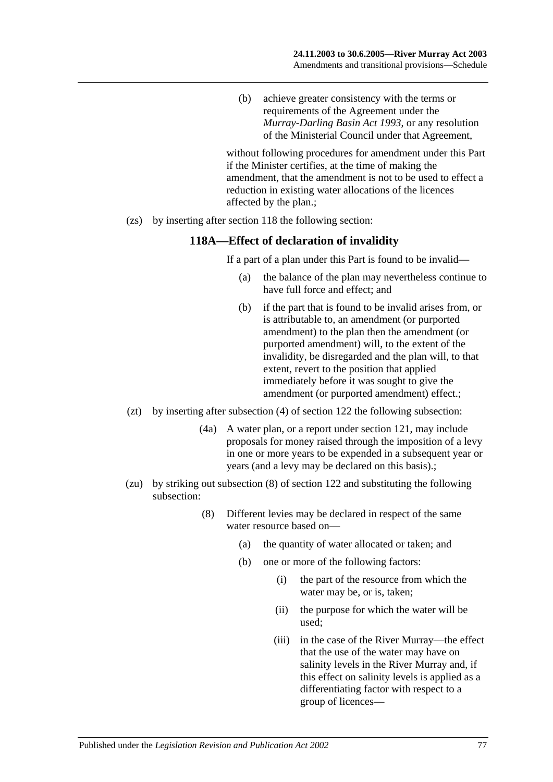(b) achieve greater consistency with the terms or requirements of the Agreement under the *[Murray-Darling Basin Act](http://www.legislation.sa.gov.au/index.aspx?action=legref&type=act&legtitle=Murray-Darling%20Basin%20Act%201993) 1993*, or any resolution of the Ministerial Council under that Agreement,

without following procedures for amendment under this Part if the Minister certifies, at the time of making the amendment, that the amendment is not to be used to effect a reduction in existing water allocations of the licences affected by the plan.;

(zs) by inserting after section 118 the following section:

#### **118A—Effect of declaration of invalidity**

If a part of a plan under this Part is found to be invalid—

- (a) the balance of the plan may nevertheless continue to have full force and effect; and
- (b) if the part that is found to be invalid arises from, or is attributable to, an amendment (or purported amendment) to the plan then the amendment (or purported amendment) will, to the extent of the invalidity, be disregarded and the plan will, to that extent, revert to the position that applied immediately before it was sought to give the amendment (or purported amendment) effect.;
- (zt) by inserting after subsection (4) of section 122 the following subsection:
	- (4a) A water plan, or a report under section 121, may include proposals for money raised through the imposition of a levy in one or more years to be expended in a subsequent year or years (and a levy may be declared on this basis).;
- (zu) by striking out subsection (8) of section 122 and substituting the following subsection:
	- (8) Different levies may be declared in respect of the same water resource based on—
		- (a) the quantity of water allocated or taken; and
		- (b) one or more of the following factors:
			- (i) the part of the resource from which the water may be, or is, taken;
			- (ii) the purpose for which the water will be used;
			- (iii) in the case of the River Murray—the effect that the use of the water may have on salinity levels in the River Murray and, if this effect on salinity levels is applied as a differentiating factor with respect to a group of licences—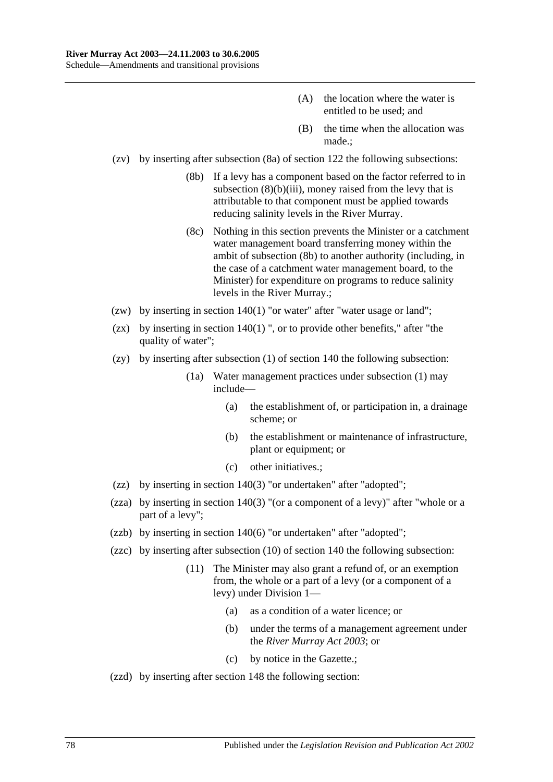- (A) the location where the water is entitled to be used; and
- (B) the time when the allocation was made.;
- (zv) by inserting after subsection (8a) of section 122 the following subsections:
	- (8b) If a levy has a component based on the factor referred to in subsection  $(8)(b)(iii)$ , money raised from the levy that is attributable to that component must be applied towards reducing salinity levels in the River Murray.
	- (8c) Nothing in this section prevents the Minister or a catchment water management board transferring money within the ambit of subsection (8b) to another authority (including, in the case of a catchment water management board, to the Minister) for expenditure on programs to reduce salinity levels in the River Murray.;
- (zw) by inserting in section 140(1) "or water" after "water usage or land";
- (zx) by inserting in section  $140(1)$  ", or to provide other benefits," after "the quality of water":
- (zy) by inserting after subsection (1) of section 140 the following subsection:
	- (1a) Water management practices under subsection (1) may include—
		- (a) the establishment of, or participation in, a drainage scheme; or
		- (b) the establishment or maintenance of infrastructure, plant or equipment; or
		- (c) other initiatives.;
- (zz) by inserting in section 140(3) "or undertaken" after "adopted";
- (zza) by inserting in section 140(3) "(or a component of a levy)" after "whole or a part of a levy";
- (zzb) by inserting in section 140(6) "or undertaken" after "adopted";
- (zzc) by inserting after subsection (10) of section 140 the following subsection:
	- (11) The Minister may also grant a refund of, or an exemption from, the whole or a part of a levy (or a component of a levy) under Division 1—
		- (a) as a condition of a water licence; or
		- (b) under the terms of a management agreement under the *[River Murray Act](http://www.legislation.sa.gov.au/index.aspx?action=legref&type=act&legtitle=River%20Murray%20Act%202003) 2003*; or
		- (c) by notice in the Gazette.;
- (zzd) by inserting after section 148 the following section: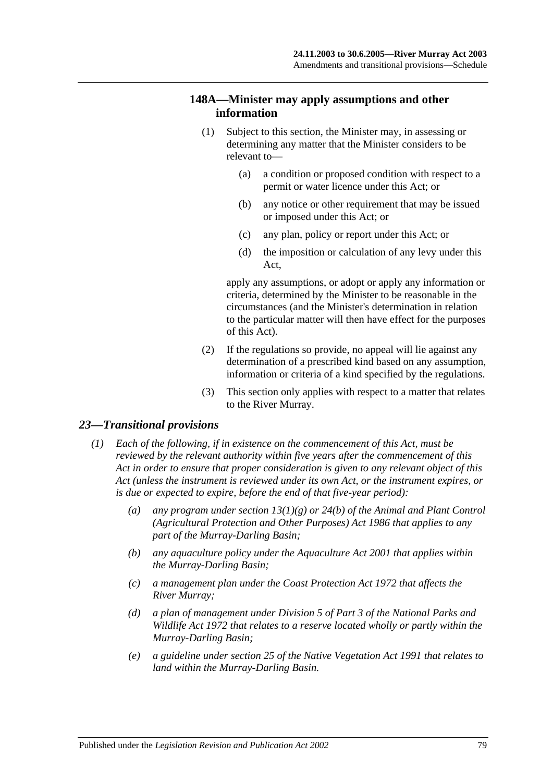#### **148A—Minister may apply assumptions and other information**

- (1) Subject to this section, the Minister may, in assessing or determining any matter that the Minister considers to be relevant to—
	- (a) a condition or proposed condition with respect to a permit or water licence under this Act; or
	- (b) any notice or other requirement that may be issued or imposed under this Act; or
	- (c) any plan, policy or report under this Act; or
	- (d) the imposition or calculation of any levy under this Act,

apply any assumptions, or adopt or apply any information or criteria, determined by the Minister to be reasonable in the circumstances (and the Minister's determination in relation to the particular matter will then have effect for the purposes of this Act).

- (2) If the regulations so provide, no appeal will lie against any determination of a prescribed kind based on any assumption, information or criteria of a kind specified by the regulations.
- (3) This section only applies with respect to a matter that relates to the River Murray.

#### *23—Transitional provisions*

- *(1) Each of the following, if in existence on the commencement of this Act, must be reviewed by the relevant authority within five years after the commencement of this Act in order to ensure that proper consideration is given to any relevant object of this Act (unless the instrument is reviewed under its own Act, or the instrument expires, or is due or expected to expire, before the end of that five-year period):*
	- *(a) any program under section 13(1)(g) or 24(b) of the [Animal and Plant Control](http://www.legislation.sa.gov.au/index.aspx?action=legref&type=act&legtitle=Animal%20and%20Plant%20Control%20(Agricultural%20Protection%20and%20Other%20Purposes)%20Act%201986)  [\(Agricultural Protection and Other Purposes\) Act](http://www.legislation.sa.gov.au/index.aspx?action=legref&type=act&legtitle=Animal%20and%20Plant%20Control%20(Agricultural%20Protection%20and%20Other%20Purposes)%20Act%201986) 1986 that applies to any part of the Murray-Darling Basin;*
	- *(b) any aquaculture policy under the [Aquaculture Act](http://www.legislation.sa.gov.au/index.aspx?action=legref&type=act&legtitle=Aquaculture%20Act%202001) 2001 that applies within the Murray-Darling Basin;*
	- *(c) a management plan under the [Coast Protection Act](http://www.legislation.sa.gov.au/index.aspx?action=legref&type=act&legtitle=Coast%20Protection%20Act%201972) 1972 that affects the River Murray;*
	- *(d) a plan of management under Division 5 of Part 3 of the [National Parks and](http://www.legislation.sa.gov.au/index.aspx?action=legref&type=act&legtitle=National%20Parks%20and%20Wildlife%20Act%201972)  [Wildlife Act](http://www.legislation.sa.gov.au/index.aspx?action=legref&type=act&legtitle=National%20Parks%20and%20Wildlife%20Act%201972) 1972 that relates to a reserve located wholly or partly within the Murray-Darling Basin;*
	- *(e) a guideline under section 25 of the [Native Vegetation Act](http://www.legislation.sa.gov.au/index.aspx?action=legref&type=act&legtitle=Native%20Vegetation%20Act%201991) 1991 that relates to land within the Murray-Darling Basin.*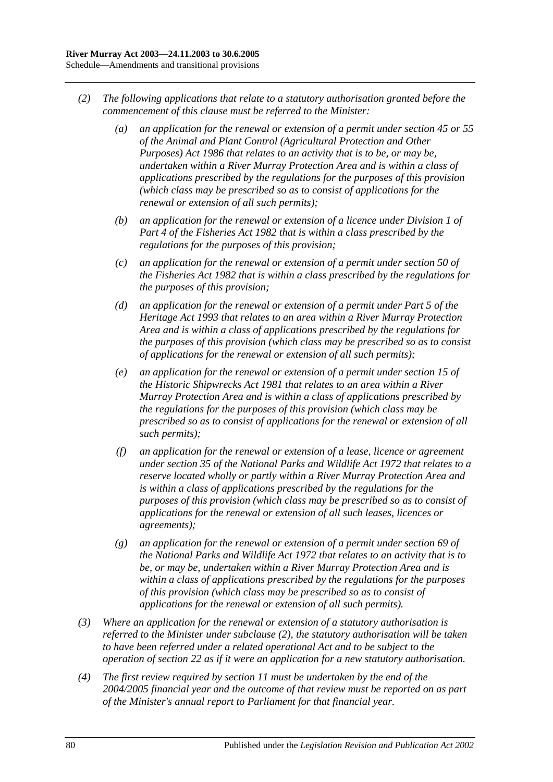- <span id="page-79-0"></span>*(2) The following applications that relate to a statutory authorisation granted before the commencement of this clause must be referred to the Minister:*
	- *(a) an application for the renewal or extension of a permit under section 45 or 55 of the [Animal and Plant Control \(Agricultural Protection and Other](http://www.legislation.sa.gov.au/index.aspx?action=legref&type=act&legtitle=Animal%20and%20Plant%20Control%20(Agricultural%20Protection%20and%20Other%20Purposes)%20Act%201986)  [Purposes\) Act](http://www.legislation.sa.gov.au/index.aspx?action=legref&type=act&legtitle=Animal%20and%20Plant%20Control%20(Agricultural%20Protection%20and%20Other%20Purposes)%20Act%201986) 1986 that relates to an activity that is to be, or may be, undertaken within a River Murray Protection Area and is within a class of applications prescribed by the regulations for the purposes of this provision (which class may be prescribed so as to consist of applications for the renewal or extension of all such permits);*
	- *(b) an application for the renewal or extension of a licence under Division 1 of Part 4 of the [Fisheries Act](http://www.legislation.sa.gov.au/index.aspx?action=legref&type=act&legtitle=Fisheries%20Act%201982) 1982 that is within a class prescribed by the regulations for the purposes of this provision;*
	- *(c) an application for the renewal or extension of a permit under section 50 of the [Fisheries Act](http://www.legislation.sa.gov.au/index.aspx?action=legref&type=act&legtitle=Fisheries%20Act%201982) 1982 that is within a class prescribed by the regulations for the purposes of this provision;*
	- *(d) an application for the renewal or extension of a permit under Part 5 of the [Heritage Act](http://www.legislation.sa.gov.au/index.aspx?action=legref&type=act&legtitle=Heritage%20Act%201993) 1993 that relates to an area within a River Murray Protection Area and is within a class of applications prescribed by the regulations for the purposes of this provision (which class may be prescribed so as to consist of applications for the renewal or extension of all such permits);*
	- *(e) an application for the renewal or extension of a permit under section 15 of the [Historic Shipwrecks Act](http://www.legislation.sa.gov.au/index.aspx?action=legref&type=act&legtitle=Historic%20Shipwrecks%20Act%201981) 1981 that relates to an area within a River Murray Protection Area and is within a class of applications prescribed by the regulations for the purposes of this provision (which class may be prescribed so as to consist of applications for the renewal or extension of all such permits);*
	- *(f) an application for the renewal or extension of a lease, licence or agreement under section 35 of the [National Parks and Wildlife Act](http://www.legislation.sa.gov.au/index.aspx?action=legref&type=act&legtitle=National%20Parks%20and%20Wildlife%20Act%201972) 1972 that relates to a reserve located wholly or partly within a River Murray Protection Area and is within a class of applications prescribed by the regulations for the purposes of this provision (which class may be prescribed so as to consist of applications for the renewal or extension of all such leases, licences or agreements);*
	- *(g) an application for the renewal or extension of a permit under section 69 of the [National Parks and Wildlife Act](http://www.legislation.sa.gov.au/index.aspx?action=legref&type=act&legtitle=National%20Parks%20and%20Wildlife%20Act%201972) 1972 that relates to an activity that is to be, or may be, undertaken within a River Murray Protection Area and is within a class of applications prescribed by the regulations for the purposes of this provision (which class may be prescribed so as to consist of applications for the renewal or extension of all such permits).*
- *(3) Where an application for the renewal or extension of a statutory authorisation is referred to the Minister under [subclause](#page-79-0) (2), the statutory authorisation will be taken to have been referred under a related operational Act and to be subject to the operation of [section](#page-20-0) 22 as if it were an application for a new statutory authorisation.*
- *(4) The first review required by [section](#page-12-0) 11 must be undertaken by the end of the 2004/2005 financial year and the outcome of that review must be reported on as part of the Minister's annual report to Parliament for that financial year.*